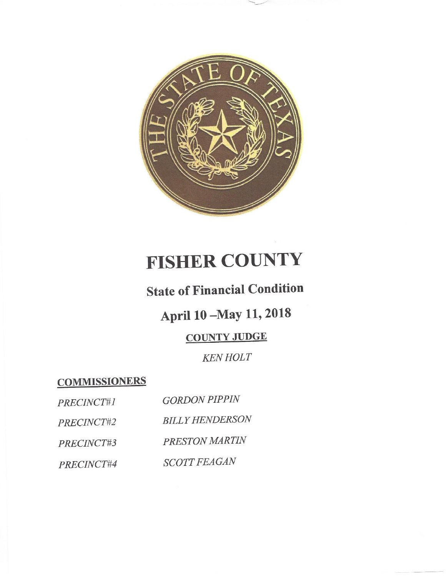

# **FISHER COUNTY**

### **State of Financial Condition**

## April 10 - May 11, 2018

### **COUNTY JUDGE**

#### **KEN HOLT**

**COMMISSIONERS** 

| PRECINCT#1 | <b>GORDON PIPPIN</b>   |
|------------|------------------------|
| PRECINCT#2 | <b>BILLY HENDERSON</b> |
| PRECINCT#3 | PRESTON MARTIN         |
| PRECINCT#4 | <b>SCOTT FEAGAN</b>    |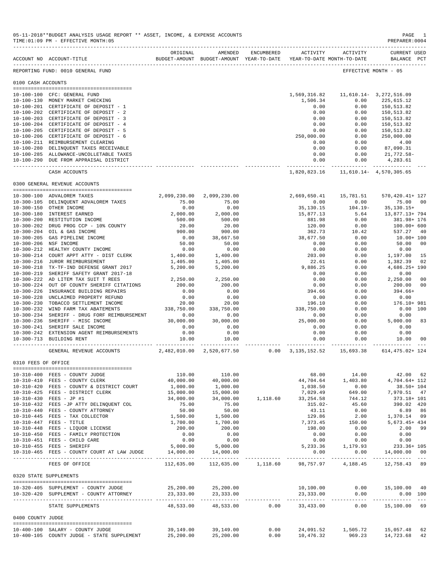|                     | ACCOUNT NO ACCOUNT-TITLE TO BUDGET-AMOUNT BUDGET-AMOUNT YEAR-TO-DATE YEAR-TO-DATE MONTH-TO-DATE | ORIGINAL                  | AMENDED                          | ENCUMBERED               | ACTIVITY               | ACTIVITY                                  | CURRENT USED<br>BALANCE PCT |
|---------------------|-------------------------------------------------------------------------------------------------|---------------------------|----------------------------------|--------------------------|------------------------|-------------------------------------------|-----------------------------|
|                     | REPORTING FUND: 0010 GENERAL FUND                                                               |                           |                                  |                          |                        |                                           | EFFECTIVE MONTH - 05        |
| 0100 CASH ACCOUNTS  |                                                                                                 |                           |                                  |                          |                        |                                           |                             |
|                     |                                                                                                 |                           |                                  |                          |                        |                                           |                             |
|                     | 10-100-100 CFC: GENERAL FUND                                                                    |                           |                                  |                          | 1,569,316.82           |                                           | 11,610.14-3,272,516.09      |
|                     | 10-100-130 MONEY MARKET CHECKING                                                                |                           |                                  |                          | 1,506.34               | 0.00                                      | 225,615.12                  |
|                     | 10-100-201 CERTIFICATE OF DEPOSIT - 1                                                           |                           |                                  |                          | 0.00                   | 0.00                                      | 150,513.82                  |
| 10-100-202          | CERTIFICATE OF DEPOSIT - 2                                                                      |                           |                                  |                          | 0.00                   | 0.00                                      | 150,513.82                  |
|                     | 10-100-203 CERTIFICATE OF DEPOSIT - 3                                                           |                           |                                  |                          | 0.00                   | 0.00                                      | 150.513.82                  |
|                     | 10-100-204 CERTIFICATE OF DEPOSIT - 4                                                           |                           |                                  |                          | 0.00                   | 0.00                                      | 150,513.82                  |
|                     | 10-100-205 CERTIFICATE OF DEPOSIT - 5                                                           |                           |                                  |                          | 0.00                   | 0.00                                      | 150,513.82                  |
|                     | 10-100-206 CERTIFICATE OF DEPOSIT - 6                                                           |                           |                                  |                          | 250,000.00             | 0.00                                      | 250,000.00                  |
|                     | 10-100-211 REIMBURSEMENT CLEARING                                                               |                           |                                  |                          | 0.00                   | 0.00                                      | 4.00                        |
|                     | 10-100-280 DELINQUENT TAXES RECEIVABLE                                                          |                           |                                  |                          | 0.00                   | 0.00                                      | 87,090.31                   |
|                     | 10-100-285 ALLOWANCE-UNCOLLETABLE TAXES                                                         |                           |                                  |                          | 0.00                   | 0.00                                      | 21,772.58-                  |
|                     | 10-100-290 DUE FROM APPRAISAL DISTRICT                                                          |                           |                                  |                          | 0.00                   | 0.00<br>----------                        | 4,283.61<br>-------------   |
|                     | CASH ACCOUNTS                                                                                   |                           |                                  |                          | 1,820,823.16           |                                           | 11,610.14 - 4,570,305.65    |
|                     | 0300 GENERAL REVENUE ACCOUNTS                                                                   |                           |                                  |                          |                        |                                           |                             |
|                     | 10-300-100 ADVALOREM TAXES                                                                      | 2,099,230.00              | 2,099,230.00                     |                          | 2,669,650.41           | 15,781.51                                 | 570, 420. 41+ 127           |
|                     | 10-300-105 DELINQUENT ADVALOREM TAXES                                                           | 75.00                     | 75.00                            |                          | 0.00                   | 0.00                                      | 75.00<br>$_{00}$            |
|                     | 10-300-150 OTHER INCOME                                                                         | 0.00                      | 0.00                             |                          | 35,130.15              | $104.19 -$                                | 35, 130. 15+                |
|                     | 10-300-180 INTEREST EARNED                                                                      | 2,000.00                  | 2,000.00                         |                          | 15,877.13              | 5.64                                      | 13,877.13+ 794              |
| $10 - 300 - 200$    | RESTITUTION INCOME                                                                              | 500.00                    | 500.00                           |                          | 881.98                 | 0.00                                      | 381.98+ 176                 |
| $10 - 300 - 202$    |                                                                                                 |                           |                                  |                          |                        |                                           |                             |
|                     | DRUG PROG CCP - 10% COUNTY                                                                      | 20.00                     | 20.00                            |                          | 120.00                 | 0.00                                      | 100.00+ 600                 |
| $10 - 300 - 204$    | OIL & GAS INCOME                                                                                | 900.00                    | 900.00                           |                          | 362.73                 | 10.42                                     | 537.27<br>40                |
| $10 - 300 - 205$    | GAS PIPELINE INCOME                                                                             | 0.00                      | 38,667.50                        |                          | 38,677.50              | 0.00                                      | $10.00 + 100$               |
| $10 - 300 - 206$    | NSF INCOME                                                                                      | 50.00<br>0.00             | 50.00                            |                          | 0.00                   | 0.00                                      | 50.00<br>00                 |
|                     | 10-300-212 HEALTHY COUNTY INCOME                                                                |                           | 0.00                             |                          | 0.00<br>203.00         | 0.00                                      | 0.00                        |
| $10 - 300 - 214$    | COURT APPT ATTY - DIST CLERK                                                                    | 1,400.00                  | 1,400.00                         |                          |                        | 0.00                                      | 15<br>1,197.00              |
| $10 - 300 - 216$    | JUROR REIMBURSEMENT                                                                             | 1,405.00                  | 1,405.00                         |                          | 22.61                  | 0.00                                      | 1,382.39<br>02              |
| 10-300-218          | TX-TF-IND DEFENSE GRANT 2017                                                                    | 5,200.00                  | 5,200.00                         |                          | 9,886.25               | 0.00                                      | 4,686.25+ 190               |
| $10 - 300 - 219$    | SHERIFF SAFETY GRANT 2017-18                                                                    |                           |                                  |                          | 0.00                   | 0.00                                      | 0.00                        |
| $10 - 300 - 222$    | AD LITEM TAX SUIT T REES                                                                        | 2,250.00                  | 2,250.00                         |                          | 0.00                   | 0.00                                      | 2,250.00<br>00              |
| $10 - 300 - 224$    | OUT OF COUNTY SHERIFF CITATIONS                                                                 | 200.00                    | 200.00                           |                          | 0.00                   | 0.00                                      | 200.00<br>00                |
|                     | 10-300-226 INSURANCE BUILDING REPAIRS                                                           | 0.00                      | 0.00                             |                          | 394.66                 | 0.00                                      | 394.66+                     |
| $10 - 300 - 228$    | UNCLAIMED PROPERTY REFUND                                                                       | 0.00                      | 0.00                             |                          | 0.00                   | 0.00                                      | 0.00                        |
| $10 - 300 - 230$    | TOBACCO SETTLEMENT INCOME                                                                       | 20.00                     | 20.00                            |                          | 196.10                 | 0.00                                      | 176.10+ 981                 |
| $10 - 300 - 232$    | WIND FARM TAX ABATEMENTS                                                                        | 338,750.00                | 338,750.00                       |                          | 338,750.00             | 0.00                                      | 0.00<br>100                 |
|                     | 10-300-234 SHERIFF - DRUG FORF REIMBURSEMENT                                                    | 0.00                      | 0.00                             |                          | 0.00                   | 0.00                                      | 0.00                        |
| 10-300-236          | SHERIFF - MISC INCOME                                                                           | 30,000.00                 | 30,000.00                        |                          | 25,000.00              | 0.00                                      | 5,000.00<br>83              |
|                     | 10-300-241 SHERIFF SALE INCOME                                                                  | 0.00                      | 0.00                             |                          | 0.00                   | 0.00                                      | 0.00                        |
|                     | 10-300-242 EXTENSION AGENT REIMBURSEMENTS                                                       | 0.00                      | 0.00                             |                          | 0.00                   | 0.00                                      | 0.00                        |
|                     | 10-300-713 BUILDING RENT<br>---------------------------                                         | 10.00                     | 10.00<br>. _ _ _ _ _ _ _ _ _ _ _ |                          | 0.00<br>-------------- | 0.00                                      | 10.00<br>00                 |
|                     | GENERAL REVENUE ACCOUNTS                                                                        | 2,482,010.00 2,520,677.50 |                                  |                          |                        | $0.00 \quad 3.135.152.52 \quad 15.693.38$ | 614,475.02+ 124             |
| 0310 FEES OF OFFICE |                                                                                                 |                           |                                  |                          |                        |                                           |                             |
|                     | 10-310-400 FEES - COUNTY JUDGE                                                                  | 110.00                    | 110.00                           |                          | 68.00                  | 14.00                                     | 42.00 62                    |
|                     | 10-310-410 FEES - COUNTY CLERK                                                                  | 40,000.00                 | 40,000.00                        |                          | 44,704.64              | 1,403.80                                  | 4,704.64+ 112               |
|                     | 10-310-420 FEES - COUNTY & DISTRICT COURT                                                       | 1,000.00                  | 1,000.00                         |                          | 1,038.50               | 0.00                                      | 38.50+ 104                  |
|                     | 10-310-425 FEES - DISTRICT CLERK                                                                | 15,000.00                 | 15,000.00                        |                          | 7,029.49               | 649.00                                    | 7,970.51 47                 |
|                     | 10-310-430 FEES - JP #1                                                                         | 34,000.00                 | 34,000.00                        | 1,118.60                 | 33, 254.58             | 744.12                                    | 373.18+ 101                 |
|                     | 10-310-432 FEES -JP ATTY DELINQUENT COL                                                         | 75.00                     | 75.00                            |                          | $315.02 -$             | 45.60                                     | 390.02 420                  |
|                     | 10-310-440 FEES - COUNTY ATTORNEY                                                               | 50.00                     | 50.00                            |                          | 43.11                  | 0.00                                      | 6.89 86                     |
|                     | 10-310-445 FEES - TAX COLLECTOR                                                                 | 1,500.00                  | 1,500.00                         |                          | 129.86                 | 2.00                                      | 1,370.14 09                 |
|                     | 10-310-447 FEES - TITLE                                                                         | 1,700.00                  | 1,700.00                         |                          | 7,373.45               | 150.00                                    | 5,673.45+ 434               |
|                     | 10-310-448 FEES - LIQUOR LICENSE                                                                | 200.00                    | 200.00                           |                          | 198.00                 | 0.00                                      | 2.00 99                     |
|                     | 10-310-450 FEES - FAMILY PROTECTION                                                             | 0.00                      | 0.00                             |                          | 0.00                   | 0.00                                      | 0.00                        |
|                     | 10-310-451 FEES - CHILD CARE                                                                    | 0.00                      | 0.00                             |                          | 0.00                   | 0.00                                      | 0.00                        |
|                     | 10-310-455 FEES - SHERIFF                                                                       | 5,000.00                  | 5,000.00                         |                          | 5,233.36               | 1,179.93                                  | 233.36+ 105                 |
|                     | 10-310-465 FEES - COUNTY COURT AT LAW JUDGE                                                     | 14,000.00                 | 14,000.00                        |                          | 0.00                   | 0.00                                      | 14,000.00 00                |
|                     | FEES OF OFFICE                                                                                  | 112,635.00                | 112,635.00                       |                          |                        | 1,118.60 98,757.97 4,188.45               | 12,758.43 89                |
|                     | 0320 STATE SUPPLEMENTS                                                                          |                           |                                  |                          |                        |                                           |                             |
|                     |                                                                                                 |                           |                                  |                          |                        |                                           |                             |
|                     | 10-320-405 SUPPLEMENT - COUNTY JUDGE                                                            |                           | 25,200.00 25,200.00              |                          | 10,100.00              |                                           | $0.00$ 15,100.00 40         |
|                     | 10-320-420 SUPPLEMENT - COUNTY ATTORNEY                                                         | 23,333.00                 | 23, 333.00                       |                          | 23, 333.00             | 0.00                                      | 0.00 100                    |
|                     | STATE SUPPLEMENTS                                                                               | 48,533.00                 |                                  | 48,533.00 0.00 33,433.00 |                        | 0.00                                      | 15,100.00 69                |
| 0400 COUNTY JUDGE   |                                                                                                 |                           |                                  |                          |                        |                                           |                             |
|                     | 10-400-100 SALARY - COUNTY JUDGE                                                                | 39,149.00                 | 39,149.00                        | 0.00                     |                        | 24,091.52 1,505.72                        | 15,057.48<br>62             |
|                     | 10-400-105 COUNTY JUDGE - STATE SUPPLEMENT                                                      | 25,200.00                 | 25,200.00                        | 0.00                     |                        | 10,476.32 969.23                          | 14,723.68 42                |

05-11-2018\*\*BUDGET ANALYSIS USAGE REPORT \*\* ASSET, INCOME, & EXPENSE ACCOUNTS<br>TIME:01:09 PM - EFFECTIVE MONTH:05

 $TIME:01:09 PM - EFFECTIVE MOMTH:05$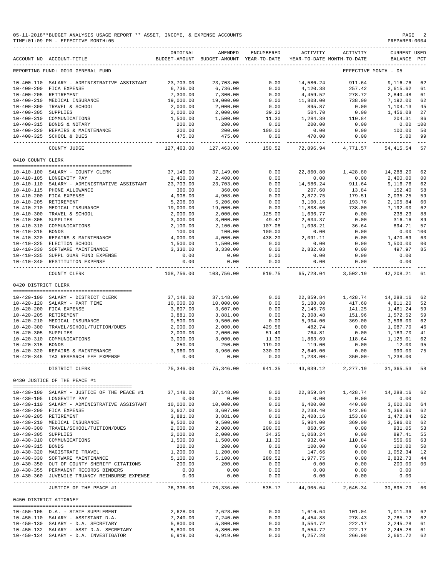|                     | 05-11-2018**BUDGET ANALYSIS USAGE REPORT ** ASSET, INCOME, & EXPENSE ACCOUNTS<br>TIME: 01:09 PM - EFFECTIVE MONTH: 05 |                      |                                                                                |                                                                   |                           |                                                                              | PAGE<br>PREPARER: 0004                                                                                                                                      |                      |
|---------------------|-----------------------------------------------------------------------------------------------------------------------|----------------------|--------------------------------------------------------------------------------|-------------------------------------------------------------------|---------------------------|------------------------------------------------------------------------------|-------------------------------------------------------------------------------------------------------------------------------------------------------------|----------------------|
|                     | _________________________________<br>ACCOUNT NO ACCOUNT-TITLE                                                         | ORIGINAL             | AMENDED<br>BUDGET-AMOUNT BUDGET-AMOUNT YEAR-TO-DATE YEAR-TO-DATE MONTH-TO-DATE | ENCUMBERED                                                        |                           | ACTIVITY ACTIVITY                                                            | CURRENT USED<br>BALANCE PCT                                                                                                                                 |                      |
|                     | REPORTING FUND: 0010 GENERAL FUND                                                                                     |                      |                                                                                |                                                                   |                           |                                                                              | EFFECTIVE MONTH - 05                                                                                                                                        |                      |
|                     | 10-400-110 SALARY - ADMINISTRATIVE ASSISTANT                                                                          | 23,703.00            | 23,703.00                                                                      | 0.00                                                              | 14,586.24                 | 911.64                                                                       | 9,116.76                                                                                                                                                    | 62                   |
|                     | 10-400-200 FICA EXPENSE                                                                                               | 6,736.00             | 6,736.00                                                                       | 0.00                                                              | 4,120.38                  | 257.42                                                                       | 2,615.62                                                                                                                                                    | 61                   |
|                     | 10-400-205 RETIREMENT                                                                                                 | 7,300.00             | 7,300.00                                                                       | 0.00                                                              | 4,459.52                  | 278.72                                                                       | 2,840.48                                                                                                                                                    | 61                   |
|                     | 10-400-210 MEDICAL INSURANCE                                                                                          | 19,000.00            | 19,000.00                                                                      | 0.00                                                              | 11,808.00                 | 738.00                                                                       | 7,192.00                                                                                                                                                    | 62                   |
|                     | 10-400-300 TRAVEL & SCHOOL                                                                                            | 2,000.00             | 2,000.00                                                                       | 0.00                                                              | 895.87                    | 0.00                                                                         | 1,104.13                                                                                                                                                    | 45                   |
| 10-400-305 SUPPLIES |                                                                                                                       | 2,000.00             | 2,000.00                                                                       | 39.22                                                             | 504.70                    | 0.00                                                                         | 1,456.08                                                                                                                                                    | 27                   |
|                     | 10-400-310 COMMUNICATIONS                                                                                             | 1,500.00             | 1,500.00                                                                       | 11.30                                                             | 1,284.39                  | 110.84                                                                       | 204.31                                                                                                                                                      | 86                   |
|                     | 10-400-315 BONDS & NOTARY                                                                                             | 200.00<br>200.00     | 200.00<br>200.00                                                               | 0.00<br>100.00                                                    | 200.00<br>0.00            | 0.00<br>0.00                                                                 | 0.00 100<br>100.00                                                                                                                                          | 50                   |
|                     | 10-400-320 REPAIRS & MAINTENANCE<br>10-400-325 SCHOOL & DUES                                                          | 475.00               | 475.00                                                                         | 0.00                                                              | 470.00                    | 0.00                                                                         | 5.00                                                                                                                                                        | 99                   |
|                     | COUNTY JUDGE                                                                                                          | 127,463.00           | -------------<br>127,463.00                                                    | -------------<br>150.52                                           | ------------<br>72,896.94 | -----------<br>4,771.57                                                      | -------------<br>54,415.54                                                                                                                                  | $- - -$<br>57        |
| 0410 COUNTY CLERK   |                                                                                                                       |                      |                                                                                |                                                                   |                           |                                                                              |                                                                                                                                                             |                      |
|                     | 10-410-100 SALARY - COUNTY CLERK                                                                                      | 37,149.00            | 37,149.00                                                                      | 0.00                                                              | 22,860.80                 | 1,428.80                                                                     | 14,288.20                                                                                                                                                   | 62                   |
|                     | 10-410-105 LONGEVITY PAY                                                                                              | 2,400.00             | 2,400.00                                                                       | 0.00                                                              | 0.00                      | 0.00                                                                         | 2,400.00                                                                                                                                                    | 00                   |
|                     | 10-410-110 SALARY - ADMINISTRATIVE ASSISTANT                                                                          | 23,703.00            | 23,703.00                                                                      | 0.00                                                              | 14,586.24                 | 911.64                                                                       | 9,116.76                                                                                                                                                    | 62                   |
|                     | 10-410-115 PHONE ALLOWANCE                                                                                            | 360.00               | 360.00                                                                         | 0.00                                                              | 207.60                    | 13.84                                                                        | 152.40                                                                                                                                                      | 58                   |
|                     | 10-410-200 FICA EXPENSE                                                                                               | 4,908.00             | 4,908.00                                                                       | 0.00                                                              | 2,872.75                  | 179.51                                                                       | 2,035.25                                                                                                                                                    | 59                   |
|                     | 10-410-205 RETIREMENT                                                                                                 | 5,206.00             | 5,206.00                                                                       | 0.00                                                              | 3,100.16                  | 193.76                                                                       | 2,105.84                                                                                                                                                    | 60                   |
|                     | 10-410-210 MEDICAL INSURANCE                                                                                          | 19,000.00            | 19,000.00                                                                      | 0.00                                                              | 11,808.00                 | 738.00                                                                       | 7,192.00                                                                                                                                                    | 62                   |
|                     | 10-410-300 TRAVEL & SCHOOL                                                                                            | 2,000.00             | 2,000.00                                                                       | 125.00                                                            | 1,636.77                  | 0.00                                                                         | 238.23                                                                                                                                                      | 88                   |
| 10-410-305 SUPPLIES |                                                                                                                       | 3,000.00             | 3,000.00                                                                       | 49.47                                                             | 2,634.37                  | 0.00                                                                         | 316.16                                                                                                                                                      | 89                   |
|                     | 10-410-310 COMMUNICATIONS                                                                                             | 2,100.00             | 2,100.00                                                                       | 107.08                                                            | 1,098.21                  | 36.64                                                                        | 894.71                                                                                                                                                      | 57                   |
| 10-410-315 BONDS    |                                                                                                                       | 100.00               | 100.00                                                                         | 100.00                                                            | 0.00                      | 0.00                                                                         | 0.00                                                                                                                                                        | 100                  |
|                     | 10-410-320 REPAIRS & MAINTENANCE                                                                                      | 4,000.00             | 4,000.00                                                                       | 438.20                                                            | 2,091.11                  | 0.00                                                                         | 1,470.69                                                                                                                                                    | 63                   |
|                     | 10-410-325 ELECTION SCHOOL<br>10-410-330 SOFTWARE MAINTENANCE                                                         | 1,500.00<br>3,330.00 | 1,500.00<br>3,330.00                                                           | 0.00<br>0.00                                                      | 0.00<br>2,832.03          | 0.00<br>0.00                                                                 | 1,500.00<br>497.97                                                                                                                                          | 0 <sub>0</sub><br>85 |
|                     | 10-410-335 SUPPL GUAR FUND EXPENSE                                                                                    | 0.00                 | 0.00                                                                           | 0.00                                                              | 0.00                      | 0.00                                                                         | 0.00                                                                                                                                                        |                      |
|                     | 10-410-340 RESTITUTION EXPENSE                                                                                        | 0.00                 | 0.00                                                                           | 0.00                                                              | 0.00                      | 0.00                                                                         | 0.00                                                                                                                                                        |                      |
|                     | COUNTY CLERK                                                                                                          | 108,756.00           | -------------<br>108,756.00                                                    | -------------<br>819.75                                           | 65,728.04                 | -------------- -------------<br>3,502.19                                     | -------------<br>42,208.21                                                                                                                                  | 61                   |
| 0420 DISTRICT CLERK |                                                                                                                       |                      |                                                                                |                                                                   |                           |                                                                              |                                                                                                                                                             |                      |
|                     |                                                                                                                       |                      |                                                                                |                                                                   |                           |                                                                              |                                                                                                                                                             |                      |
|                     | 10-420-100 SALARY - DISTRICT CLERK                                                                                    | 37,148.00            | 37,148.00                                                                      | 0.00                                                              | 22,859.84                 | 1,428.74                                                                     | 14,288.16                                                                                                                                                   | 62                   |
|                     | 10-420-120 SALARY - PART TIME                                                                                         | 10,000.00            | 10,000.00                                                                      | 0.00                                                              | 5,188.80                  | 417.60                                                                       | 4,811.20                                                                                                                                                    | 52                   |
|                     | 10-420-200 FICA EXPENSE<br>10-420-205 RETIREMENT                                                                      | 3,607.00             | 3,607.00<br>3,881.00                                                           | 0.00<br>0.00                                                      | 2,145.76                  | 141.25<br>151.96                                                             | 1,461.24<br>1,572.52                                                                                                                                        | 59<br>59             |
|                     | 10-420-210 MEDICAL INSURANCE                                                                                          | 3,881.00<br>9,500.00 | 9,500.00                                                                       | 0.00                                                              | 2,308.48<br>5,904.00      | 369.00                                                                       | 3,596.00                                                                                                                                                    | 62                   |
|                     | 10-420-300 TRAVEL/SCHOOL/TUITION/DUES                                                                                 | 2,000.00             | 2,000.00                                                                       | 429.56                                                            | 482.74                    | 0.00                                                                         | 1,087.70                                                                                                                                                    | 46                   |
| 10-420-305 SUPPLIES |                                                                                                                       | 2,000.00             | 2,000.00                                                                       | 51.49                                                             | 764.81                    | 0.00                                                                         | 1,183.70                                                                                                                                                    | 41                   |
|                     | 10-420-310 COMMUNICATIONS                                                                                             | 3,000.00             | 3,000.00                                                                       | 11.30                                                             | 1,863.69                  | 118.64                                                                       | 1,125.01                                                                                                                                                    | 62                   |
| 10-420-315 BONDS    |                                                                                                                       | 250.00               | 250.00                                                                         | 119.00                                                            | 119.00                    | 0.00                                                                         | 12.00                                                                                                                                                       | 95                   |
| $10 - 420 - 320$    | REPAIRS & MAINTENANCE                                                                                                 | 3,960.00             | 3,960.00                                                                       | 330.00                                                            | 2,640.00                  | 0.00                                                                         | 990.00                                                                                                                                                      | 75                   |
|                     | 10-420-345 TAX RESEARCH FEE EXPENSE                                                                                   | 0.00                 | 0.00                                                                           | 0.00                                                              | $1,238.00-$               | $350.00 -$                                                                   | 1,238.00                                                                                                                                                    |                      |
|                     | DISTRICT CLERK                                                                                                        |                      | 75,346.00 75,346.00 941.35 43,039.12 2,277.19 31,365.53 58                     |                                                                   |                           |                                                                              |                                                                                                                                                             |                      |
|                     | 0430 JUSTICE OF THE PEACE #1                                                                                          |                      |                                                                                |                                                                   |                           |                                                                              |                                                                                                                                                             |                      |
|                     | 10-430-100 SALARY - JUSTICE OF THE PEACE #1 37,148.00 37,148.00                                                       |                      |                                                                                |                                                                   |                           | 22,859.84 1,428.74 14,288.16                                                 |                                                                                                                                                             | 62                   |
|                     | 10-430-105 LONGEVITY PAY                                                                                              | 0.00                 | 0.00                                                                           | $\begin{array}{c} 0.00\ 0.00\ 0.00\ 0.00\ 0.00\ 0.00 \end{array}$ | 0.00                      | 0.00                                                                         | 0.00                                                                                                                                                        |                      |
|                     | 10-430-110 SALARY - ADMINISTRATIVE ASSISTANT                                                                          | 10,000.00            | 10,000.00                                                                      |                                                                   | 6,400.00                  |                                                                              | $\begin{array}{cccc} 440.00 & 3,600.00 \ 442.96 & 1,368.60 \ 153.80 & 1,472.84 \ 369.00 & 3,596.00 \ 0.00 & 931.05 \ 0.00 & 931.05 \end{array}$<br>3,600.00 | 64                   |
|                     | 10-430-200 FICA EXPENSE                                                                                               | 3,607.00             | 3,607.00                                                                       |                                                                   | 2,238.40                  |                                                                              |                                                                                                                                                             | 62                   |
|                     | 10-430-205 RETIREMENT                                                                                                 | 3,881.00             | 3,881.00                                                                       |                                                                   | 2,408.16                  |                                                                              |                                                                                                                                                             | 62                   |
|                     | 10-430-210 MEDICAL INSURANCE                                                                                          | 9,500.00             |                                                                                |                                                                   | 5,904.00<br>868.95        |                                                                              |                                                                                                                                                             | 62                   |
|                     | 10-430-300 TRAVEL/SCHOOL/TUITION/DUES                                                                                 | 2,000.00             | 9,500.00<br>2,000.00                                                           |                                                                   |                           |                                                                              |                                                                                                                                                             | 53                   |
| 10-430-305 SUPPLIES |                                                                                                                       | 2,000.00             | 2,000.00                                                                       |                                                                   | $1\,,\,068\,.24$          | $868.95$<br>$1,068.24$<br>$932.04$<br>$110.84$<br>$100.00$<br>$0.00$<br>0.00 | 897.41                                                                                                                                                      | 55                   |
|                     | 10-430-310 COMMUNICATIONS                                                                                             | 1,500.00             | $1,500.00$<br>$1,500.00$<br>$1,200.00$<br>$5,100.00$<br>$200.00$<br>$0.00$     |                                                                   |                           |                                                                              | 556.66                                                                                                                                                      | 63                   |
| 10-430-315 BONDS    |                                                                                                                       | 200.00               |                                                                                | 0.00                                                              |                           |                                                                              | 100.00                                                                                                                                                      | 50                   |
|                     | 10-430-320 MAGISTRATE TRAVEL                                                                                          | 1,200.00             |                                                                                | 0.00                                                              |                           |                                                                              | $0.00$ $1,052.34$                                                                                                                                           | 12                   |
|                     | 10-430-330 SOFTWARE MAINTENANCE<br>10-430-350 OUT OF COUNTY SHERIFF CITATIONS                                         | 5,100.00             |                                                                                | 289.52                                                            |                           | $1,977.75$ 0.00<br>0.00 0.00                                                 | 2,832.73<br>200.00                                                                                                                                          | 44<br>0 <sub>0</sub> |
|                     | 10-430-355 PERMANENT RECORDS BINDERS                                                                                  | 200.00<br>0.00       |                                                                                | $0.00$<br>$0.00$                                                  | 0.00<br>0.00              | 0.00                                                                         | 0.00                                                                                                                                                        |                      |
|                     | 10-430-360 JUVENILE TRUANCY REINBURSE EXPENSE                                                                         | 0.00                 | 0.00                                                                           | 0.00                                                              | 0.00                      | 0.00                                                                         | 0.00                                                                                                                                                        |                      |
|                     | JUSTICE OF THE PEACE #1                                                                                               |                      | 76,336.00 76,336.00 535.17 44,905.04                                           |                                                                   |                           |                                                                              | 2,645.34 30,895.79 60                                                                                                                                       |                      |
|                     | 0450 DISTRICT ATTORNEY                                                                                                |                      |                                                                                |                                                                   |                           |                                                                              |                                                                                                                                                             |                      |
|                     | --------------------------------------                                                                                |                      |                                                                                |                                                                   |                           |                                                                              |                                                                                                                                                             |                      |
|                     | 10-450-105 D.A. - STATE SUPPLEMENT<br>10-450-110 SALARY - ASSISTANT D.A.                                              | 2,628.00<br>7,240.00 | 2,628.00<br>7,240.00                                                           | 0.00                                                              | 4,454.88                  | $0.00$ 1,616.64 101.04 1,011.36<br>278.43                                    | 2,785.12                                                                                                                                                    | 62<br>62             |
|                     | 10-450-130 SALARY - D.A. SECRETARY                                                                                    | 5,800.00             |                                                                                |                                                                   |                           |                                                                              | 2,245.28                                                                                                                                                    | 61                   |
|                     | 10-450-132 SALARY - ASST D.A. SECRETARY                                                                               | 5,800.00             | 5,800.00<br>5,800.00                                                           | $0.00$<br>0.00                                                    | 3,554.72<br>3,554.72      | 222.17<br>222.17                                                             | 2,245.28                                                                                                                                                    | 61                   |
|                     | 10-450-134 SALARY - D.A. INVESTIGATOR                                                                                 | 6,919.00             | 6,919.00                                                                       | 0.00                                                              | 4,257.28                  | 266.08                                                                       | 2,661.72                                                                                                                                                    | 62                   |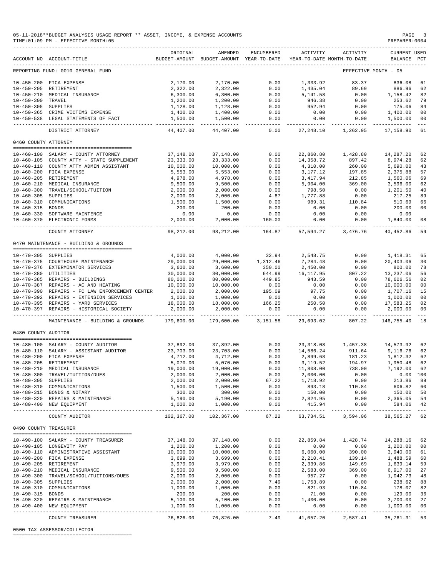#### 05-11-2018\*\*BUDGET ANALYSIS USAGE REPORT \*\* ASSET, INCOME, & EXPENSE ACCOUNTS PAGE 3<br>TIME:01:09 PM - EFFECTIVE MONTH:05  $TIME:01:09 PM - EFFECTIVE MOMTH:05$

|                       | ACCOUNT NO ACCOUNT-TITLE                       | ORIGINAL                     | AMENDED<br>BUDGET-AMOUNT BUDGET-AMOUNT YEAR-TO-DATE | ENCUMBERED       | ACTIVITY   | ACTIVITY<br>YEAR-TO-DATE MONTH-TO-DATE | <b>CURRENT USED</b><br>BALANCE | PCT            |
|-----------------------|------------------------------------------------|------------------------------|-----------------------------------------------------|------------------|------------|----------------------------------------|--------------------------------|----------------|
|                       | REPORTING FUND: 0010 GENERAL FUND              |                              |                                                     |                  |            |                                        | EFFECTIVE MONTH - 05           |                |
| $10 - 450 - 200$      | FICA EXPENSE                                   | 2,170.00                     | 2,170.00                                            | 0.00             | 1,333.92   | 83.37                                  | 836.08                         | 61             |
| $10 - 450 - 205$      | RETIREMENT                                     | 2,322.00                     | 2,322.00                                            | 0.00             | 1,435.04   | 89.69                                  | 886.96                         | 62             |
| $10 - 450 - 210$      | MEDICAL INSURANCE                              | 6,300.00                     | 6,300.00                                            | 0.00             | 5,141.58   | 0.00                                   | 1,158.42                       | 82             |
| $10 - 450 - 300$      | TRAVEL                                         | 1,200.00                     | 1,200.00                                            | 0.00             | 946.38     | 0.00                                   | 253.62                         | 79             |
| $10 - 450 - 305$      | SUPPLIES                                       | 1,128.00                     | 1,128.00                                            | 0.00             | 952.94     | 0.00                                   | 175.06                         | 84             |
|                       | 10-450-365 CRIME VICTIMS EXPENSE               | 1,400.00                     | 1,400.00                                            | 0.00             | 0.00       | 0.00                                   | 1,400.00                       | 0 <sub>0</sub> |
|                       | 10-450-538 LEGAL STATEMENTS OF FACT            | 1,500.00                     | 1,500.00                                            | 0.00             | 0.00       | 0.00                                   | 1,500.00                       | 00             |
|                       |                                                |                              |                                                     | $- - - -$        |            |                                        |                                | $- - -$        |
|                       | DISTRICT ATTORNEY                              | 44,407.00                    | 44,407.00                                           | 0.00             | 27, 248.10 | 1,262.95                               | 17,158.90                      | 61             |
| 0460 COUNTY ATTORNEY  |                                                |                              |                                                     |                  |            |                                        |                                |                |
|                       | 10-460-100 SALARY - COUNTY ATTORNEY            | 37,148.00                    | 37,148.00                                           | 0.00             | 22,860.80  | 1,428.80                               | 14,287.20                      | 62             |
|                       | 10-460-105 COUNTY ATTY - STATE SUPPLEMENT      | 23, 333.00                   | 23, 333.00                                          | 0.00             | 14,358.72  | 897.42                                 | 8,974.28                       | 62             |
|                       | 10-460-110 COUNTY ATTY ADMIN ASSISTANT         | 10,000.00                    | 10,000.00                                           | 0.00             | 4,310.00   | 260.00                                 | 5,690.00                       | 43             |
|                       | FICA EXPENSE                                   |                              |                                                     |                  |            |                                        |                                | 57             |
| $10 - 460 - 200$      |                                                | 5,553.00                     | 5,553.00                                            | 0.00             | 3,177.12   | 197.85                                 | 2,375.88                       |                |
| $10 - 460 - 205$      | RETIREMENT                                     | 4,978.00                     | 4,978.00                                            | 0.00             | 3,417.94   | 212.85                                 | 1,560.06                       | 69             |
|                       | 10-460-210 MEDICAL INSURANCE                   | 9,500.00                     | 9,500.00                                            | 0.00             | 5,904.00   | 369.00                                 | 3,596.00                       | 62             |
| $10 - 460 - 300$      | TRAVEL/SCHOOL/TUITION                          | 2,000.00                     | 2,000.00                                            | 0.00             | 798.50     | 0.00                                   | 1,201.50                       | 40             |
| $10 - 460 - 305$      | SUPPLIES                                       | 2,000.00                     | 2,000.00                                            | 4.87             | 1,777.88   | 0.00                                   | 217.25                         | 89             |
| $10 - 460 - 310$      | COMMUNICATIONS                                 | 1,500.00                     | 1,500.00                                            | 0.00             | 989.31     | 110.84                                 | 510.69                         | 66             |
| $10 - 460 - 315$      | BONDS                                          | 200.00                       | 200.00                                              | 0.00             | 0.00       | 0.00                                   | 200.00                         | 00             |
|                       | 10-460-330 SOFTWARE MAINTENCE                  | 0.00                         | 0.00                                                | 0.00             | 0.00       | 0.00                                   | 0.00                           |                |
| $10 - 460 - 370$      | ELECTRONIC FORMS                               | 2,000.00                     | 2,000.00                                            | 160.00           | 0.00       | 0.00                                   | 1,840.00                       | 08             |
|                       | COUNTY ATTORNEY                                | 98,212.00                    | 98,212.00                                           | 164.87           | 57,594.27  | 3,476.76                               | 40,452.86                      | 59             |
|                       | 0470 MAINTENANCE - BUILDING & GROUNDS          |                              |                                                     |                  |            |                                        |                                |                |
|                       |                                                |                              |                                                     |                  |            |                                        |                                |                |
| 10-470-305 SUPPLIES   |                                                | 4,000.00                     | 4,000.00                                            | 32.94            | 2,548.75   | 0.00                                   | 1,418.31                       | 65             |
|                       | 10-470-375 COURTHOUSE MAINTENANCE              | 29,000.00                    | 29,000.00                                           | 1,312.46         | 7,284.48   | 0.00                                   | 20,403.06                      | 30             |
|                       | 10-470-376 EXTERMINATOR SERVICES               | 3,600.00                     | 3,600.00                                            | 350.00           | 2,450.00   | 0.00                                   | 800.00                         | 78             |
| 10-470-380 UTILITIES  |                                                | 30,000.00                    | 30,000.00                                           | 644.99           | 16, 117.95 | 807.22                                 | 13,237.06                      | 56             |
|                       | 10-470-385 REPAIRS - BUILDINGS                 | 80,000.00                    | 80,000.00                                           | 449.85           | 943.59     | 0.00                                   | 78,606.56                      | 02             |
|                       | 10-470-387 REPAIRS - AC AND HEATING            |                              |                                                     | 0.00             | 0.00       | 0.00                                   | 10,000.00                      | 0 <sub>0</sub> |
|                       |                                                | 10,000.00                    | 10,000.00                                           |                  |            |                                        |                                |                |
|                       | 10-470-390 REPAIRS - FC LAW ENFORCEMENT CENTER | 2,000.00                     | 2,000.00                                            | 195.09           | 97.75      | 0.00                                   | 1,707.16                       | 15             |
|                       | 10-470-392 REPAIRS - EXTENSION SERVICES        | 1,000.00                     | 1,000.00                                            | 0.00             | 0.00       | 0.00                                   | 1,000.00                       | 0 <sub>0</sub> |
| $10 - 470 - 395$      | REPAIRS - YARD SERVICES                        | 18,000.00                    | 18,000.00                                           | 166.25           | 250.50     | 0.00                                   | 17,583.25                      | 02             |
| 10-470-397            | REPAIRS - HISTORICAL SOCIETY                   | 2,000.00                     | 2,000.00                                            | 0.00             | 0.00       | 0.00                                   | 2,000.00                       | 0 <sub>0</sub> |
|                       | MAINTENANCE - BUILDING & GROUNDS               | 179,600.00                   | 179,600.00                                          | 3,151.58         | 29,693.02  | 807.22                                 | 146,755.40                     | 18             |
| 0480 COUNTY AUDITOR   |                                                |                              |                                                     |                  |            |                                        |                                |                |
|                       |                                                |                              |                                                     |                  |            |                                        |                                |                |
|                       | 10-480-100 SALARY - COUNTY AUDITOR             | 37,892.00                    | 37,892.00                                           | 0.00             | 23, 318.08 | 1,457.38                               | 14,573.92                      | 62             |
| $10 - 480 - 110$      | SALARY - ASSISTANT AUDITOR                     | 23,703.00                    | 23,703.00                                           | 0.00             | 14,586.24  | 911.64                                 | 9,116.76                       | 62             |
| $10 - 480 - 200$      | FICA EXPENSE                                   | 4,712.00                     | 4,712.00                                            | 0.00             | 2,899.68   | 181.23                                 | 1,812.32                       | 62             |
| $10 - 480 - 205$      | RETIREMENT                                     | 5,070.00                     | 5,070.00                                            | 0.00             | 3,119.52   | 194.97                                 | 1,950.48                       | 62             |
| $10 - 480 - 210$      | MEDICAL INSURANCE                              | 19,000.00                    | 19,000.00                                           | 0.00             | 11,808.00  | 738.00                                 | 7,192.00                       | 62             |
|                       | 10-480-300 TRAVEL/TUITION/DUES                 | 2,000.00                     | 2,000.00                                            | 0.00             | 2,000.00   | 0.00                                   | 0.00 100                       |                |
| 10-480-305 SUPPLIES   |                                                | 2,000.00                     | 2,000.00                                            | 67.22            | 1,718.92   | 0.00                                   | 213.86                         | 89             |
|                       | 10-480-310 COMMUNICATIONS                      | 1,500.00                     | 1,500.00                                            | 0.00             | 893.18     | 110.84                                 | 606.82                         | 60             |
|                       | 10-480-315 BONDS & NOTARY                      | 300.00                       | 300.00                                              | 0.00             | 150.00     | 0.00                                   | 150.00                         | 50             |
|                       | 10-480-320 REPAIRS & MAINTENANCE               | 5,190.00                     | 5,190.00                                            | 0.00             | 2,824.95   | 0.00                                   | 2,365.05                       | 54             |
|                       | 10-480-400 NEW EQUIPMENT                       | 1,000.00                     | 1,000.00                                            | 0.00             | 415.94     | 0.00                                   | 584.06                         | 42             |
|                       | COUNTY AUDITOR                                 | ______________<br>102,367.00 | ------------<br>102,367.00                          | -------<br>67.22 | 63,734.51  | ----------- --------------<br>3,594.06 | --------------<br>38,565.27    | $- - -$<br>62  |
| 0490 COUNTY TREASURER |                                                |                              |                                                     |                  |            |                                        |                                |                |
|                       | --------------------------------------         |                              |                                                     |                  |            |                                        |                                |                |
|                       | 10-490-100 SALARY - COUNTY TREASURER           | 37,148.00                    | 37, 148, 00                                         | 0.00             | 22,859.84  | 1,428.74                               | 14,288.16                      | 62             |
|                       | 10-490-105 LONGEVITY PAY                       | 1,200.00                     | 1,200.00                                            | 0.00             | 0.00       | 0.00                                   | 1,200.00                       | 0 <sub>0</sub> |
|                       | 10-490-110 ADMINISTRATIVE ASSISTANT            | 10,000.00                    | 10,000.00                                           | 0.00             | 6,060.00   | 390.00                                 | 3,940.00                       | 61             |
|                       | 10-490-200 FICA EXPENSE                        | 3,699.00                     | 3,699.00                                            | 0.00             | 2,210.41   | 139.14                                 | 1,488.59                       | 60             |
|                       | 10-490-205 RETIREMENT                          | 3,979.00                     | 3,979.00                                            | 0.00             | 2,339.86   | 149.69                                 | 1,639.14                       | 59             |
|                       | 10-490-210 MEDICAL INSURANCE                   | 9,500.00                     | 9,500.00                                            | 0.00             | 2,583.00   | 369.00                                 | 6,917.00                       | 27             |
|                       | 10-490-300 TRAVEL/SCHOOL/TUITIONS/DUES         | 2,000.00                     | 2,000.00                                            | 0.00             | 957.27     | 0.00                                   | 1,042.73                       | 48             |
| 10-490-305 SUPPLIES   |                                                | 2,000.00                     | 2,000.00                                            | 7.49             | 1,753.89   | 0.00                                   | 238.62                         | 88             |
|                       | 10-490-310 COMMUNICATIONS                      | 1,000.00                     | 1,000.00                                            | 0.00             | 821.93     | 110.84                                 | 178.07                         | 82             |
| 10-490-315 BONDS      |                                                | 200.00                       | 200.00                                              | 0.00             | 71.00      | 0.00                                   | 129.00                         | 36             |
|                       | 10-490-320 REPAIRS & MAINTENANCE               | 5,100.00                     | 5,100.00                                            | 0.00             | 1,400.00   | 0.00                                   | 3,700.00                       | 27             |
|                       | 10-490-400 NEW EQUIPMENT                       | 1,000.00                     | 1,000.00                                            | 0.00             | 0.00       | 0.00                                   | 1,000.00                       | 0 <sub>0</sub> |
|                       |                                                |                              |                                                     | $- - - -$        | ---------  | --------                               |                                | $---$          |
|                       | COUNTY TREASURER                               | 76,826.00                    | 76,826.00                                           | 7.49             | 41,057.20  | 2,587.41                               | 35,761.31                      | 53             |

0500 TAX ASSESSOR/COLLECTOR

========================================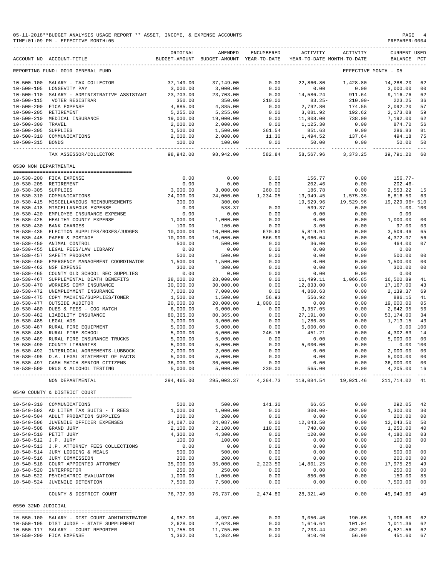|                                      | 05-11-2018**BUDGET ANALYSIS USAGE REPORT ** ASSET, INCOME, & EXPENSE ACCOUNTS<br>TIME: 01:09 PM - EFFECTIVE MONTH: 05<br>------------------------------ |                        |                                                     |                          |                          |                                        | PAGE<br>PREPARER: 0004                |                |
|--------------------------------------|---------------------------------------------------------------------------------------------------------------------------------------------------------|------------------------|-----------------------------------------------------|--------------------------|--------------------------|----------------------------------------|---------------------------------------|----------------|
|                                      | ACCOUNT NO ACCOUNT-TITLE                                                                                                                                | ORIGINAL               | AMENDED<br>BUDGET-AMOUNT BUDGET-AMOUNT YEAR-TO-DATE | ENCUMBERED               | ACTIVITY                 | ACTIVITY<br>YEAR-TO-DATE MONTH-TO-DATE | <b>CURRENT USED</b><br><b>BALANCE</b> | PCT            |
|                                      | REPORTING FUND: 0010 GENERAL FUND                                                                                                                       |                        |                                                     |                          |                          |                                        | EFFECTIVE MONTH - 05                  |                |
|                                      | 10-500-100 SALARY - TAX COLLECTOR                                                                                                                       | 37,149.00              | 37,149.00                                           | 0.00                     | 22,860.80                | 1,428.80                               | 14,288.20                             | 62             |
|                                      | 10-500-105 LONGEVITY PAY                                                                                                                                | 3,000.00               | 3,000.00                                            | 0.00                     | 0.00                     | 0.00                                   | 3,000.00                              | 00             |
|                                      | 10-500-110 SALARY - ADMINISTRATIVE ASSISTANT                                                                                                            | 23,703.00              | 23,703.00                                           | 0.00                     | 14,586.24                | 911.64                                 | 9,116.76                              | 62             |
| $10 - 500 - 115$                     | VOTER REGISTRAR                                                                                                                                         | 350.00                 | 350.00                                              | 210.00                   | $83.25 -$                | $210.00 -$                             | 223.25                                | 36             |
|                                      | 10-500-200 FICA EXPENSE<br>10-500-205 RETIREMENT                                                                                                        | 4,885.00<br>5,255.00   | 4,885.00<br>5,255.00                                | 0.00<br>0.00             | 2,792.80<br>3,081.92     | 174.55<br>192.62                       | 2,092.20<br>2,173.08                  | 57<br>59       |
|                                      | 10-500-210 MEDICAL INSURANCE                                                                                                                            | 19,000.00              | 19,000.00                                           | 0.00                     | 11,808.00                | 738.00                                 | 7,192.00                              | 62             |
| 10-500-300 TRAVEL                    |                                                                                                                                                         | 2,000.00               | 2,000.00                                            | 0.00                     | 1,125.30                 | 0.00                                   | 874.70                                | 56             |
| 10-500-305 SUPPLIES                  |                                                                                                                                                         | 1,500.00               | 1,500.00                                            | 361.54                   | 851.63                   | 0.00                                   | 286.83                                | 81             |
| 10-500-315 BONDS                     | 10-500-310 COMMUNICATIONS                                                                                                                               | 2,000.00<br>100.00     | 2,000.00<br>100.00                                  | 11.30<br>0.00            | 1,494.52<br>50.00        | 137.64<br>0.00                         | 494.18<br>50.00                       | 75<br>50       |
|                                      | TAX ASSESSOR/COLLECTOR                                                                                                                                  | 98,942.00              | 98,942.00                                           | _____________<br>582.84  | 58,567.96                | 3, 373. 25                             | -------------<br>39,791.20            | $- - -$<br>60  |
| 0530 NON DEPARTMENTAL                |                                                                                                                                                         |                        |                                                     |                          |                          |                                        |                                       |                |
|                                      |                                                                                                                                                         |                        |                                                     |                          |                          |                                        |                                       |                |
|                                      | 10-530-200 FICA EXPENSE                                                                                                                                 | 0.00                   | 0.00                                                | 0.00                     | 156.77                   | 0.00                                   | $156.77-$                             |                |
|                                      | 10-530-205 RETIREMENT                                                                                                                                   | 0.00                   | 0.00                                                | 0.00                     | 202.46                   | 0.00                                   | $202.46-$                             |                |
| 10-530-305 SUPPLIES                  | 10-530-310 COMMUNICATIONS                                                                                                                               | 3,000.00<br>24,000.00  | 3,000.00<br>24,000.00                               | 260.00<br>1,234.05       | 186.78<br>13,949.45      | 0.00<br>1,575.35-                      | 2,553.22<br>8,816.50                  | -15<br>63      |
|                                      | 10-530-415 MISCELLANEOUS REINBURSEMENTS                                                                                                                 | 300.00                 | 300.00                                              |                          | 19,529.96                | 19,529.96                              | 19,229.96+ 510                        |                |
|                                      | 10-530-418 MISCELLANEOUS EXPENSE                                                                                                                        | 0.00                   | 538.37                                              | 0.00                     | 539.37                   | 0.00                                   | $1.00 - 100$                          |                |
|                                      | 10-530-420 EMPLOYEE INSURANCE EXPENSE                                                                                                                   | 0.00                   | 0.00                                                | 0.00                     | 0.00                     | 0.00                                   | 0.00                                  |                |
|                                      | 10-530-425 HEALTHY COUNTY EXPENSE                                                                                                                       | 1,000.00               | 1,000.00                                            | 0.00                     | 0.00                     | 0.00                                   | 1,000.00                              | 0 <sub>0</sub> |
| $10 - 530 - 430$                     | <b>BANK CHARGES</b>                                                                                                                                     | 100.00                 | 100.00                                              | 0.00                     | 3.00                     | 0.00                                   | 97.00                                 | 03             |
| $10 - 530 - 435$                     | ELECTION SUPPLIES/BOXES/JUDGES                                                                                                                          | 10,000.00<br>10,000.00 | 10,000.00<br>10,000.00                              | 670.60                   | 5,819.94                 | 0.00                                   | 3,509.46                              | 65             |
| $10 - 530 - 450$                     | 10-530-445 PAPER & POSTAGE<br>ANIMAL CONTROL                                                                                                            | 500.00                 | 500.00                                              | 566.99<br>0.00           | 5,060.04<br>36.00        | 0.00<br>0.00                           | 4,372.97<br>464.00                    | 56<br>07       |
|                                      | 10-530-455 LEGAL FEES/LAW LIBRARY                                                                                                                       | 0.00                   | 0.00                                                | 0.00                     | 0.00                     | 0.00                                   | 0.00                                  |                |
| $10 - 530 - 457$                     | SAFETY PROGRAM                                                                                                                                          | 500.00                 | 500.00                                              | 0.00                     | 0.00                     | 0.00                                   | 500.00                                | 00             |
| $10 - 530 - 460$                     | EMERGENCY MANAGEMENT COORDINATOR                                                                                                                        | 1,500.00               | 1,500.00                                            | 0.00                     | 0.00                     | 0.00                                   | 1,500.00                              | 0 <sub>0</sub> |
|                                      | 10-530-462 NSF EXPENSE                                                                                                                                  | 300.00                 | 300.00                                              | 0.00                     | 0.00                     | 0.00                                   | 300.00                                | 00             |
| $10 - 530 - 465$                     | COUNTY OLD SCHOOL REC SUPPLIES                                                                                                                          | 0.00                   | 0.00                                                | 0.00                     | 0.00                     | 0.00                                   | 0.00                                  |                |
| $10 - 530 - 467$<br>$10 - 530 - 470$ | SUPPLEMENTAL DEATH BENEFITS<br>WORKERS COMP INSURANCE                                                                                                   | 28,000.00<br>30,000.00 | 28,000.00<br>30,000.00                              | 0.00<br>0.00             | 11,499.11<br>12,833.00   | 1,066.85<br>0.00                       | 16,500.89<br>17,167.00                | 41<br>43       |
| $10 - 530 - 472$                     | UNEMPLOYMENT INSURANCE                                                                                                                                  | 7,000.00               | 7,000.00                                            | 0.00                     | 4,860.63                 | 0.00                                   | 2,139.37                              | 69             |
| 10-530-475                           | COPY MACHINE/SUPPLIES/TONER                                                                                                                             | 1,500.00               | 1,500.00                                            | 56.93                    | 556.92                   | 0.00                                   | 886.15                                | 41             |
| $10 - 530 - 477$                     | OUTSIDE AUDITOR                                                                                                                                         | 20,000.00              | 20,000.00                                           | 1,000.00                 | 0.00                     | 0.00                                   | 19,000.00                             | 05             |
| $10 - 530 - 480$                     | DUES & FEES - COG MATCH                                                                                                                                 | 6,000.00               | 6,000.00                                            | 0.00                     | 3,357.05                 | 0.00                                   | 2,642.95                              | 56             |
|                                      | 10-530-482 LIABILITY INSURANCE                                                                                                                          | 80,365.00              | 80,365.00                                           | 0.00                     | 27,191.00                | 0.00                                   | 53,174.00                             | 34             |
| 10-530-485 LEGAL ADS                 | 10-530-487 RURAL FIRE EQUIPMENT                                                                                                                         | 3,000.00<br>5,000.00   | 3,000.00<br>5,000.00                                | 0.00<br>0.00             | 1,286.85<br>5,000.00     | 0.00<br>0.00                           | 1,713.15<br>0.00                      | 43<br>100      |
|                                      | 10-530-488 RURAL FIRE SCHOOL                                                                                                                            | 5,000.00               | 5,000.00                                            | 246.16                   | 451.21                   | 0.00                                   | 4,302.63                              | 14             |
| $10 - 530 - 489$                     | RURAL FIRE INSURANCE TRUCKS                                                                                                                             | 5,000.00               | 5,000.00                                            | 0.00                     | 0.00                     | 0.00                                   | 5,000.00                              | 0 <sub>0</sub> |
| $10 - 530 - 490$                     | COUNTY LIBRARIES                                                                                                                                        | 5,000.00               | 5,000.00                                            | 0.00                     | 5,000.00                 | 0.00                                   | 0.00 100                              |                |
|                                      | 10-530-492 INTERLOCAL AGREEMENTS-LUBBOCK                                                                                                                | 2,000.00               | 2,000.00                                            | 0.00                     | 0.00                     | 0.00                                   | 2,000.00                              | 0 <sub>0</sub> |
|                                      | 10-530-495 D.A. LEGAL STATEMENT OF FACTS                                                                                                                | 5,000.00               | 5,000.00                                            | 0.00                     | 0.00                     | 0.00                                   | 5,000.00                              | 0 <sub>0</sub> |
|                                      | 10-530-497 CASH MATCH SENIOR CITIZENS                                                                                                                   | 36,000.00              | 36,000.00                                           | 0.00                     | 0.00                     | 0.00                                   | 36,000.00                             | 00             |
|                                      | 10-530-500 DRUG & ALCOHOL TESTING                                                                                                                       | 5,000.00               | 5,000.00                                            | 230.00                   | 565.00<br>------------   | 0.00                                   | 4,205.00                              | 16             |
|                                      | NON DEPARTMENTAL                                                                                                                                        | 294,465.00             | 295,003.37                                          | 4,264.73                 | 118,084.54               | 19,021.46                              | 211,714.02 41                         |                |
|                                      | 0540 COUNTY & DISTRICT COURT                                                                                                                            |                        |                                                     |                          |                          |                                        |                                       |                |
|                                      | 10-540-310 COMMUNICATIONS                                                                                                                               | 500.00                 | 500.00                                              | 141.30                   | 66.65                    | 0.00                                   | 292.05                                | 42             |
|                                      | 10-540-502 AD LITEM TAX SUITS - T REES                                                                                                                  | 1,000.00               | 1,000.00                                            | 0.00                     | $300.00 -$               | 0.00                                   | 1,300.00                              | 30             |
|                                      | 10-540-504 ADULT PROBATION SUPPLIES                                                                                                                     | 200.00                 | 200.00                                              | 0.00                     | 0.00                     | 0.00                                   | 200.00                                | 00<br>50       |
|                                      | 10-540-506 JUVENILE OFFICER EXPENSES<br>10-540-508 GRAND JURY                                                                                           | 24,087.00<br>2,100.00  | 24,087.00<br>2,100.00                               | 0.00<br>110.00           | 12,043.50<br>740.00      | 0.00<br>0.00                           | 12,043.50<br>1,250.00                 | 40             |
|                                      | 10-540-510 PETIT JURY                                                                                                                                   | 4,300.00               | 4,300.00                                            | 0.00                     | 120.00                   | 0.00                                   | 4,180.00                              | 03             |
| 10-540-512 J.P. JURY                 |                                                                                                                                                         | 100.00                 | 100.00                                              | 0.00                     | 0.00                     | 0.00                                   | 100.00                                | 00             |
|                                      | 10-540-513 J.P. ATTORNEY FEES COLLECTIONS                                                                                                               | 0.00                   | 0.00                                                | 0.00                     | 0.00                     | 0.00                                   | 0.00                                  |                |
|                                      | 10-540-514 JURY LODGING & MEALS                                                                                                                         | 500.00                 | 500.00                                              | 0.00                     | 0.00                     | 0.00                                   | 500.00                                | 00             |
|                                      | 10-540-516 JURY COMMISSION                                                                                                                              | 200.00                 | 200.00                                              | 0.00                     | 0.00                     | 0.00                                   | 200.00                                | 0 <sub>0</sub> |
|                                      | 10-540-518 COURT APPOINTED ATTORNEY<br>10-540-520 INTERPRETOR                                                                                           | 35,000.00<br>250.00    | 35,000.00<br>250.00                                 | 2,223.50<br>0.00         | 14,801.25<br>0.00        | 0.00<br>0.00                           | 17,975.25<br>250.00                   | 49<br>00       |
|                                      | 10-540-522 PSYCHIATRIC EVALUATION                                                                                                                       | 1,000.00               | 1,000.00                                            | 0.00                     | 850.00                   | 0.00                                   | 150.00                                | 85             |
|                                      | 10-540-524 JUVENILE DETENTION                                                                                                                           | 7,500.00               | 7,500.00                                            | 0.00                     | 0.00                     | 0.00                                   | 7,500.00                              | 0 <sub>0</sub> |
|                                      | COUNTY & DISTRICT COURT                                                                                                                                 | 76,737.00              | __________<br>76,737.00                             | ------------<br>2,474.80 | -----------<br>28,321.40 | ------------<br>0.00                   | --------------<br>45,940.80           | $  -$<br>40    |
| 0550 32ND JUDICIAL                   |                                                                                                                                                         |                        |                                                     |                          |                          |                                        |                                       |                |
|                                      |                                                                                                                                                         |                        |                                                     |                          |                          |                                        |                                       |                |
|                                      | 10-550-100 SALARY - DIST COURT ADMINISTRATOR                                                                                                            | 4,957.00               | 4,957.00                                            | 0.00                     | 3,050.40                 | 190.65                                 | 1,906.60                              | 62             |
|                                      | 10-550-105 DIST JUDGE - STATE SUPPLEMENT<br>10-550-117 SALARY - COURT REPORTER                                                                          | 2,628.00<br>11,755.00  | 2,628.00<br>11,755.00                               | 0.00<br>0.00             | 1,616.64<br>7,233.44     | 101.04<br>452.09                       | 1,011.36<br>4,521.56                  | 62<br>62       |
|                                      | 10-550-200 FICA EXPENSE                                                                                                                                 | 1,362.00               | 1,362.00                                            | 0.00                     | 910.40                   | 56.90                                  | 451.60                                | 67             |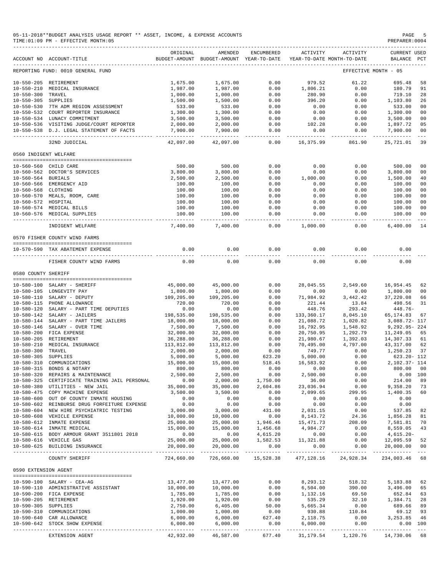| 05-11-2018**BUDGET ANALYSIS USAGE REPORT ** ASSET, INCOME, & EXPENSE ACCOUNTS | PAGE           |
|-------------------------------------------------------------------------------|----------------|
| TIME:01:09 PM - EFFECTIVE MONTH:05                                            | PREPARER: 0004 |

|                       | ACCOUNT NO ACCOUNT-TITLE                                                                         | ORIGINAL          | AMENDED<br>BUDGET-AMOUNT BUDGET-AMOUNT YEAR-TO-DATE                                                                                                       | ENCUMBERED          | ACTIVITY                  | ACTIVITY<br>YEAR-TO-DATE MONTH-TO-DATE | CURRENT USED<br>BALANCE | $_{\rm PCT}$              |
|-----------------------|--------------------------------------------------------------------------------------------------|-------------------|-----------------------------------------------------------------------------------------------------------------------------------------------------------|---------------------|---------------------------|----------------------------------------|-------------------------|---------------------------|
|                       | REPORTING FUND: 0010 GENERAL FUND                                                                |                   |                                                                                                                                                           |                     |                           |                                        | EFFECTIVE MONTH - 05    |                           |
|                       | 10-550-205 RETIREMENT                                                                            | 1,675.00          | 1,675.00                                                                                                                                                  | 0.00                | 979.52                    | 61.22                                  | 695.48                  | 58                        |
| $10 - 550 - 210$      |                                                                                                  |                   |                                                                                                                                                           |                     |                           |                                        | 180.79                  |                           |
|                       | MEDICAL INSURANCE                                                                                | 1,987.00          | 1,987.00                                                                                                                                                  | 0.00                | 1,806.21                  | 0.00                                   |                         | 91                        |
| $10 - 550 - 300$      | TRAVEL                                                                                           | 1,000.00          | 1,000.00                                                                                                                                                  | 0.00                | 280.90                    | 0.00                                   | 719.10                  | 28                        |
| 10-550-305 SUPPLIES   |                                                                                                  | 1,500.00          | 1,500.00                                                                                                                                                  | 0.00                | 396.20                    | 0.00                                   | 1,103.80                | 26                        |
|                       | 10-550-530 7TH ADM REGION ASSESSMENT                                                             | 533.00            | 533.00                                                                                                                                                    | 0.00                | 0.00                      | 0.00                                   | 533.00                  | 0 <sup>0</sup>            |
|                       | 10-550-532 COURT REPORTER INSURANCE                                                              | 1,300.00          | 1,300.00                                                                                                                                                  | 0.00                | 0.00                      | 0.00                                   | 1,300.00                | 0 <sub>0</sub>            |
|                       | 10-550-534 LUNACY COMMITMENT                                                                     | 3,500.00          | 3,500.00                                                                                                                                                  | 0.00                | 0.00                      | 0.00                                   | 3,500.00                | 0 <sub>0</sub>            |
|                       | 10-550-536 VISITING JUDGE/COURT REPORTER                                                         | 2,000.00          | 2,000.00                                                                                                                                                  | 0.00                | 102.28                    | 0.00                                   | 1,897.72                | 05                        |
|                       | 10-550-538 D.J. LEGAL STATEMENT OF FACTS                                                         | 7,900.00          | 7,900.00                                                                                                                                                  | 0.00                | 0.00                      | 0.00                                   | 7,900.00                | 00                        |
|                       | 32ND JUDICIAL                                                                                    | 42,097.00         | 42,097.00                                                                                                                                                 | $- - - - -$<br>0.00 | 16,375.99                 | .<br>861.90                            | 25,721.01               | 39                        |
| 0560 INDIGENT WELFARE |                                                                                                  |                   |                                                                                                                                                           |                     |                           |                                        |                         |                           |
|                       |                                                                                                  |                   |                                                                                                                                                           |                     |                           |                                        |                         |                           |
|                       | 10-560-560 CHILD CARE                                                                            | 500.00            | 500.00                                                                                                                                                    | 0.00                | 0.00                      | 0.00                                   | 500.00                  | 0 <sub>0</sub>            |
|                       | 10-560-562 DOCTOR'S SERVICES                                                                     | 3,800.00          | 3,800.00                                                                                                                                                  | 0.00                | 0.00                      | 0.00                                   | 3,800.00                | 0 <sup>0</sup>            |
| 10-560-564 BURIALS    |                                                                                                  | 2,500.00          | 2,500.00                                                                                                                                                  | 0.00                | 1,000.00                  | 0.00                                   | 1,500.00                | 40                        |
|                       | 10-560-566 EMERGENCY AID                                                                         | 100.00            | 100.00                                                                                                                                                    | 0.00                | 0.00                      | 0.00                                   | 100.00                  | 0 <sub>0</sub>            |
| 10-560-568 CLOTHING   |                                                                                                  | 100.00            | 100.00                                                                                                                                                    | 0.00                | 0.00                      | 0.00                                   | 100.00                  | 0 <sub>0</sub>            |
|                       | 10-560-570 MEALS, ROOM, CARE                                                                     | 100.00            | 100.00                                                                                                                                                    | 0.00                | 0.00                      | 0.00                                   | 100.00                  | 00                        |
|                       |                                                                                                  |                   |                                                                                                                                                           |                     |                           |                                        |                         |                           |
| 10-560-572 HOSPITAL   |                                                                                                  | 100.00            | 100.00                                                                                                                                                    | 0.00                | 0.00                      | 0.00                                   | 100.00                  | 0 <sub>0</sub>            |
|                       | 10-560-574 MEDICAL BILLS                                                                         | 100.00            | 100.00                                                                                                                                                    | 0.00                | 0.00                      | 0.00                                   | 100.00                  | 00                        |
|                       | 10-560-576 MEDICAL SUPPLIES                                                                      | 100.00            | 100.00                                                                                                                                                    | 0.00                | 0.00                      | 0.00                                   | 100.00                  | 0 <sup>0</sup>            |
|                       | INDIGENT WELFARE                                                                                 | 7,400.00          | 7,400.00                                                                                                                                                  | $- - - -$<br>0.00   | 1,000.00                  | -----<br>0.00                          | 6,400.00                | 14                        |
|                       | 0570 FISHER COUNTY WIND FARMS                                                                    |                   |                                                                                                                                                           |                     |                           |                                        |                         |                           |
|                       |                                                                                                  |                   |                                                                                                                                                           |                     |                           |                                        |                         |                           |
|                       | 10-570-590 TAX ABATEMENT EXPENSE<br>------------------                                           | 0.00<br>$- - - -$ | 0.00<br>$\frac{1}{2} \frac{1}{2} \frac{1}{2} \frac{1}{2} \frac{1}{2} \frac{1}{2} \frac{1}{2} \frac{1}{2} \frac{1}{2} \frac{1}{2} \frac{1}{2} \frac{1}{2}$ | 0.00<br>$- - - -$   | 0.00<br>$- - - - -$       | 0.00                                   | 0.00                    |                           |
|                       | FISHER COUNTY WIND FARMS                                                                         | 0.00              | 0.00                                                                                                                                                      | 0.00                | 0.00                      | 0.00                                   | 0.00                    |                           |
| 0580 COUNTY SHERIFF   |                                                                                                  |                   |                                                                                                                                                           |                     |                           |                                        |                         |                           |
|                       |                                                                                                  |                   |                                                                                                                                                           |                     |                           |                                        |                         |                           |
|                       | 10-580-100 SALARY - SHERIFF                                                                      | 45,000.00         | 45,000.00                                                                                                                                                 | 0.00                | 28,045.55                 | 2,549.60                               | 16,954.45               | 62                        |
|                       | 10-580-105 LONGEVITY PAY                                                                         | 1,800.00          | 1,800.00                                                                                                                                                  | 0.00                | 0.00                      | 0.00                                   | 1,800.00                | 0 <sup>0</sup>            |
|                       | 10-580-110 SALARY - DEPUTY                                                                       | 109,205.00        | 109,205.00                                                                                                                                                | 0.00                | 71,984.92                 | 3,442.42                               | 37,220.08               | 66                        |
|                       | 10-580-115 PHONE ALLOWANCE                                                                       | 720.00            | 720.00                                                                                                                                                    | 0.00                | 221.44                    | 13.84                                  | 498.56                  | 31                        |
| $10 - 580 - 120$      | SALARY - PART TIME DEPUTIES                                                                      | 0.00              | 0.00                                                                                                                                                      | 0.00                | 448.76                    | 293.42                                 | $448.76-$               |                           |
|                       | 10-580-142 SALARY - JAILERS                                                                      | 198,535.00        | 198,535.00                                                                                                                                                | 0.00                | 133,360.17                |                                        | 65, 174.83              | 67                        |
|                       |                                                                                                  |                   |                                                                                                                                                           |                     |                           | 8,045.10                               |                         |                           |
| $10 - 580 - 144$      | SALARY - PART TIME JAILERS                                                                       | 18,000.00         | 18,000.00                                                                                                                                                 | 0.00                | 21,088.72                 | 1,020.82                               | 3,088.72- 117           |                           |
| $10 - 580 - 146$      | SALARY - OVER TIME                                                                               | 7,500.00          | 7,500.00                                                                                                                                                  | 0.00                | 16,792.95                 | 1,548.92                               | 9,292.95-224            |                           |
| 10-580-200            | FICA EXPENSE                                                                                     | 32,000.00         | 32,000.00                                                                                                                                                 | 0.00                | 20,750.95                 | 1,292.79                               | 11,249.05               | 65                        |
| $10 - 580 - 205$      | RETIREMENT                                                                                       | 36,288.00         | 36,288.00                                                                                                                                                 | 0.00                | 21,980.67                 | 1,392.03                               | 14,307.33               | 61                        |
| $10 - 580 - 210$      | MEDICAL INSURANCE                                                                                | 113,812.00        | 113,812.00                                                                                                                                                | 0.00                | 70,495.00                 | 4,797.00                               | 43, 317.00              | 62                        |
| $10 - 580 - 300$      | TRAVEL                                                                                           | 2,000.00          | 2,000.00                                                                                                                                                  | 0.00                | 749.77                    | 0.00                                   | 1,250.23                | 37                        |
| $10 - 580 - 305$      | SUPPLIES                                                                                         | 5,000.00          | 5,000.00                                                                                                                                                  | 623.20              | 5,000.00                  | 0.00                                   | 623.20- 112             |                           |
| $10 - 580 - 310$      | COMMUNICATIONS                                                                                   | 15,000.00         | 15,000.00                                                                                                                                                 | 518.45              | 16,583.92                 | 0.00                                   | 2,102.37- 114           |                           |
| $10 - 580 - 315$      |                                                                                                  |                   |                                                                                                                                                           |                     |                           |                                        |                         |                           |
|                       | BONDS & NOTARY                                                                                   | 800.00            | 800.00                                                                                                                                                    | 0.00                | 0.00                      | 0.00                                   | 800.00                  | 00                        |
| 10-580-320            | REPAIRS & MAINTENANCE                                                                            | 2,500.00          | 2,500.00                                                                                                                                                  | 0.00                | 2,500.00                  | 0.00                                   | 0.00 100                |                           |
|                       | 10-580-325 CERTIFICATE TRAINING JAIL PERSONAL                                                    | 0.00              | 2,000.00                                                                                                                                                  | 1,750.00            | 36.00                     | 0.00                                   | 214.00                  | 89                        |
|                       | 10-580-380 UTILITIES - NEW JAIL                                                                  | 35,000.00         | 35,000.00                                                                                                                                                 | 2,604.86            | 23,036.94                 | 0.00                                   | 9,358.20                | 73                        |
|                       | 10-580-475 COPY MACHINE EXPENSE                                                                  | 3,500.00          | 3,500.00                                                                                                                                                  | 0.00                | 2,099.65                  | 299.95                                 | 1,400.35                | 60                        |
|                       | 10-580-600 OUT OF COUNTY INMATE HOUSING                                                          | 0.00              | 0.00                                                                                                                                                      | 0.00                | 0.00                      | 0.00                                   | 0.00                    |                           |
|                       | 10-580-602 REINBURSE DRUG FORFEITURE EXPENSE                                                     | 0.00              | 0.00                                                                                                                                                      | 0.00                | 0.00                      | 0.00                                   | 0.00                    |                           |
|                       | 10-580-604 NEW HIRE PSYCHIATRIC TESTING                                                          | 3,000.00          | 3,000.00                                                                                                                                                  | 431.00              | 2,031.15                  | 0.00                                   | 537.85                  | 82                        |
|                       | 10-580-608 VEHICLE EXPENSE                                                                       | 10,000.00         | 10,000.00                                                                                                                                                 | 0.00                | 8,143.72                  | 24.36                                  | 1,856.28                | 81                        |
|                       | 10-580-612 INMATE EXPENSE                                                                        | 25,000.00         | 25,000.00                                                                                                                                                 | 1,946.46            | 15,471.73                 | 208.09                                 | 7,581.81                | 70                        |
|                       |                                                                                                  |                   |                                                                                                                                                           |                     |                           |                                        |                         |                           |
|                       | 10-580-614 INMATE MEDICAL                                                                        | 15,000.00         | 15,000.00                                                                                                                                                 | 1,456.68            | 4,984.27                  | 0.00                                   | 8,559.05                | 43                        |
|                       | 10-580-615 BODY ARMOUR GRANT 3511801 2018                                                        | 0.00              | 0.00                                                                                                                                                      | 4,615.20            | 0.00                      | 0.00                                   | $4,615.20-$             |                           |
|                       | 10-580-616 VEHICLE GAS<br>10-580-625 BUILDING INSURANCE                                          | 25,000.00         | 25,000.00                                                                                                                                                 | 1,582.53            | 11,321.88                 | 0.00                                   | 12,095.59<br>20,000.00  | 52<br>0 <sub>0</sub>      |
|                       |                                                                                                  | 20,000.00         | 20,000.00                                                                                                                                                 | 0.00                | 0.00                      | 0.00                                   |                         | $\frac{1}{2}$             |
|                       | COUNTY SHERIFF                                                                                   | 724,660.00        | 726,660.00                                                                                                                                                | 15,528.38           | 477,128.16                | 24,928.34                              | 234,003.46              | 68                        |
| 0590 EXTENSION AGENT  |                                                                                                  |                   |                                                                                                                                                           |                     |                           |                                        |                         |                           |
|                       | 10-590-100 SALARY - CEA-AG                                                                       | 13,477.00         | 13,477.00                                                                                                                                                 | 0.00                | 8,293.12                  | 518.32                                 | 5,183.88                | 62                        |
|                       | 10-590-110 ADMINISTRATIVE ASSISTANT                                                              | 10,000.00         | 10,000.00                                                                                                                                                 | 0.00                | 6,504.00                  | 390.00                                 | 3,496.00                | 65                        |
|                       | 10-590-200 FICA EXPENSE                                                                          | 1,785.00          | 1,785.00                                                                                                                                                  | 0.00                | 1,132.16                  | 69.50                                  | 652.84                  | 63                        |
|                       |                                                                                                  |                   |                                                                                                                                                           |                     |                           |                                        |                         |                           |
|                       | 10-590-205 RETIREMENT                                                                            | 1,920.00          | 1,920.00                                                                                                                                                  | 0.00                | 535.29                    | 32.10                                  | 1,384.71                | 28                        |
| 10-590-305 SUPPLIES   |                                                                                                  | 2,750.00          | 6,405.00                                                                                                                                                  | 50.00               | 5,665.34                  | 0.00                                   | 689.66                  | 89                        |
|                       | 10-590-310 COMMUNICATIONS                                                                        | 1,000.00          | 1,000.00                                                                                                                                                  | 0.00                | 930.88                    | 110.84                                 | 69.12                   | 93                        |
|                       | 10-590-640 CAR ALLOWANCE                                                                         | 6,000.00          | 6,000.00                                                                                                                                                  | 627.40              | 2,118.75                  | 0.00                                   | 3, 253.85               | 46                        |
|                       | 10-590-642 STOCK SHOW EXPENSE<br>--------------------------<br>------------------- ------------- | 6,000.00          | 6,000.00<br>_____________                                                                                                                                 | 0.00                | 6,000.00<br>------------- | 0.00<br>------------                   | --------------          | 0.00 100<br>$\frac{1}{2}$ |
|                       | EXTENSION AGENT                                                                                  | 42,932.00         | 46,587.00                                                                                                                                                 | 677.40              | 31,179.54                 | 1,120.76                               | 14,730.06               | 68                        |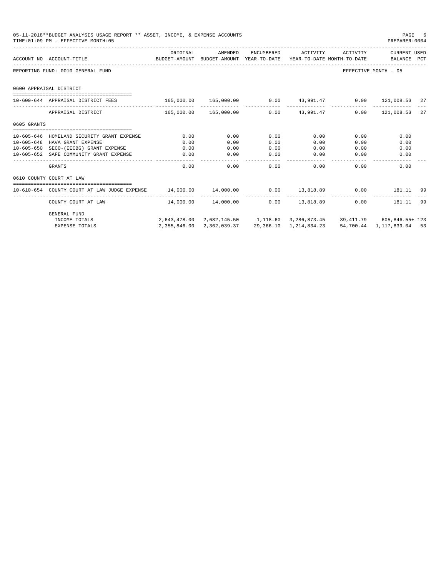|                  | 05-11-2018**BUDGET ANALYSIS USAGE REPORT ** ASSET, INCOME, & EXPENSE ACCOUNTS<br>TIME: 01:09 PM - EFFECTIVE MONTH: 05 |                                                                 |                                            |              |                     |              | PAGE<br>PREPARER: 0004                                                    | -6 |
|------------------|-----------------------------------------------------------------------------------------------------------------------|-----------------------------------------------------------------|--------------------------------------------|--------------|---------------------|--------------|---------------------------------------------------------------------------|----|
|                  | ACCOUNT NO ACCOUNT-TITLE COMPUTE SUDGET-AMOUNT BUDGET-AMOUNT YEAR-TO-DATE YEAR-TO-DATE MONTH-TO-DATE BALANCE PCT      | ORIGINAL                                                        | AMENDED                                    |              | ENCUMBERED ACTIVITY |              | ACTIVITY CURRENT USED                                                     |    |
|                  | REPORTING FUND: 0010 GENERAL FUND                                                                                     |                                                                 |                                            |              |                     |              | EFFECTIVE MONTH - 05                                                      |    |
|                  | 0600 APPRAISAL DISTRICT                                                                                               |                                                                 |                                            |              |                     |              |                                                                           |    |
|                  | 10-600-644 APPRAISAL DISTRICT FEES                                                                                    | $165,000.00$ $165,000.00$ 0.00 $43,991.47$ 0.00 $121,008.53$ 27 |                                            |              |                     |              |                                                                           |    |
|                  | APPRAISAL DISTRICT                                                                                                    | 165,000.00 165,000.00 0.00 43,991.47 0.00 121,008.53 27         |                                            |              |                     |              |                                                                           |    |
| 0605 GRANTS      |                                                                                                                       |                                                                 |                                            |              |                     |              |                                                                           |    |
|                  |                                                                                                                       |                                                                 |                                            |              |                     |              |                                                                           |    |
|                  | 10-605-646 HOMELAND SECURITY GRANT EXPENSE                                                                            | 0.00                                                            | 0.00                                       | 0.00         | 0.00                | 0.00         | 0.00                                                                      |    |
| $10 - 605 - 648$ | HAVA GRANT EXPENSE<br>10-605-650 SECO-(EECBG) GRANT EXPENSE                                                           | 0.00<br>0.00                                                    | 0.00<br>0.00                               | 0.00<br>0.00 | 0.00                | 0.00<br>0.00 | 0.00                                                                      |    |
|                  | 10-605-652 SAFE COMMUNITY GRANT EXPENSE                                                                               | 0.00                                                            | 0.00                                       | 0.00         | 0.00<br>0.00        | 0.00         | 0.00<br>0.00                                                              |    |
|                  |                                                                                                                       |                                                                 | _____________                              | -------      | -----------         | ------------ |                                                                           |    |
|                  | GRANTS                                                                                                                | 0.00                                                            | 0.00                                       |              | 0.00                | 0.00         | 0.00<br>0.00                                                              |    |
|                  | 0610 COUNTY COURT AT LAW                                                                                              |                                                                 |                                            |              |                     |              |                                                                           |    |
|                  |                                                                                                                       |                                                                 |                                            |              |                     |              |                                                                           |    |
|                  | COUNTY COURT AT LAW                                                                                                   |                                                                 | $14,000.00$ $14,000.00$ $0.00$ $13,818.89$ |              |                     |              | 0.00 181.11 99                                                            |    |
|                  | <b>GENERAL FUND</b>                                                                                                   |                                                                 |                                            |              |                     |              |                                                                           |    |
|                  | INCOME TOTALS                                                                                                         |                                                                 |                                            |              |                     |              | 2,643,478.00 2,682,145.50 1,118.60 3,286,873.45 39,411.79 605,846.55+ 123 |    |
|                  | <b>EXPENSE TOTALS</b>                                                                                                 |                                                                 | 2, 355, 846.00 2, 362, 039.37              |              |                     |              | 29,366.10 1,214,834.23 54,700.44 1,117,839.04 53                          |    |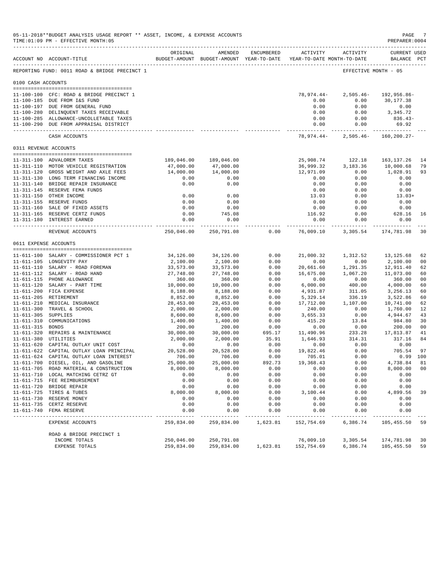|                    | 05-11-2018**BUDGET ANALYSIS USAGE REPORT ** ASSET, INCOME, & EXPENSE ACCOUNTS<br>TIME: 01:09 PM - EFFECTIVE MONTH: 05 |                        |                                                     |              |                           |                                        | PAGE<br>PREPARER: 0004      |                |
|--------------------|-----------------------------------------------------------------------------------------------------------------------|------------------------|-----------------------------------------------------|--------------|---------------------------|----------------------------------------|-----------------------------|----------------|
|                    | ACCOUNT NO ACCOUNT-TITLE                                                                                              | ORIGINAL               | AMENDED<br>BUDGET-AMOUNT BUDGET-AMOUNT YEAR-TO-DATE | ENCUMBERED   | ACTIVITY                  | ACTIVITY<br>YEAR-TO-DATE MONTH-TO-DATE | CURRENT USED<br>BALANCE PCT |                |
|                    | REPORTING FUND: 0011 ROAD & BRIDGE PRECINCT 1                                                                         |                        |                                                     |              |                           |                                        | EFFECTIVE MONTH - 05        |                |
| 0100 CASH ACCOUNTS |                                                                                                                       |                        |                                                     |              |                           |                                        |                             |                |
|                    | 11-100-100 CFC: ROAD & BRIDGE PRECINCT 1                                                                              |                        |                                                     |              | 78,974.44-                | $2,505.46-$                            | 192,956.86-                 |                |
|                    | 11-100-185 DUE FROM I&S FUND                                                                                          |                        |                                                     |              | 0.00                      | 0.00                                   | 30,177.38                   |                |
|                    | 11-100-197 DUE FROM GENERAL FUND                                                                                      |                        |                                                     |              | 0.00                      | 0.00                                   | 0.00                        |                |
|                    | 11-100-280 DELINQUENT TAXES RECEIVABLE<br>11-100-285 ALLOWANCE-UNCOLLETABLE TAXES                                     |                        |                                                     |              | 0.00<br>0.00              | 0.00<br>0.00                           | 3,345.72<br>$836.43-$       |                |
|                    | 11-100-290 DUE FROM APPRAISAL DISTRICT                                                                                |                        |                                                     |              | 0.00                      | 0.00                                   | 69.92                       |                |
|                    | CASH ACCOUNTS                                                                                                         |                        |                                                     |              | -----------<br>78,974.44- | $2,505.46-$                            | $160, 200.27 -$             |                |
|                    | 0311 REVENUE ACCOUNTS                                                                                                 |                        |                                                     |              |                           |                                        |                             |                |
|                    |                                                                                                                       |                        |                                                     |              |                           |                                        |                             |                |
|                    | 11-311-100 ADVALOREM TAXES                                                                                            | 189,046.00             | 189,046.00                                          |              | 25,908.74                 | 122.18                                 | 163, 137. 26                | 14             |
|                    | 11-311-110 MOTOR VEHICLE REGISTRATION<br>11-311-120 GROSS WEIGHT AND AXLE FEES                                        | 47,000.00<br>14,000.00 | 47,000.00<br>14,000.00                              |              | 36,999.32<br>12,971.09    | 3,183.36<br>0.00                       | 10,000.68<br>1,028.91       | 79<br>93       |
|                    | 11-311-130 LONG TERM FINANCING INCOME                                                                                 | 0.00                   | 0.00                                                |              | 0.00                      | 0.00                                   | 0.00                        |                |
|                    | 11-311-140 BRIDGE REPAIR INSURANCE                                                                                    | 0.00                   | 0.00                                                |              | 0.00                      | 0.00                                   | 0.00                        |                |
|                    | 11-311-145 RESERVE FEMA FUNDS                                                                                         |                        |                                                     |              | 0.00                      | 0.00                                   | 0.00                        |                |
|                    | 11-311-150 OTHER INCOME                                                                                               | 0.00                   | 0.00                                                |              | 13.03                     | 0.00                                   | $13.03+$                    |                |
|                    | 11-311-155 RESERVE FUNDS                                                                                              | 0.00                   | 0.00                                                |              | 0.00                      | 0.00                                   | 0.00                        |                |
|                    | 11-311-160 SALE OF FIXED ASSETS                                                                                       | 0.00                   | 0.00                                                |              | 0.00                      | 0.00                                   | 0.00                        |                |
|                    | 11-311-165 RESERVE CERTZ FUNDS                                                                                        | 0.00                   | 745.08                                              |              | 116.92                    | 0.00                                   | 628.16                      | 16             |
|                    | 11-311-180 INTEREST EARNED                                                                                            | 0.00                   | 0.00<br>------------ <i>-</i>                       |              | 0.00                      | 0.00<br>------------ -------------     | 0.00<br>-------------       |                |
|                    | REVENUE ACCOUNTS                                                                                                      | 250,046.00             | 250,791.08                                          | 0.00         | 76,009.10                 | 3,305.54                               | 174,781.98                  | 30             |
|                    | 0611 EXPENSE ACCOUNTS                                                                                                 |                        |                                                     |              |                           |                                        |                             |                |
|                    | 11-611-100 SALARY - COMMISSIONER PCT 1                                                                                | 34,126.00              | 34,126.00                                           | 0.00         | 21,000.32                 | 1,312.52                               | 13,125.68                   | 62             |
|                    | 11-611-105 LONGEVITY PAY                                                                                              | 2,100.00               | 2,100.00                                            | 0.00         | 0.00                      | 0.00                                   | 2,100.00                    | 00             |
|                    | 11-611-110 SALARY - ROAD FOREMAN                                                                                      | 33,573.00              | 33,573.00                                           | 0.00         | 20,661.60                 | 1,291.35                               | 12,911.40                   | 62             |
|                    | 11-611-112 SALARY - ROAD HAND                                                                                         | 27,748.00              | 27,748.00                                           | 0.00         | 16,675.00                 | 1,067.20                               | 11,073.00                   | 60             |
|                    | 11-611-115 PHONE ALLOWANCE                                                                                            | 360.00                 | 360.00                                              | 0.00         | 0.00                      | 0.00                                   | 360.00                      | 0 <sub>0</sub> |
|                    | 11-611-120 SALARY - PART TIME                                                                                         | 10,000.00              | 10,000.00                                           | 0.00         | 6,000.00                  | 400.00                                 | 4,000.00                    | 60             |
|                    | 11-611-200 FICA EXPENSE                                                                                               | 8,188.00               | 8,188.00                                            | 0.00         | 4,931.87                  | 311.05                                 | 3,256.13                    | 60             |
|                    | 11-611-205 RETIREMENT                                                                                                 | 8,852.00               | 8,852.00                                            | 0.00         | 5,329.14                  | 336.19                                 | 3,522.86                    | 60             |
|                    | 11-611-210 MEDICAL INSURANCE                                                                                          | 28,453.00              | 28,453.00                                           | 0.00         | 17,712.00                 | 1,107.00                               | 10,741.00                   | 62             |
| $11 - 611 - 305$   | 11-611-300 TRAVEL & SCHOOL<br>SUPPLIES                                                                                | 2,000.00               | 2,000.00                                            | 0.00<br>0.00 | 240.00<br>3,655.33        | 0.00<br>0.00                           | 1,760.00<br>4,944.67        | 12<br>43       |
| $11 - 611 - 310$   | COMMUNICATIONS                                                                                                        | 8,600.00<br>1,400.00   | 8,600.00<br>1,400.00                                | 0.00         | 415.20                    | 13.84                                  | 984.80                      | 30             |
| 11-611-315 BONDS   |                                                                                                                       | 200.00                 | 200.00                                              | 0.00         | 0.00                      | 0.00                                   | 200.00                      | 00             |
|                    | 11-611-320 REPAIRS & MAINTENANCE                                                                                      | 30,000.00              | 30,000.00                                           | 695.17       | 11,490.96                 | 233.28                                 | 17,813.87                   | 41             |
|                    | 11-611-380 UTILITIES                                                                                                  | 2,000.00               | 2,000.00                                            | 35.91        | 1,646.93                  | 314.31                                 | 317.16                      | 84             |
|                    | 11-611-620 CAPITAL OUTLAY UNIT COST                                                                                   | 0.00                   | 0.00                                                | 0.00         | 0.00                      | 0.00                                   | 0.00                        |                |
|                    | 11-611-622 CAPITAL OUTLAY LOAN PRINCIPAL                                                                              | 20,528.00              | 20,528.00                                           | 0.00         | 19,822.46                 | 0.00                                   | 705.54                      | 97             |
|                    | 11-611-624 CAPITAL OUTLAY LOAN INTEREST                                                                               | 706.00                 | 706.00                                              | 0.00         | 705.01                    | 0.00                                   |                             | $0.99$ 100     |
|                    | 11-611-700 DIESEL, OIL, AND GASOLINE                                                                                  | 25,000.00              | 25,000.00                                           | 892.73       | 19,368.43                 | 0.00                                   | 4,738.84                    | 81             |
|                    | 11-611-705 ROAD MATERIAL & CONSTRUCTION                                                                               | 8,000.00               | 8,000.00                                            | 0.00         | 0.00                      | 0.00                                   | 8,000.00                    | 0 <sub>0</sub> |
|                    | 11-611-710 LOCAL MATCHING CETRZ GT                                                                                    | 0.00                   | 0.00                                                | 0.00         | 0.00                      | 0.00                                   | 0.00                        |                |
|                    | 11-611-715 FEE REIMBURSEMENT<br>11-611-720 BRIDGE REPAIR                                                              | 0.00<br>0.00           | 0.00<br>0.00                                        | 0.00<br>0.00 | 0.00<br>0.00              | 0.00<br>0.00                           | 0.00<br>0.00                |                |
|                    | 11-611-725 TIRES & TUBES                                                                                              | 8,000.00               | 8,000.00                                            | 0.00         | 3,100.44                  | 0.00                                   | 4,899.56                    | 39             |
|                    | 11-611-730 RESERVE MONEY                                                                                              | 0.00                   | 0.00                                                | 0.00         | 0.00                      | 0.00                                   | 0.00                        |                |
|                    | 11-611-735 CERTZ RESERVE                                                                                              | 0.00                   | 0.00                                                | 0.00         | 0.00                      | 0.00                                   | 0.00                        |                |
|                    | 11-611-740 FEMA RESERVE                                                                                               | 0.00                   | 0.00                                                | 0.00         | 0.00                      | 0.00                                   | 0.00                        |                |
|                    | EXPENSE ACCOUNTS                                                                                                      | 259,834.00             | 259,834.00                                          | 1,623.81     | 152,754.69                | 6,386.74                               | 105,455.50                  | 59             |
|                    | ROAD & BRIDGE PRECINCT 1                                                                                              |                        |                                                     |              |                           |                                        |                             |                |
|                    | INCOME TOTALS                                                                                                         | 250,046.00             | 250,791.08                                          |              | 76,009.10                 | 3,305.54                               | 174,781.98                  | 30             |
|                    | EXPENSE TOTALS                                                                                                        | 259,834.00             | 259,834.00                                          | 1,623.81     | 152,754.69                | 6,386.74                               | 105,455.50                  | 59             |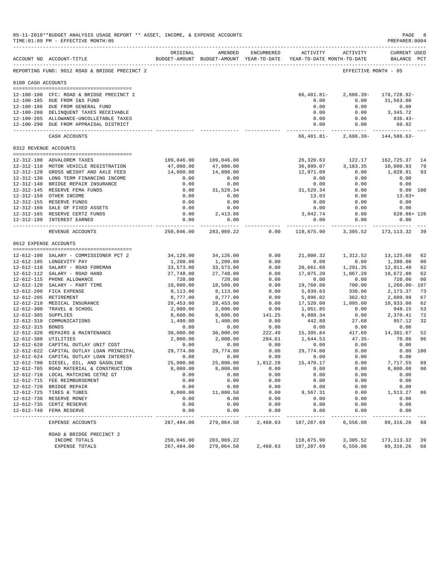|                       | 05-11-2018**BUDGET ANALYSIS USAGE REPORT ** ASSET, INCOME, & EXPENSE ACCOUNTS<br>TIME: 01:09 PM - EFFECTIVE MONTH: 05 |                        |                                                     |                  |                                               |                              | PAGE<br>PREPARER: 0004            |                      |
|-----------------------|-----------------------------------------------------------------------------------------------------------------------|------------------------|-----------------------------------------------------|------------------|-----------------------------------------------|------------------------------|-----------------------------------|----------------------|
|                       | ACCOUNT NO ACCOUNT-TITLE                                                                                              | ORIGINAL               | AMENDED<br>BUDGET-AMOUNT BUDGET-AMOUNT YEAR-TO-DATE | ENCUMBERED       | <b>ACTIVITY</b><br>YEAR-TO-DATE MONTH-TO-DATE | ACTIVITY                     | CURRENT USED<br>BALANCE PCT       |                      |
|                       | REPORTING FUND: 0012 ROAD & BRIDGE PRECINCT 2                                                                         |                        |                                                     |                  |                                               |                              | EFFECTIVE MONTH - 05              |                      |
| 0100 CASH ACCOUNTS    |                                                                                                                       |                        |                                                     |                  |                                               |                              |                                   |                      |
|                       | 12-100-100 CFC: ROAD & BRIDGE PRECINCT 2                                                                              |                        |                                                     |                  | 66,481.81-                                    | $2,686.39-$                  | 178,728.92-                       |                      |
|                       | 12-100-185 DUE FROM I&S FUND                                                                                          |                        |                                                     |                  | 0.00                                          | 0.00                         | 31,563.08                         |                      |
|                       | 12-100-186 DUE FROM GENERAL FUND                                                                                      |                        |                                                     |                  | 0.00                                          | 0.00                         | 0.00<br>3, 345, 72                |                      |
|                       | 12-100-280 DELINQUENT TAXES RECEIVABLE<br>12-100-285 ALLOWANCE-UNCOLLETABLE TAXES                                     |                        |                                                     |                  | 0.00<br>0.00                                  | 0.00<br>0.00                 | $836.43-$                         |                      |
|                       | 12-100-290 DUE FROM APPRAISAL DISTRICT                                                                                |                        |                                                     |                  | 0.00                                          | 0.00                         | 69.92                             |                      |
|                       | CASH ACCOUNTS                                                                                                         |                        |                                                     |                  | ------------<br>66,481.81-                    | -------------<br>$2,686.39-$ | 144,586.63-                       |                      |
|                       | 0312 REVENUE ACCOUNTS                                                                                                 |                        |                                                     |                  |                                               |                              |                                   |                      |
|                       |                                                                                                                       |                        |                                                     |                  |                                               |                              |                                   |                      |
|                       | 12-312-100 ADVALOREM TAXES                                                                                            | 189,046.00             | 189,046.00                                          |                  | 26,320.63                                     | 122.17                       | 162,725.37                        | 14                   |
|                       | 12-312-110 MOTOR VEHICLE REGISTRATION<br>12-312-120 GROSS WEIGHT AND AXLE FEES                                        | 47,000.00<br>14,000.00 | 47,000.00<br>14,000.00                              |                  | 36,999.07                                     | 3,183.35                     | 10,000.93                         | 79                   |
|                       | 12-312-130 LONG TERM FINANCING INCOME                                                                                 | 0.00                   | 0.00                                                |                  | 12,971.09<br>0.00                             | 0.00<br>0.00                 | 1,028.91<br>0.00                  | 93                   |
|                       | 12-312-140 BRIDGE REPAIR INSURANCE                                                                                    | 0.00                   | 0.00                                                |                  | 0.00                                          | 0.00                         | 0.00                              |                      |
|                       | 12-312-145 RESERVE FEMA FUNDS                                                                                         | 0.00                   | 31,529.34                                           |                  | 31,529.34                                     | 0.00                         | 0.00 100                          |                      |
|                       | 12-312-150 OTHER INCOME                                                                                               | 0.00                   | 0.00                                                |                  | 13.03                                         | 0.00                         | $13.03+$                          |                      |
|                       | 12-312-155 RESERVE FUNDS                                                                                              | 0.00                   | 0.00                                                |                  | 0.00                                          | 0.00                         | 0.00                              |                      |
|                       | 12-312-160 SALE OF FIXED ASSETS                                                                                       | 0.00                   | 0.00                                                |                  | 0.00                                          | 0.00                         | 0.00                              |                      |
|                       | 12-312-165 RESERVE CERTZ FUNDS                                                                                        | 0.00                   | 2,413.88                                            |                  | 3,042.74                                      | 0.00                         | $628.86 + 126$                    |                      |
|                       | 12-312-180 INTEREST EARNED                                                                                            | 0.00<br>------------   | 0.00<br>------------                                |                  | 0.00                                          | 0.00                         | 0.00<br>. _ _ _ _ _ _ _ _ _ _ _ _ |                      |
|                       | REVENUE ACCOUNTS                                                                                                      | 250,046.00             | 283,989.22                                          | 0.00             | 110,875.90                                    | 3,305.52                     | 173, 113.32                       | 39                   |
| 0612 EXPENSE ACCOUNTS |                                                                                                                       |                        |                                                     |                  |                                               |                              |                                   |                      |
|                       | 12-612-100 SALARY - COMMISSIONER PCT 2                                                                                | 34,126.00              | 34,126.00                                           | 0.00             | 21,000.32                                     | 1,312.52                     | 13,125.68                         | 62                   |
|                       | 12-612-105 LONGEVITY PAY                                                                                              | 1,200.00               | 1,200.00                                            | 0.00             | 0.00                                          | 0.00                         | 1,200.00                          | 0 <sub>0</sub>       |
|                       | 12-612-110 SALARY - ROAD FOREMAN                                                                                      | 33,573.00              | 33,573.00                                           | 0.00             | 20,661.60                                     | 1,291.35                     | 12,911.40                         | 62                   |
|                       | 12-612-112 SALARY - ROAD HAND                                                                                         | 27,748.00              | 27,748.00                                           | 0.00             | 17,075.20                                     | 1,067.20                     | 10,672.80                         | 62                   |
|                       | 12-612-115 PHONE ALLOWANCE                                                                                            | 720.00                 | 720.00                                              | 0.00             | 0.00                                          | 0.00                         | 720.00                            | 0 <sub>0</sub>       |
|                       | 12-612-120 SALARY - PART TIME                                                                                         | 10,000.00              | 18,500.00                                           | 0.00             | 19,760.00                                     | 700.00                       | 1,260.00- 107                     |                      |
|                       | 12-612-200 FICA EXPENSE                                                                                               | 8,113.00               | 8,113.00                                            | 0.00             | 5,939.63                                      | 330.06                       | 2,173.37                          | 73                   |
|                       | 12-612-205 RETIREMENT                                                                                                 | 8,777.00               | 8,777.00                                            | 0.00             | 5,896.02                                      | 362.02                       | 2,880.98                          | 67                   |
|                       | 12-612-210 MEDICAL INSURANCE<br>12-612-300 TRAVEL & SCHOOL                                                            | 28,453.00<br>2,000.00  | 28,453.00<br>2,000.00                               | 0.00<br>0.00     | 17,520.00<br>1,051.85                         | 1,095.00<br>0.00             | 10,933.00<br>948.15               | 62<br>53             |
| $12 - 612 - 305$      | SUPPLIES                                                                                                              | 8,600.00               | 8,600.00                                            | 141.25           | 6,088.34                                      | 0.00                         | 2,370.41                          | 72                   |
| $12 - 612 - 310$      | COMMUNICATIONS                                                                                                        | 1,400.00               | 1,400.00                                            | 0.00             | 442.88                                        | 27.68                        | 957.12                            | 32                   |
| 12-612-315            | <b>BONDS</b>                                                                                                          | 0.00                   | 0.00                                                | 0.00             | 0.00                                          | 0.00                         | 0.00                              |                      |
|                       | 12-612-320 REPAIRS & MAINTENANCE                                                                                      | 30,000.00              | 30,000.00                                           | 222.49           | 15,395.84                                     | 417.60                       | 14,381.67                         | 52                   |
| 12-612-380 UTILITIES  |                                                                                                                       | 2,000.00               | 2,000.00                                            | 284.61           | 1,644.53                                      | $47.35 -$                    | 70.86                             | 96                   |
|                       | 12-612-620 CAPITAL OUTLAY UNIT COST                                                                                   | 0.00                   | 0.00                                                | 0.00             | 0.00                                          | 0.00                         | 0.00                              |                      |
|                       | 12-612-622 CAPITAL OUTLAY LOAN PRINCIPAL                                                                              | 29,774.00              | 29,774.00                                           | 0.00             | 29,774.00                                     | 0.00                         | 0.00                              | 100                  |
|                       | 12-612-624 CAPITAL OUTLAY LOAN INTEREST                                                                               | 0.00                   | 0.00                                                | 0.00             | 0.00                                          | 0.00                         | 0.00                              |                      |
|                       | 12-612-700 DIESEL, OIL, AND GASOLINE<br>12-612-705 ROAD MATERIAL & CONSTRUCTION                                       | 25,000.00<br>8,000.00  | 25,000.00<br>8,000.00                               | 1,812.28<br>0.00 | 15, 470.17<br>0.00                            | 0.00<br>0.00                 | 7,717.55<br>8,000.00              | 69<br>0 <sub>0</sub> |
|                       | 12-612-710 LOCAL MATCHING CETRZ GT                                                                                    | 0.00                   | 0.00                                                | 0.00             | 0.00                                          | 0.00                         | 0.00                              |                      |
|                       | 12-612-715 FEE REIMBURSEMENT                                                                                          | 0.00                   | 0.00                                                | 0.00             | 0.00                                          | 0.00                         | 0.00                              |                      |
|                       | 12-612-720 BRIDGE REPAIR                                                                                              | 0.00                   | 0.00                                                | 0.00             | 0.00                                          | 0.00                         | 0.00                              |                      |
|                       | 12-612-725 TIRES & TUBES                                                                                              | 8,000.00               | 11,080.58                                           | 0.00             | 9,567.31                                      | 0.00                         | 1,513.27                          | 86                   |
|                       | 12-612-730 RESERVE MONEY                                                                                              | 0.00                   | 0.00                                                | 0.00             | 0.00                                          | 0.00                         | 0.00                              |                      |
|                       | 12-612-735 CERTZ RESERVE                                                                                              | 0.00                   | 0.00                                                | 0.00             | 0.00                                          | 0.00                         | 0.00                              |                      |
|                       | 12-612-740 FEMA RESERVE                                                                                               | 0.00                   | 0.00                                                | 0.00             | 0.00                                          | 0.00                         | 0.00                              |                      |
|                       | EXPENSE ACCOUNTS                                                                                                      | 267,484.00             | 279,064.58                                          | 2,460.63         | 187,287.69                                    | 6,556.08                     | 89, 316.26                        | 68                   |
|                       | ROAD & BRIDGE PRECINCT 2                                                                                              |                        |                                                     |                  |                                               |                              |                                   |                      |
|                       | INCOME TOTALS                                                                                                         | 250,046.00             | 283,989.22                                          |                  | 110,875.90                                    | 3,305.52                     | 173, 113.32                       | 39                   |
|                       | EXPENSE TOTALS                                                                                                        | 267,484.00             | 279,064.58                                          | 2,460.63         | 187,287.69                                    | 6,556.08                     | 89,316.26                         | 68                   |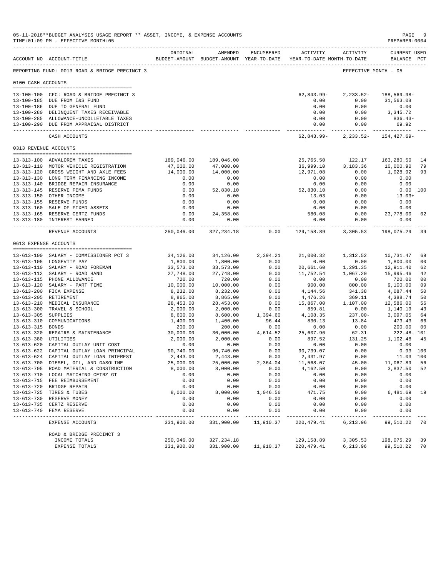|                       | 05-11-2018**BUDGET ANALYSIS USAGE REPORT ** ASSET, INCOME, & EXPENSE ACCOUNTS<br>TIME: 01:09 PM - EFFECTIVE MONTH: 05 |                          |                        |                        |                                                                                        |                     | PAGE<br>PREPARER: 0004            | -9             |
|-----------------------|-----------------------------------------------------------------------------------------------------------------------|--------------------------|------------------------|------------------------|----------------------------------------------------------------------------------------|---------------------|-----------------------------------|----------------|
|                       | ACCOUNT NO ACCOUNT-TITLE                                                                                              | ORIGINAL                 | AMENDED                | ENCUMBERED             | <b>ACTIVITY</b><br>BUDGET-AMOUNT BUDGET-AMOUNT YEAR-TO-DATE YEAR-TO-DATE MONTH-TO-DATE | ACTIVITY            | CURRENT USED<br>BALANCE PCT       |                |
|                       | REPORTING FUND: 0013 ROAD & BRIDGE PRECINCT 3                                                                         |                          |                        |                        |                                                                                        |                     | EFFECTIVE MONTH - 05              |                |
| 0100 CASH ACCOUNTS    |                                                                                                                       |                          |                        |                        |                                                                                        |                     |                                   |                |
|                       | 13-100-100 CFC: ROAD & BRIDGE PRECINCT 3                                                                              |                          |                        |                        | $62,843.99-$                                                                           | $2, 233.52 -$       | 188,569.98-                       |                |
|                       | 13-100-185 DUE FROM I&S FUND                                                                                          |                          |                        |                        | 0.00                                                                                   | 0.00                | 31,563.08                         |                |
|                       | 13-100-186 DUE TO GENERAL FUND                                                                                        |                          |                        |                        | 0.00                                                                                   | 0.00                | 0.00                              |                |
|                       | 13-100-280 DELINQUENT TAXES RECEIVABLE<br>13-100-285 ALLOWANCE-UNCOLLETABLE TAXES                                     |                          |                        |                        | 0.00<br>0.00                                                                           | 0.00<br>0.00        | 3,345.72<br>$836.43-$             |                |
|                       | 13-100-290 DUE FROM APPRAISAL DISTRICT                                                                                |                          |                        |                        | 0.00                                                                                   | 0.00                | 69.92                             |                |
|                       | CASH ACCOUNTS                                                                                                         |                          |                        |                        | ----------------<br>62,843.99-                                                         | .<br>$2, 233.52 -$  | -----------<br>154,427.69-        |                |
| 0313 REVENUE ACCOUNTS |                                                                                                                       |                          |                        |                        |                                                                                        |                     |                                   |                |
|                       |                                                                                                                       |                          |                        |                        |                                                                                        |                     |                                   |                |
|                       | 13-313-100 ADVALOREM TAXES<br>13-313-110 MOTOR VEHICLE REGISTRATION                                                   | 189,046.00<br>47,000.00  | 189,046.00             |                        | 25,765.50                                                                              | 122.17              | 163,280.50                        | 14<br>79       |
|                       | 13-313-120 GROSS WEIGHT AND AXLE FEES                                                                                 | 14,000.00                | 47,000.00<br>14,000.00 |                        | 36,999.10<br>12,971.08                                                                 | 3,183.36<br>0.00    | 10,000.90<br>1,028.92             | 93             |
|                       | 13-313-130 LONG TERM FINANCING INCOME                                                                                 | 0.00                     | 0.00                   |                        | 0.00                                                                                   | 0.00                | 0.00                              |                |
|                       | 13-313-140 BRIDGE REPAIR INSURANCE                                                                                    | 0.00                     | 0.00                   |                        | 0.00                                                                                   | 0.00                | 0.00                              |                |
|                       | 13-313-145 RESERVE FEMA FUNDS                                                                                         | 0.00                     | 52,830.10              |                        | 52,830.10                                                                              | 0.00                |                                   | $0.00$ 100     |
|                       | 13-313-150 OTHER INCOME                                                                                               | 0.00                     | 0.00                   |                        | 13.03                                                                                  | 0.00                | $13.03+$                          |                |
|                       | 13-313-155 RESERVE FUNDS                                                                                              | 0.00                     | 0.00                   |                        | 0.00                                                                                   | 0.00                | 0.00                              |                |
|                       | 13-313-160 SALE OF FIXED ASSETS                                                                                       | 0.00                     | 0.00                   |                        | 0.00                                                                                   | 0.00                | 0.00                              |                |
|                       | 13-313-165 RESERVE CERTZ FUNDS                                                                                        | 0.00                     | 24, 358.08             |                        | 580.08                                                                                 | 0.00                | 23,778.00                         | 02             |
|                       | 13-313-180 INTEREST EARNED                                                                                            | 0.00<br>-------------    | 0.00<br>------------   |                        | 0.00                                                                                   | 0.00<br>----------- | 0.00<br>. _ _ _ _ _ _ _ _ _ _ _ _ |                |
|                       | REVENUE ACCOUNTS                                                                                                      | 250,046.00               | 327, 234.18            | 0.00                   | 129,158.89                                                                             | 3,305.53            | 198,075.29                        | 39             |
| 0613 EXPENSE ACCOUNTS |                                                                                                                       |                          |                        |                        |                                                                                        |                     |                                   |                |
|                       | 13-613-100 SALARY - COMMISSIONER PCT 3                                                                                | 34,126.00                | 34,126.00              | 2,394.21               | 21,000.32                                                                              | 1,312.52            | 10,731.47                         | 69             |
|                       | 13-613-105 LONGEVITY PAY                                                                                              | 1,800.00                 | 1,800.00               | 0.00                   | 0.00                                                                                   | 0.00                | 1,800.00                          | 0 <sub>0</sub> |
|                       | 13-613-110 SALARY - ROAD FOREMAN                                                                                      | 33,573.00                | 33,573.00              | 0.00                   | 20,661.60                                                                              | 1,291.35            | 12,911.40                         | 62             |
|                       | 13-613-112 SALARY - ROAD HAND                                                                                         | 27,748.00                | 27,748.00              | 0.00                   | 11,752.54                                                                              | 1,067.20            | 15,995.46                         | 42             |
|                       | 13-613-115 PHONE ALLOWANCE                                                                                            | 720.00                   | 720.00                 | 0.00                   | 0.00                                                                                   | 0.00                | 720.00                            | 0 <sub>0</sub> |
|                       | 13-613-120 SALARY - PART TIME                                                                                         | 10,000.00                | 10,000.00              | 0.00                   | 900.00                                                                                 | 800.00              | 9,100.00                          | 09             |
|                       | 13-613-200 FICA EXPENSE                                                                                               | 8,232.00                 | 8,232.00               | 0.00                   | 4,144.56                                                                               | 341.38              | 4,087.44                          | 50             |
|                       | 13-613-205 RETIREMENT                                                                                                 | 8,865.00                 | 8,865.00               | 0.00                   | 4,476.26                                                                               | 369.11              | 4,388.74                          | 50             |
|                       | 13-613-210 MEDICAL INSURANCE                                                                                          | 28,453.00                | 28,453.00              | 0.00                   | 15,867.00                                                                              | 1,107.00            | 12,586.00                         | 56             |
| 13-613-305 SUPPLIES   | 13-613-300 TRAVEL & SCHOOL                                                                                            | 2,000.00                 | 2,000.00               | 0.00<br>1,394.60       | 859.81<br>4,108.35                                                                     | 0.00<br>$237.00 -$  | 1,140.19<br>3,097.05              | 43             |
|                       | 13-613-310 COMMUNICATIONS                                                                                             | 8,600.00<br>1,400.00     | 8,600.00<br>1,400.00   | 96.44                  | 830.13                                                                                 | 13.84               | 473.43                            | 64<br>66       |
| 13-613-315 BONDS      |                                                                                                                       | 200.00                   | 200.00                 | 0.00                   | 0.00                                                                                   | 0.00                | 200.00                            | 0 <sub>0</sub> |
|                       | 13-613-320 REPAIRS & MAINTENANCE                                                                                      | 30,000.00                | 30,000.00              | 4,614.52               | 25,607.96                                                                              | 62.31               | $222.48 - 101$                    |                |
| 13-613-380 UTILITIES  |                                                                                                                       | 2,000.00                 | 2,000.00               | 0.00                   | 897.52                                                                                 | 131.25              | 1,102.48                          | 45             |
|                       | 13-613-620 CAPITAL OUTLAY UNIT COST                                                                                   | 0.00                     | 0.00                   | 0.00                   | 0.00                                                                                   | 0.00                | 0.00                              |                |
|                       | 13-613-622 CAPITAL OUTLAY LOAN PRINCIPAL                                                                              | 90,740.00                | 90,740.00              | 0.00                   | 90,739.07                                                                              | 0.00                |                                   | $0.93$ 100     |
|                       | 13-613-624 CAPITAL OUTLAY LOAN INTEREST                                                                               | 2,443.00                 | 2,443.00               | 0.00                   | 2,431.97                                                                               | 0.00                | 11.03 100                         |                |
|                       | 13-613-700 DIESEL, OIL, AND GASOLINE                                                                                  | 25,000.00                | 25,000.00              | 2,364.04               | 11,568.07                                                                              | $45.00 -$           | 11,067.89                         | -56            |
|                       | 13-613-705 ROAD MATERIAL & CONSTRUCTION                                                                               | 8,000.00                 | 8,000.00               | 0.00                   | 4,162.50                                                                               | 0.00                | 3,837.50                          | 52             |
|                       | 13-613-710 LOCAL MATCHING CETRZ GT                                                                                    | 0.00                     | 0.00                   | 0.00                   | 0.00                                                                                   | 0.00                | 0.00                              |                |
|                       | 13-613-715 FEE REIMBURSEMENT                                                                                          | 0.00                     | 0.00                   | 0.00                   | 0.00                                                                                   | 0.00                | 0.00                              |                |
|                       | 13-613-720 BRIDGE REPAIR                                                                                              | 0.00                     | 0.00                   | 0.00                   | 0.00                                                                                   | 0.00                | 0.00                              |                |
|                       | 13-613-725 TIRES & TUBES                                                                                              | 8,000.00<br>0.00         | 8,000.00<br>0.00       | 1,046.56               | 471.75                                                                                 | 0.00                | 6,481.69                          | 19             |
|                       | 13-613-730 RESERVE MONEY<br>13-613-735 CERTZ RESERVE                                                                  | 0.00                     | 0.00                   | 0.00<br>0.00           | 0.00<br>0.00                                                                           | 0.00<br>0.00        | 0.00<br>0.00                      |                |
|                       | 13-613-740 FEMA RESERVE                                                                                               | 0.00                     | 0.00                   | 0.00                   | 0.00                                                                                   | 0.00                | 0.00                              |                |
|                       | EXPENSE ACCOUNTS                                                                                                      | ----------<br>331,900.00 | 331,900.00             | ---------<br>11,910.37 | $- - - - - - - -$<br>220,479.41                                                        | 6,213.96            | 99,510.22                         | - 70           |
|                       | ROAD & BRIDGE PRECINCT 3                                                                                              |                          |                        |                        |                                                                                        |                     |                                   |                |
|                       | INCOME TOTALS                                                                                                         | 250,046.00               | 327, 234.18            |                        | 129,158.89                                                                             | 3,305.53            | 198,075.29                        | 39             |
|                       | EXPENSE TOTALS                                                                                                        | 331,900.00               | 331,900.00             | 11,910.37              | 220, 479.41                                                                            | 6,213.96            | 99,510.22                         | 70             |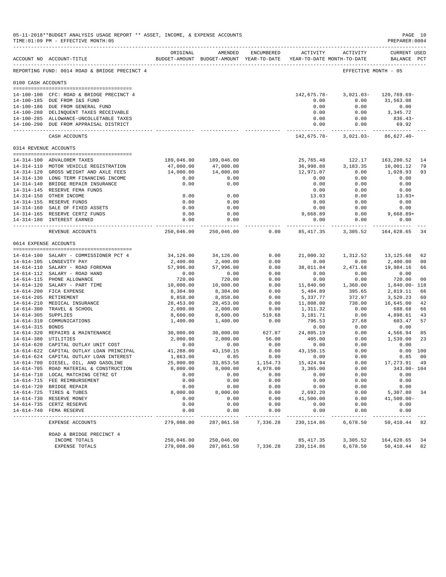|                     | 05-11-2018**BUDGET ANALYSIS USAGE REPORT ** ASSET, INCOME, & EXPENSE ACCOUNTS<br>TIME: 01:09 PM - EFFECTIVE MONTH: 05 |                          |                                                                                |              |                        |                                    | PREPARER: 0004                     | PAGE 10  |
|---------------------|-----------------------------------------------------------------------------------------------------------------------|--------------------------|--------------------------------------------------------------------------------|--------------|------------------------|------------------------------------|------------------------------------|----------|
|                     | ACCOUNT NO ACCOUNT-TITLE                                                                                              | ORIGINAL                 | AMENDED<br>BUDGET-AMOUNT BUDGET-AMOUNT YEAR-TO-DATE YEAR-TO-DATE MONTH-TO-DATE | ENCUMBERED   |                        | ACTIVITY ACTIVITY                  | <b>CURRENT USED</b><br>BALANCE PCT |          |
|                     | REPORTING FUND: 0014 ROAD & BRIDGE PRECINCT 4                                                                         |                          |                                                                                |              |                        | EFFECTIVE MONTH - 05               |                                    |          |
| 0100 CASH ACCOUNTS  |                                                                                                                       |                          |                                                                                |              |                        |                                    |                                    |          |
|                     | 14-100-100 CFC: ROAD & BRIDGE PRECINCT 4                                                                              |                          |                                                                                |              | 142,675.78-            | $3,021.03-$                        | 120,769.69-                        |          |
|                     | 14-100-185 DUE FROM I&S FUND<br>14-100-186 DUE FROM GENERAL FUND                                                      |                          |                                                                                |              | 0.00<br>0.00           | 0.00<br>0.00                       | 31,563.08<br>0.00                  |          |
|                     | 14-100-280 DELINQUENT TAXES RECEIVABLE                                                                                |                          |                                                                                |              | 0.00                   | 0.00                               | 3,345.72                           |          |
|                     | 14-100-285 ALLOWANCE-UNCOLLETABLE TAXES                                                                               |                          |                                                                                |              | 0.00                   | 0.00                               | 836.43-                            |          |
|                     | 14-100-290 DUE FROM APPRAISAL DISTRICT                                                                                |                          |                                                                                |              | 0.00<br>------------ - | 0.00                               | 69.92                              |          |
|                     | CASH ACCOUNTS                                                                                                         |                          |                                                                                |              | 142,675.78-            | 3,021.03-                          | $86,627.40-$                       |          |
|                     | 0314 REVENUE ACCOUNTS                                                                                                 |                          |                                                                                |              |                        |                                    |                                    |          |
|                     | 14-314-100 ADVALOREM TAXES                                                                                            |                          | 189,046.00 189,046.00                                                          |              | 25,765.48              | 122.17                             | 163,280.52                         | 14       |
|                     | 14-314-110 MOTOR VEHICLE REGISTRATION                                                                                 | 47,000.00                | 47,000.00                                                                      |              | 36,998.88              | 3,183.35                           | 10,001.12                          | 79       |
|                     | 14-314-120 GROSS WEIGHT AND AXLE FEES                                                                                 | 14,000.00                | 14,000.00                                                                      |              | 12,971.07              | 0.00                               | 1,028.93                           | 93       |
|                     | 14-314-130 LONG TERM FINANCING INCOME                                                                                 | 0.00                     | 0.00                                                                           |              | 0.00                   | 0.00                               | 0.00                               |          |
|                     | 14-314-140 BRIDGE REPAIR INSURANCE                                                                                    | 0.00                     | 0.00                                                                           |              | 0.00                   | 0.00                               | 0.00                               |          |
|                     | 14-314-145 RESERVE FEMA FUNDS<br>14-314-150 OTHER INCOME                                                              | 0.00                     | 0.00                                                                           |              | 0.00                   | 0.00<br>0.00                       | 0.00<br>$13.03+$                   |          |
|                     | 14-314-155 RESERVE FUNDS                                                                                              | 0.00                     | 0.00                                                                           |              | 13.03<br>0.00          | 0.00                               | 0.00                               |          |
|                     | 14-314-160 SALE OF FIXED ASSETS                                                                                       | 0.00                     | 0.00                                                                           |              | 0.00                   | 0.00                               | 0.00                               |          |
|                     | 14-314-165 RESERVE CERTZ FUNDS                                                                                        | 0.00                     | 0.00                                                                           |              | 9,668.89               | 0.00                               | $9,668.89+$                        |          |
|                     | 14-314-180 INTEREST EARNED                                                                                            | 0.00<br>------------     | 0.00<br>-------------                                                          |              | 0.00                   | 0.00<br>------------ ------------- | 0.00<br>--------------             |          |
|                     | REVENUE ACCOUNTS                                                                                                      | 250,046.00               | 250,046.00                                                                     | 0.00         | 85, 417.35             | 3,305.52                           | 164,628.65                         | 34       |
|                     | 0614 EXPENSE ACCOUNTS                                                                                                 |                          |                                                                                |              |                        |                                    |                                    |          |
|                     | 14-614-100 SALARY - COMMISSIONER PCT 4                                                                                | 34,126.00                | 34,126.00                                                                      | 0.00         | 21,000.32              | 1,312.52                           | 13,125.68                          | 62       |
|                     | 14-614-105 LONGEVITY PAY                                                                                              | 2,400.00                 | 2,400.00                                                                       | 0.00         | 0.00                   | 0.00                               | 2,400.00                           | 00       |
|                     | 14-614-110 SALARY - ROAD FOREMAN                                                                                      | 57,996.00                | 57,996.00                                                                      | 0.00         | 38,011.84              | 2,471.68                           | 19,984.16                          | 66       |
|                     | 14-614-112 SALARY - ROAD HAND                                                                                         | 0.00                     | 0.00                                                                           | 0.00         | 0.00                   | 0.00                               | 0.00                               |          |
|                     | 14-614-115 PHONE ALLOWANCE                                                                                            | 720.00                   | 720.00                                                                         | 0.00         | 0.00                   | 0.00                               | 720.00                             | 00       |
|                     | 14-614-120 SALARY - PART TIME                                                                                         | 10,000.00                | 10,000.00                                                                      | 0.00         | 11,840.00              | 1,360.00                           | 1,840.00- 118                      |          |
|                     | 14-614-200 FICA EXPENSE                                                                                               | 8,304.00                 | 8,304.00                                                                       | 0.00         | 5,484.89               | 395.65                             | 2,819.11                           | 66       |
|                     | 14-614-205 RETIREMENT<br>14-614-210 MEDICAL INSURANCE                                                                 | 8,858.00<br>28,453.00    | 8,858.00<br>28,453.00                                                          | 0.00<br>0.00 | 5,337.77<br>11,808.00  | 372.97<br>738.00                   | 3,520.23<br>16,645.00              | 60<br>42 |
|                     | 14-614-300 TRAVEL & SCHOOL                                                                                            | 2,000.00                 | 2,000.00                                                                       | 0.00         | 1,311.32               | 0.00                               | 688.68                             | 66       |
| 14-614-305 SUPPLIES |                                                                                                                       | 8,600.00                 | 8,600.00                                                                       | 519.68       | 3,181.71               | 0.00                               | 4,898.61                           | 43       |
|                     | 14-614-310 COMMUNICATIONS                                                                                             | 1,400.00                 | 1,400.00                                                                       | 0.00         | 796.53                 | 27.68                              | 603.47                             | 57       |
| 14-614-315 BONDS    |                                                                                                                       |                          |                                                                                |              | 0.00                   | 0.00                               | 0.00                               |          |
|                     | 14-614-320 REPAIRS & MAINTENANCE                                                                                      | 30,000.00                | 30,000.00                                                                      | 627.87       | 24,805.19              | 0.00                               | 4,566.94                           | 85       |
|                     | 14-614-380 UTILITIES                                                                                                  | 2,000.00                 | 2,000.00                                                                       | 56.00        | 405.00                 | 0.00                               | 1,539.00                           | 23       |
|                     | 14-614-620 CAPITAL OUTLAY UNIT COST                                                                                   | 0.00                     | 0.00                                                                           | 0.00         | 0.00                   | 0.00                               | 0.00                               |          |
|                     | 14-614-622 CAPITAL OUTLAY LOAN PRINCIPAL<br>14-614-624 CAPITAL OUTLAY LOAN INTEREST                                   | 41,288.00<br>1,863.00    | 43,150.15<br>0.85                                                              | 0.00<br>0.00 | 43,150.15<br>0.00      | 0.00<br>0.00                       | 0.00 100<br>0.85                   | 00       |
|                     | 14-614-700 DIESEL, OIL, AND GASOLINE                                                                                  | 25,000.00                | 33,853.58                                                                      | 1,154.73     | 15, 424.94             | 0.00                               | 17,273.91                          | 49       |
|                     | 14-614-705 ROAD MATERIAL & CONSTRUCTION                                                                               | 8,000.00                 | 8,000.00                                                                       | 4,978.00     | 3,365.00               | 0.00                               | 343.00- 104                        |          |
|                     | 14-614-710 LOCAL MATCHING CETRZ GT                                                                                    | 0.00                     | 0.00                                                                           | 0.00         | 0.00                   | 0.00                               | 0.00                               |          |
|                     | 14-614-715 FEE REIMBURSEMENT                                                                                          | 0.00                     | 0.00                                                                           | 0.00         | 0.00                   | 0.00                               | 0.00                               |          |
|                     | 14-614-720 BRIDGE REPAIR                                                                                              | 0.00                     | 0.00                                                                           | 0.00         | 0.00                   | 0.00                               | 0.00                               |          |
|                     | 14-614-725 TIRES & TUBES                                                                                              | 8,000.00                 | 8,000.00                                                                       | 0.00         | 2,692.20               | 0.00                               | 5,307.80                           | 34       |
|                     | 14-614-730 RESERVE MONEY                                                                                              | 0.00                     | 0.00                                                                           | 0.00         | 41,500.00              | 0.00                               | $41,500.00 -$                      |          |
|                     | 14-614-735 CERTZ RESERVE<br>14-614-740 FEMA RESERVE                                                                   | 0.00<br>0.00             | 0.00<br>0.00                                                                   | 0.00<br>0.00 | 0.00<br>0.00           | 0.00<br>0.00                       | 0.00<br>0.00                       |          |
|                     | EXPENSE ACCOUNTS                                                                                                      | ----------<br>279,008.00 | ---------<br>287,861.58                                                        | 7,336.28     | 230, 114.86            | 6,678.50                           | 50,410.44                          | 82       |
|                     |                                                                                                                       |                          |                                                                                |              |                        |                                    |                                    |          |
|                     | ROAD & BRIDGE PRECINCT 4<br>INCOME TOTALS                                                                             | 250,046.00               | 250,046.00                                                                     |              | 85, 417.35             | 3,305.52                           | 164,628.65                         | 34       |
|                     | EXPENSE TOTALS                                                                                                        | 279,008.00               | 287,861.58                                                                     | 7,336.28     | 230, 114.86            | 6,678.50                           | 50,410.44                          | 82       |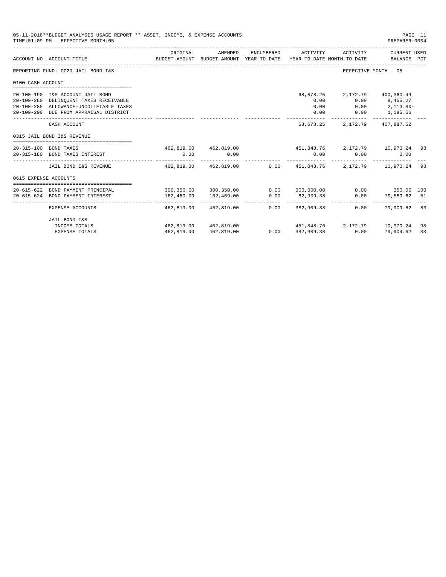|                       | 05-11-2018**BUDGET ANALYSIS USAGE REPORT ** ASSET, INCOME, & EXPENSE ACCOUNTS<br>TIME: 01:09 PM - EFFECTIVE MONTH: 05                                           |                                                  |                                                                                |            |                                   |                                  | PREPARER: 0004                                                                    | PAGE 11 |
|-----------------------|-----------------------------------------------------------------------------------------------------------------------------------------------------------------|--------------------------------------------------|--------------------------------------------------------------------------------|------------|-----------------------------------|----------------------------------|-----------------------------------------------------------------------------------|---------|
|                       | ACCOUNT NO ACCOUNT-TITLE                                                                                                                                        | ORIGINAL                                         | AMENDED<br>BUDGET-AMOUNT BUDGET-AMOUNT YEAR-TO-DATE YEAR-TO-DATE MONTH-TO-DATE | ENCUMBERED | ACTIVITY                          | ACTIVITY                         | CURRENT USED<br>BALANCE PCT                                                       |         |
|                       | REPORTING FUND: 0020 JAIL BOND I&S                                                                                                                              |                                                  |                                                                                |            |                                   |                                  | EFFECTIVE MONTH - 05                                                              |         |
| 0100 CASH ACCOUNT     |                                                                                                                                                                 |                                                  |                                                                                |            |                                   |                                  |                                                                                   |         |
|                       | 20-100-190 I&S ACCOUNT JAIL BOND<br>20-100-280 DELINQUENT TAXES RECEIVABLE<br>20-100-285 ALLOWANCE-UNCOLLETABLE TAXES<br>20-100-290 DUE FROM APPRAISAL DISTRICT |                                                  |                                                                                |            | 68,678.25<br>0.00<br>0.00<br>0.00 |                                  | 2,172.79 400,360.49<br>$0.00$ $8,455.27$<br>$0.00$ $2,113.80-$<br>$0.00$ 1,185.56 |         |
|                       | CASH ACCOUNT                                                                                                                                                    |                                                  |                                                                                |            | 68,678.25                         |                                  | 2, 172. 79 407, 887. 52                                                           |         |
|                       | 0315 JAIL BOND I&S REVENUE                                                                                                                                      |                                                  |                                                                                |            |                                   |                                  |                                                                                   |         |
|                       | 20-315-100 BOND TAXES<br>20-315-180 BOND TAXES INTEREST                                                                                                         | 0.00                                             | 462,819.00 462,819.00<br>0.00                                                  |            | 0.00                              | 451,848.76 2,172.79 10,970.24 98 | $0.00$ and $0.00$<br>0.00                                                         |         |
|                       | JAIL BOND I&S REVENUE                                                                                                                                           |                                                  | $462.819.00$ $462.819.00$ $0.00$ $451.848.76$ $2.172.79$ $10.970.24$           |            |                                   |                                  |                                                                                   | 98      |
| 0615 EXPENSE ACCOUNTS | --------------------------------------                                                                                                                          |                                                  |                                                                                |            |                                   |                                  |                                                                                   |         |
|                       | 20-615-622 BOND PAYMENT PRINCIPAL                                                                                                                               | $300, 350.00$ $300, 350.00$ $0.00$ $300, 000.00$ |                                                                                |            |                                   |                                  | $0.00$ 350.00 100                                                                 |         |
|                       | 20-615-624 BOND PAYMENT INTEREST                                                                                                                                | 162,469.00<br>------------------- -------------- | 162,469.00<br>--------------                                                   | 0.00       | 82,909.38                         |                                  | $0.00$ 79,559.62 51                                                               |         |
|                       | EXPENSE ACCOUNTS                                                                                                                                                |                                                  | 462.819.00 462.819.00                                                          |            | $0.00$ 382,909.38                 | 0.00                             | 79,909.62 83                                                                      |         |
|                       | JAIL BOND I&S                                                                                                                                                   |                                                  |                                                                                |            |                                   |                                  |                                                                                   |         |
|                       | INCOME TOTALS                                                                                                                                                   |                                                  | 462,819.00 462,819.00                                                          |            |                                   | 451,848,76 2,172,79 10,970,24    |                                                                                   | 98      |
|                       | <b>EXPENSE TOTALS</b>                                                                                                                                           | 462,819.00                                       | 462,819.00                                                                     |            | $0.00$ 382,909.38                 | 0.00                             | 79,909.62                                                                         | 83      |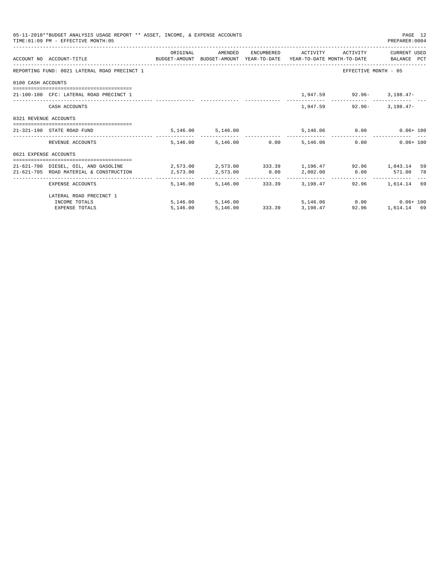|                       | 05-11-2018**BUDGET ANALYSIS USAGE REPORT ** ASSET, INCOME, & EXPENSE ACCOUNTS<br>TIME: 01:09 PM - EFFECTIVE MONTH: 05 |            |                                 |                 |                                                                                     | PAGE 12<br>PREPARER: 0004 |    |
|-----------------------|-----------------------------------------------------------------------------------------------------------------------|------------|---------------------------------|-----------------|-------------------------------------------------------------------------------------|---------------------------|----|
|                       |                                                                                                                       | ORIGINAL   | AMENDED                         |                 | ENCUMBERED ACTIVITY ACTIVITY                                                        | CURRENT USED              |    |
|                       | ACCOUNT NO ACCOUNT-TITLE CONTROL BUDGET-AMOUNT BUDGET-AMOUNT YEAR-TO-DATE YEAR-TO-DATE MONTH-TO-DATE BALANCE PCT      |            |                                 |                 |                                                                                     |                           |    |
|                       | REPORTING FUND: 0021 LATERAL ROAD PRECINCT 1                                                                          |            |                                 |                 | EFFECTIVE MONTH - 05                                                                |                           |    |
| 0100 CASH ACCOUNTS    |                                                                                                                       |            |                                 |                 |                                                                                     |                           |    |
|                       | 21-100-100 CFC: LATERAL ROAD PRECINCT 1                                                                               |            |                                 |                 | 1,947.59 92.96- 3,198.47-                                                           |                           |    |
|                       | CASH ACCOUNTS                                                                                                         |            |                                 |                 | 1,947.59 92.96 3,198.47                                                             |                           |    |
| 0321 REVENUE ACCOUNTS |                                                                                                                       |            |                                 |                 |                                                                                     |                           |    |
|                       | 21-321-190 STATE ROAD FUND                                                                                            |            | 5,146.00 5,146.00               |                 | 5,146.06 0.00 0.06+100                                                              |                           |    |
|                       | REVENUE ACCOUNTS                                                                                                      |            | 5.146.00 5.146.00 0.00 5.146.06 |                 | 0.00                                                                                | $0.06 + 100$              |    |
| 0621 EXPENSE ACCOUNTS |                                                                                                                       |            |                                 |                 |                                                                                     |                           |    |
|                       | 21-621-700 DIESEL, OIL, AND GASOLINE $2,573.00$ $2,573.00$ $333.39$ $1,196.47$ $92.96$ $1,043.14$                     |            |                                 |                 |                                                                                     |                           | 59 |
|                       | 21-621-705 ROAD MATERIAL & CONSTRUCTION 2,573.00                                                                      |            | 2,573.00 0.00                   |                 | 2,002.00   0.00   571.00   78                                                       |                           |    |
|                       | EXPENSE ACCOUNTS                                                                                                      | -------- - |                                 |                 | ----------------------------<br>5.146.00 5.146.00 333.39 3.198.47 92.96 1.614.14 69 |                           |    |
|                       | LATERAL ROAD PRECINCT 1                                                                                               |            |                                 |                 |                                                                                     |                           |    |
|                       | INCOME TOTALS                                                                                                         |            | 5, 146.00 5, 146.00             |                 |                                                                                     |                           |    |
|                       | <b>EXPENSE TOTALS</b>                                                                                                 | 5.146.00   | 5,146.00                        | 333.39 3,198.47 | 92.96                                                                               | 1,614.14 69               |    |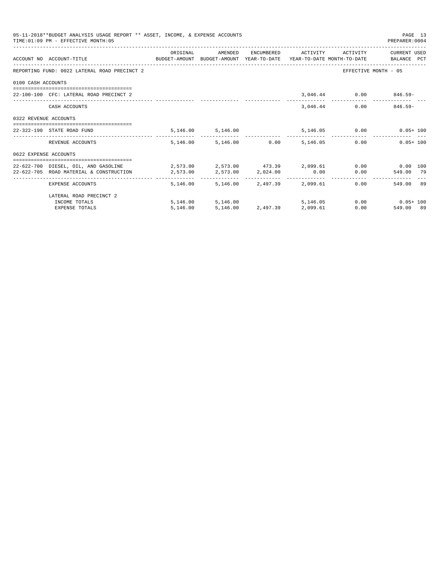|                       | 05-11-2018**BUDGET ANALYSIS USAGE REPORT ** ASSET, INCOME, & EXPENSE ACCOUNTS<br>TIME: 01:09 PM - EFFECTIVE MONTH: 05 |          |                                     |            |                              | PAGE 13<br>PREPARER: 0004 |  |
|-----------------------|-----------------------------------------------------------------------------------------------------------------------|----------|-------------------------------------|------------|------------------------------|---------------------------|--|
|                       | ACCOUNT NO ACCOUNT-TITLE COMPUTE SUDGET-AMOUNT BUDGET-AMOUNT YEAR-TO-DATE YEAR-TO-DATE MONTH-TO-DATE BALANCE PCT      | ORIGINAL | AMENDED                             |            | ENCUMBERED ACTIVITY ACTIVITY | CURRENT USED              |  |
|                       | REPORTING FUND: 0022 LATERAL ROAD PRECINCT 2                                                                          |          |                                     |            |                              | EFFECTIVE MONTH - 05      |  |
| 0100 CASH ACCOUNTS    |                                                                                                                       |          |                                     |            |                              |                           |  |
|                       | 22-100-100 CFC: LATERAL ROAD PRECINCT 2                                                                               |          |                                     |            |                              | 3,046.44 0.00 846.59-     |  |
|                       | CASH ACCOUNTS                                                                                                         |          |                                     | 3,046.44   |                              | $0.00$ 846.59-            |  |
| 0322 REVENUE ACCOUNTS |                                                                                                                       |          |                                     |            |                              |                           |  |
|                       | 22-322-190 STATE ROAD FUND                                                                                            |          | 5, 146.00 5, 146.00                 |            |                              | 5,146.05 0.00 0.05+100    |  |
|                       | REVENUE ACCOUNTS                                                                                                      |          | 5.146.00 5.146.00 0.00 5.146.05     |            |                              | 0.00<br>$0.05 + 100$      |  |
| 0622 EXPENSE ACCOUNTS |                                                                                                                       |          |                                     |            |                              |                           |  |
|                       | 22-622-700 DIESEL, OIL, AND GASOLINE $2,573.00$ $2,573.00$ $473.39$ $2,099.61$ 0.00 0.00 0.00 100                     |          |                                     |            |                              |                           |  |
|                       | 22-622-705 ROAD MATERIAL & CONSTRUCTION<br>2,573.00<br>2,573.00<br>2,624.00<br>0.00                                   |          |                                     |            |                              | 0.00<br>549.00 79         |  |
|                       | EXPENSE ACCOUNTS                                                                                                      |          | 5,146.00 5,146.00 2,497.39 2,099.61 |            |                              | 549.00 89<br>0.00         |  |
|                       | LATERAL ROAD PRECINCT 2                                                                                               |          |                                     |            |                              |                           |  |
|                       | INCOME TOTALS                                                                                                         |          | 5,146.00 5,146.00                   | 5, 146, 05 |                              | $0.00$ $0.05 + 100$       |  |
|                       | <b>EXPENSE TOTALS</b>                                                                                                 | 5.146.00 | 5,146.00 2,497.39 2,099.61          |            |                              | 0.00<br>549.00 89         |  |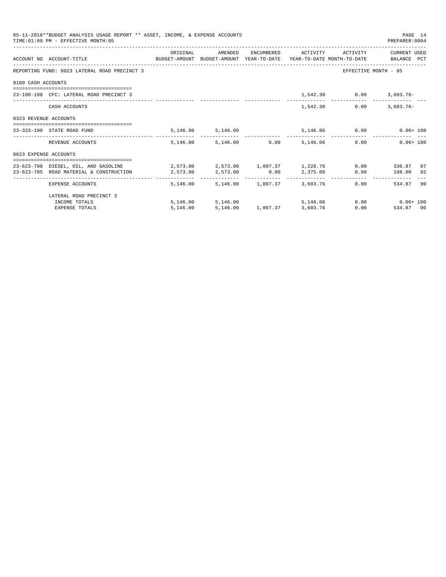|                       | 05-11-2018**BUDGET ANALYSIS USAGE REPORT ** ASSET, INCOME, & EXPENSE ACCOUNTS<br>TIME: 01:09 PM - EFFECTIVE MONTH: 05 |                                                             |                                     |                            |            |                              | PAGE 14<br>PREPARER: 0004 |    |
|-----------------------|-----------------------------------------------------------------------------------------------------------------------|-------------------------------------------------------------|-------------------------------------|----------------------------|------------|------------------------------|---------------------------|----|
|                       | ACCOUNT NO ACCOUNT-TITLE COMPUTE SUDGET-AMOUNT BUDGET-AMOUNT YEAR-TO-DATE YEAR-TO-DATE MONTH-TO-DATE BALANCE PCT      | ORIGINAL                                                    | AMENDED                             |                            |            | ENCUMBERED ACTIVITY ACTIVITY | CURRENT USED              |    |
|                       | REPORTING FUND: 0023 LATERAL ROAD PRECINCT 3                                                                          |                                                             |                                     |                            |            |                              | EFFECTIVE MONTH - 05      |    |
| 0100 CASH ACCOUNTS    |                                                                                                                       |                                                             |                                     |                            |            |                              |                           |    |
|                       | 23-100-100 CFC: LATERAL ROAD PRECINCT 3                                                                               |                                                             |                                     |                            |            |                              | 1,542.30 0.00 3,603.76-   |    |
|                       | CASH ACCOUNTS                                                                                                         |                                                             |                                     |                            | 1,542.30   |                              | 0.00<br>$3.603.76 -$      |    |
| 0323 REVENUE ACCOUNTS |                                                                                                                       |                                                             |                                     |                            |            |                              |                           |    |
|                       | 23-323-190 STATE ROAD FUND                                                                                            |                                                             | 5, 146.00 5, 146.00                 |                            |            | 5,146.06 0.00                | $0.06 + 100$              |    |
|                       | REVENUE ACCOUNTS                                                                                                      |                                                             | 5,146.00 5,146.00 0.00              |                            | 5,146.06   |                              | 0.00<br>$0.06 + 100$      |    |
| 0623 EXPENSE ACCOUNTS |                                                                                                                       |                                                             |                                     |                            |            |                              |                           |    |
|                       | 23-623-700 DIESEL, OIL, AND GASOLINE                                                                                  | $2,573.00$ $2,573.00$ $1,007.37$ $1,228.76$ $0.00$ $336.87$ |                                     |                            |            |                              |                           | 87 |
|                       | 23-623-705 ROAD MATERIAL & CONSTRUCTION                                                                               | $2,573.00$ $2,573.00$ $0.00$ $2,375.00$                     |                                     |                            |            |                              | $0.00$ 198.00 92          |    |
|                       | EXPENSE ACCOUNTS                                                                                                      |                                                             | 5,146.00 5,146.00 1,007.37 3,603.76 |                            |            |                              | 0.00<br>534.87            | 90 |
|                       | LATERAL ROAD PRECINCT 3                                                                                               |                                                             |                                     |                            |            |                              |                           |    |
|                       | INCOME TOTALS                                                                                                         |                                                             | 5,146.00 5,146.00                   |                            | 5, 146, 06 |                              | $0.00$ $0.06 + 100$       |    |
|                       | <b>EXPENSE TOTALS</b>                                                                                                 | 5.146.00                                                    |                                     | 5,146.00 1,007.37 3,603.76 |            |                              | 0.00<br>534.87 90         |    |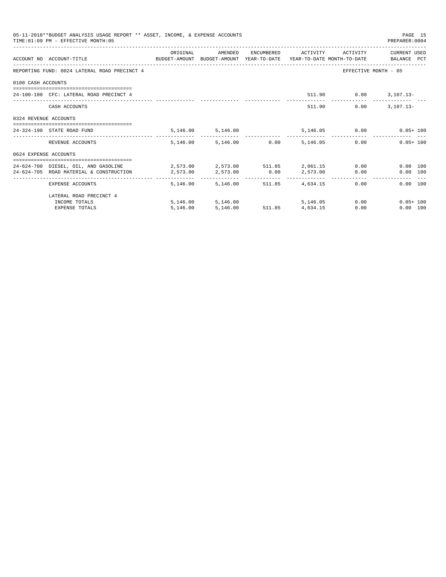|                       | 05-11-2018**BUDGET ANALYSIS USAGE REPORT ** ASSET, INCOME, & EXPENSE ACCOUNTS<br>TIME: 01:09 PM - EFFECTIVE MONTH: 05 |          |                        |                                         |                     |                       | PAGE 15<br>PREPARER: 0004     |
|-----------------------|-----------------------------------------------------------------------------------------------------------------------|----------|------------------------|-----------------------------------------|---------------------|-----------------------|-------------------------------|
|                       |                                                                                                                       | ORIGINAL | AMENDED                |                                         | ENCUMBERED ACTIVITY | ACTIVITY              | CURRENT USED                  |
|                       | ACCOUNT NO ACCOUNT-TITLE CONTROL CONTROLLER ANOUNT BUDGET-AMOUNT VEAR-TO-DATE YEAR-TO-DATE MONTH-TO-DATE BALANCE PCT  |          |                        |                                         |                     |                       |                               |
|                       | REPORTING FUND: 0024 LATERAL ROAD PRECINCT 4                                                                          |          |                        |                                         |                     |                       | EFFECTIVE MONTH - 05          |
| 0100 CASH ACCOUNTS    |                                                                                                                       |          |                        |                                         |                     |                       |                               |
|                       | 24-100-100 CFC: LATERAL ROAD PRECINCT 4                                                                               |          |                        |                                         |                     | 511.90 0.00 3,107.13- |                               |
|                       | CASH ACCOUNTS                                                                                                         |          |                        |                                         |                     | 0.00<br>511.90        | $3.107.13 -$                  |
| 0324 REVENUE ACCOUNTS |                                                                                                                       |          |                        |                                         |                     |                       |                               |
|                       | 24-324-190 STATE ROAD FUND                                                                                            |          | 5,146.00 5,146.00      |                                         |                     |                       | 5,146.05 0.00 0.05+100        |
|                       | REVENUE ACCOUNTS                                                                                                      |          | 5,146.00 5,146.00 0.00 |                                         | 5,146.05            |                       | $0.05 + 100$<br>0.00          |
| 0624 EXPENSE ACCOUNTS |                                                                                                                       |          |                        |                                         |                     |                       |                               |
|                       | 24-624-700 DIESEL, OIL, AND GASOLINE 2,573.00 2,573.00 511.85 2,061.15                                                |          |                        |                                         |                     |                       | 0.00<br>$0.00$ 100            |
|                       | 24-624-705 ROAD MATERIAL & CONSTRUCTION                                                                               | 2,573.00 | 2,573.00 0.00          |                                         | 2,573.00            |                       | $0.00$ and $0.00$<br>0.00 100 |
|                       | EXPENSE ACCOUNTS                                                                                                      | 5,146.00 |                        | -----------<br>5,146.00 511.85 4,634.15 |                     |                       | 0.00<br>0.00 100              |
|                       | LATERAL ROAD PRECINCT 4                                                                                               |          |                        |                                         |                     |                       |                               |
|                       | INCOME TOTALS                                                                                                         |          | 5,146.00 5,146.00      |                                         |                     | 5, 146, 05            | 0.00<br>$0.05 + 100$          |
|                       | <b>EXPENSE TOTALS</b>                                                                                                 | 5,146.00 | 5,146.00               | 511.85 4,634.15                         |                     | 0.00                  | 0.00 100                      |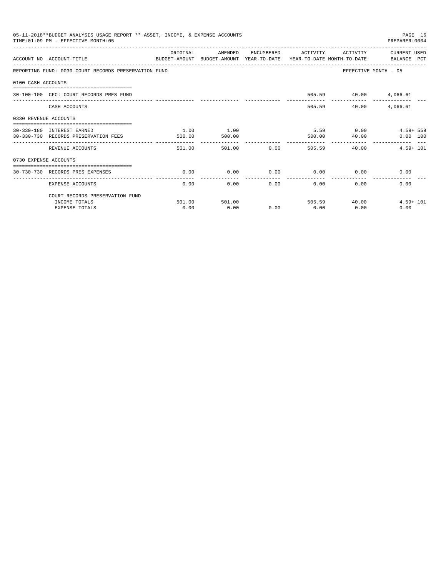|                       | 05-11-2018**BUDGET ANALYSIS USAGE REPORT ** ASSET, INCOME, & EXPENSE ACCOUNTS<br>TIME: 01:09 PM - EFFECTIVE MONTH: 05 |          |         |               |                                         |                           | PAGE 16<br>PREPARER: 0004 |
|-----------------------|-----------------------------------------------------------------------------------------------------------------------|----------|---------|---------------|-----------------------------------------|---------------------------|---------------------------|
|                       | ACCOUNT NO ACCOUNT-TITLE<br>BUDGET-AMOUNT BUDGET-AMOUNT YEAR-TO-DATE YEAR-TO-DATE MONTH-TO-DATE BALANCE PCT           | ORIGINAL | AMENDED |               | ENCUMBERED ACTIVITY                     | ACTIVITY                  | CURRENT USED              |
|                       | REPORTING FUND: 0030 COURT RECORDS PRESERVATION FUND                                                                  |          |         |               |                                         | EFFECTIVE MONTH - 05      |                           |
| 0100 CASH ACCOUNTS    |                                                                                                                       |          |         |               |                                         |                           |                           |
|                       | 30-100-100 CFC: COURT RECORDS PRES FUND                                                                               |          |         |               |                                         | 505.59 40.00 4,066.61     |                           |
|                       | CASH ACCOUNTS                                                                                                         |          |         |               | 505.59                                  | 40.00                     | 4,066.61                  |
| 0330 REVENUE ACCOUNTS |                                                                                                                       |          |         |               |                                         |                           |                           |
|                       | 30-330-180 INTEREST EARNED                                                                                            | 1.00     | 1.00    |               |                                         | $5.59$ 0.00               | $4.59 + 559$              |
|                       | 30-330-730 RECORDS PRESERVATION FEES                                                                                  | 500.00   | 500.00  |               | 500.00                                  | 40.00                     | 0.00 100                  |
|                       | REVENUE ACCOUNTS                                                                                                      | 501.00   | 501.00  |               | . _ _ _ _ _ _ _ _ _ _<br>0.00<br>505.59 | 40.00                     | $4.59 + 101$              |
| 0730 EXPENSE ACCOUNTS |                                                                                                                       |          |         |               |                                         |                           |                           |
|                       | ===============================<br>30-730-730 RECORDS PRES EXPENSES                                                   | 0.00     | 0.00    | 0.00          |                                         | $0.00$ 0.00               | 0.00                      |
|                       | EXPENSE ACCOUNTS                                                                                                      | 0.00     | 0.00    | ------------- | -------------<br>0.00                   | $0.00$ and $0.00$<br>0.00 | 0.00                      |
|                       | COURT RECORDS PRESERVATION FUND                                                                                       |          |         |               |                                         |                           |                           |
|                       | INCOME TOTALS                                                                                                         | 501.00   | 501.00  |               |                                         | 505.59 40.00              | $4.59 + 101$              |
|                       | <b>EXPENSE TOTALS</b>                                                                                                 | 0.00     | 0.00    | 0.00          | 0.00                                    | 0.00                      | 0.00                      |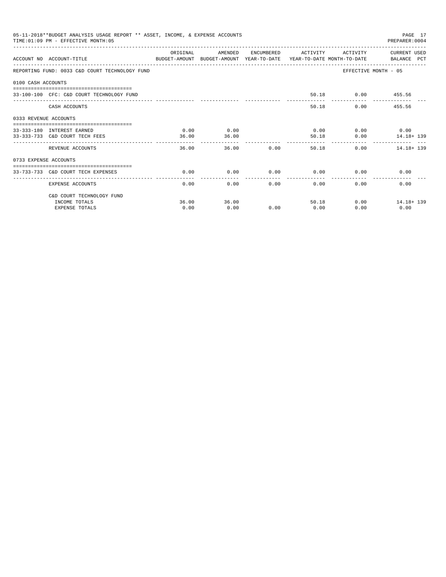|                       | 05-11-2018**BUDGET ANALYSIS USAGE REPORT ** ASSET, INCOME, & EXPENSE ACCOUNTS<br>TIME: 01:09 PM - EFFECTIVE MONTH: 05 |           |               |                |                       |                   | PAGE 17<br>PREPARER: 0004 |
|-----------------------|-----------------------------------------------------------------------------------------------------------------------|-----------|---------------|----------------|-----------------------|-------------------|---------------------------|
|                       | ACCOUNT NO ACCOUNT-TITLE CONTROL SUDGET-AMOUNT BUDGET-AMOUNT YEAR-TO-DATE YEAR-TO-DATE MONTH-TO-DATE BALANCE PCT      | OR TGTNAL | AMENDED       | ENCUMBERED     | ACTIVITY              | ACTIVITY          | CURRENT USED              |
|                       | REPORTING FUND: 0033 C&D COURT TECHNOLOGY FUND                                                                        |           |               |                |                       |                   | EFFECTIVE MONTH - 05      |
| 0100 CASH ACCOUNTS    |                                                                                                                       |           |               |                |                       |                   |                           |
|                       | 33-100-100 CFC: C&D COURT TECHNOLOGY FUND                                                                             |           |               |                |                       | 50.18 0.00 455.56 |                           |
|                       | CASH ACCOUNTS                                                                                                         |           |               |                | 50.18                 |                   | 0.00<br>455.56            |
| 0333 REVENUE ACCOUNTS |                                                                                                                       |           |               |                |                       |                   |                           |
|                       | 33-333-180 INTEREST EARNED                                                                                            | 0.00      | 0.00          |                | 0.00                  |                   | $0.00$ 0.00               |
|                       | 33-333-733 C&D COURT TECH FEES                                                                                        | 36.00     | 36.00         |                | 50.18                 | 0.00              | 14.18+ 139                |
|                       | REVENUE ACCOUNTS                                                                                                      | 36.00     | ------------- | 0.00<br>36.00  | ___________<br>50.18  |                   | 0.00<br>14.18+ 139        |
| 0733 EXPENSE ACCOUNTS |                                                                                                                       |           |               |                |                       |                   |                           |
|                       | -------------------------------------<br>33-733-733 C&D COURT TECH EXPENSES                                           | 0.00      | 0.00          | 0.00           | 0.00                  |                   | 0.00<br>0.00              |
|                       | . <u>.</u> .<br>EXPENSE ACCOUNTS                                                                                      | 0.00      | 0.00          | -------------- | -------------<br>0.00 | 0.00<br>$0.00 -$  | 0.00                      |
|                       | C&D COURT TECHNOLOGY FUND                                                                                             |           |               |                |                       |                   |                           |
|                       | INCOME TOTALS                                                                                                         | 36.00     | 36.00         |                | 50.18                 |                   | $0.00$ 14.18+139          |
|                       | <b>EXPENSE TOTALS</b>                                                                                                 | 0.00      | 0.00          | 0.00           | 0.00                  | 0.00              | 0.00                      |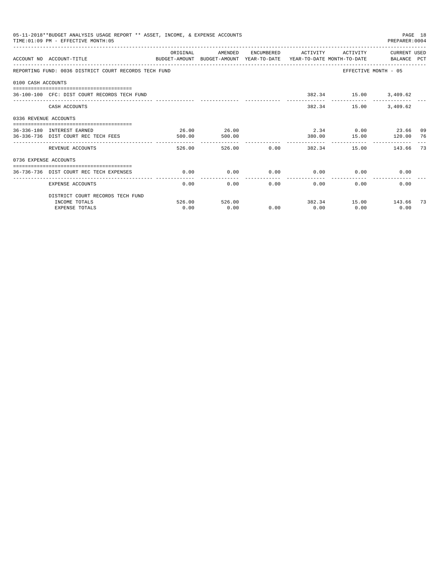|                       | 05-11-2018**BUDGET ANALYSIS USAGE REPORT ** ASSET, INCOME, & EXPENSE ACCOUNTS<br>TIME: 01:09 PM - EFFECTIVE MONTH: 05 |          |               |        |                          |                             | PAGE 18<br>PREPARER: 0004 |    |
|-----------------------|-----------------------------------------------------------------------------------------------------------------------|----------|---------------|--------|--------------------------|-----------------------------|---------------------------|----|
|                       | ACCOUNT NO ACCOUNT-TITLE<br>BUDGET-AMOUNT BUDGET-AMOUNT YEAR-TO-DATE YEAR-TO-DATE MONTH-TO-DATE BALANCE PCT           | ORIGINAL | AMENDED       |        | ENCUMBERED ACTIVITY      | ACTIVITY                    | CURRENT USED              |    |
|                       | REPORTING FUND: 0036 DISTRICT COURT RECORDS TECH FUND                                                                 |          |               |        |                          | EFFECTIVE MONTH - 05        |                           |    |
| 0100 CASH ACCOUNTS    |                                                                                                                       |          |               |        |                          |                             |                           |    |
|                       | 36-100-100 CFC: DIST COURT RECORDS TECH FUND                                                                          |          |               |        |                          | 382.34 15.00 3,409.62       |                           |    |
|                       | CASH ACCOUNTS                                                                                                         |          |               |        |                          | 382.34 15.00                | 3,409.62                  |    |
| 0336 REVENUE ACCOUNTS |                                                                                                                       |          |               |        |                          |                             |                           |    |
|                       | 36-336-180 INTEREST EARNED                                                                                            | 26.00    | 26.00         |        |                          | 2.34 0.00 23.66 09          |                           |    |
|                       | 36-336-736 DIST COURT REC TECH FEES                                                                                   | 500.00   | 500.00        |        |                          | 380.00 15.00                | 120.00 76                 |    |
|                       | REVENUE ACCOUNTS                                                                                                      | 526.00   |               | 526.00 |                          | $0.00$ 382.34 15.00 143.66  |                           | 73 |
| 0736 EXPENSE ACCOUNTS |                                                                                                                       |          |               |        |                          |                             |                           |    |
|                       | 36-736-736 DIST COURT REC TECH EXPENSES                                                                               | 0.00     | 0.00          |        |                          | $0.00$ $0.00$ $0.00$ $0.00$ | 0.00                      |    |
|                       | EXPENSE ACCOUNTS                                                                                                      | 0.00     |               | 0.00   | ----------------<br>0.00 | 0.00                        | 0.00<br>0.00              |    |
|                       | DISTRICT COURT RECORDS TECH FUND                                                                                      |          |               |        |                          |                             |                           |    |
|                       | INCOME TOTALS                                                                                                         |          | 526.00 526.00 |        |                          | 382.34 15.00 143.66 73      |                           |    |
|                       | <b>EXPENSE TOTALS</b>                                                                                                 | 0.00     | 0.00          | 0.00   | 0.00                     | 0.00                        | 0.00                      |    |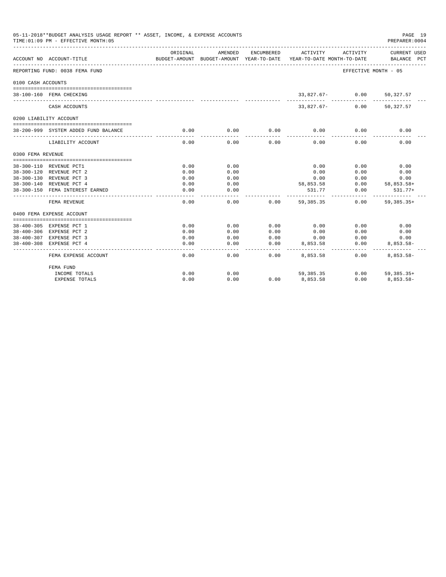|                    | 05-11-2018**BUDGET ANALYSIS USAGE REPORT ** ASSET, INCOME, & EXPENSE ACCOUNTS<br>TIME: 01:09 PM - EFFECTIVE MONTH: 05 |                   |                                                     |            |                                        |                      | PAGE 19<br>PREPARER: 0004            |
|--------------------|-----------------------------------------------------------------------------------------------------------------------|-------------------|-----------------------------------------------------|------------|----------------------------------------|----------------------|--------------------------------------|
|                    | ACCOUNT NO ACCOUNT-TITLE                                                                                              | ORIGINAL          | AMENDED<br>BUDGET-AMOUNT BUDGET-AMOUNT YEAR-TO-DATE | ENCUMBERED | ACTIVITY<br>YEAR-TO-DATE MONTH-TO-DATE | ACTIVITY             | CURRENT USED<br>BALANCE PCT          |
|                    | REPORTING FUND: 0038 FEMA FUND                                                                                        |                   |                                                     |            |                                        | EFFECTIVE MONTH - 05 |                                      |
| 0100 CASH ACCOUNTS |                                                                                                                       |                   |                                                     |            |                                        |                      |                                      |
|                    | 38-100-160 FEMA CHECKING                                                                                              |                   |                                                     |            |                                        | $33,827.67 - 0.00$   | 50,327.57                            |
|                    | CASH ACCOUNTS                                                                                                         |                   |                                                     |            | $33,827.67-$                           | 0.00                 | 50,327.57                            |
|                    | 0200 LIABILITY ACCOUNT                                                                                                |                   |                                                     |            |                                        |                      |                                      |
|                    | 38-200-999 SYSTEM ADDED FUND BALANCE                                                                                  | 0.00              | 0.00                                                | 0.00       | 0.00                                   | 0.00                 | 0.00                                 |
|                    | LIABILITY ACCOUNT                                                                                                     | 0.00              | 0.00                                                | 0.00       | 0.00                                   | 0.00                 | 0.00                                 |
| 0300 FEMA REVENUE  |                                                                                                                       |                   |                                                     |            |                                        |                      |                                      |
|                    | 38-300-110 REVENUE PCT1                                                                                               | 0.00              | 0.00                                                |            | 0.00                                   | 0.00                 | 0.00                                 |
|                    | 38-300-120 REVENUE PCT 2                                                                                              | 0.00              | 0.00                                                |            | 0.00                                   | 0.00                 | 0.00                                 |
|                    | 38-300-130 REVENUE PCT 3                                                                                              | 0.00              | 0.00                                                |            | 0.00                                   | 0.00                 | 0.00                                 |
|                    | 38-300-140 REVENUE PCT 4                                                                                              | 0.00              | 0.00                                                |            | 58,853.58                              | 0.00                 | $58,853.58+$                         |
|                    | 38-300-150 FEMA INTEREST EARNED                                                                                       | 0.00<br>$- - - -$ | 0.00<br>$- - - -$                                   |            | 531.77                                 | 0.00<br>. <u>.</u>   | $531.77+$<br>. _ _ _ _ _ _ _ _ _ _ _ |
|                    | FEMA REVENUE                                                                                                          | 0.00              | 0.00                                                | 0.00       | 59, 385, 35                            | 0.00                 | $59.385.35+$                         |
|                    | 0400 FEMA EXPENSE ACCOUNT                                                                                             |                   |                                                     |            |                                        |                      |                                      |
|                    | 38-400-305 EXPENSE PCT 1                                                                                              | 0.00              | 0.00                                                | 0.00       | 0.00                                   | 0.00                 | 0.00                                 |
|                    | 38-400-306 EXPENSE PCT 2                                                                                              | 0.00              | 0.00                                                | 0.00       | 0.00                                   | 0.00                 | 0.00                                 |
|                    | 38-400-307 EXPENSE PCT 3                                                                                              | 0.00              | 0.00                                                | 0.00       | 0.00                                   | 0.00                 | 0.00                                 |
|                    | 38-400-308 EXPENSE PCT 4                                                                                              | 0.00              | 0.00                                                | 0.00       | 8,853.58                               | 0.00                 | $8.853.58 -$                         |
|                    | FEMA EXPENSE ACCOUNT                                                                                                  | 0.00              | 0.00                                                | 0.00       | 8,853.58                               | 0.00                 | $8,853.58-$                          |
|                    | FEMA FUND                                                                                                             |                   |                                                     |            |                                        |                      |                                      |
|                    | INCOME TOTALS                                                                                                         | 0.00              | 0.00                                                |            | 59, 385, 35                            | 0.00                 | $59.385.35+$                         |
|                    | EXPENSE TOTALS                                                                                                        | 0.00              | 0.00                                                | 0.00       | 8,853.58                               | 0.00                 | $8.853.58 -$                         |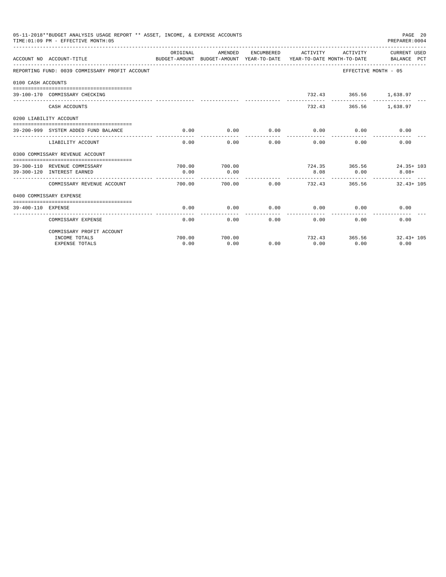|                    | 05-11-2018**BUDGET ANALYSIS USAGE REPORT ** ASSET, INCOME, & EXPENSE ACCOUNTS<br>TIME: 01:09 PM - EFFECTIVE MONTH: 05<br>------------------------------- |                |         |                 |                                                                                            |                        | PAGE 20<br>PREPARER: 0004           |
|--------------------|----------------------------------------------------------------------------------------------------------------------------------------------------------|----------------|---------|-----------------|--------------------------------------------------------------------------------------------|------------------------|-------------------------------------|
|                    | ACCOUNT NO ACCOUNT-TITLE                                                                                                                                 | ORIGINAL       | AMENDED |                 | ENCUMBERED ACTIVITY<br>BUDGET-AMOUNT BUDGET-AMOUNT YEAR-TO-DATE YEAR-TO-DATE MONTH-TO-DATE | ACTIVITY               | CURRENT USED<br>BALANCE PCT         |
|                    | REPORTING FUND: 0039 COMMISSARY PROFIT ACCOUNT                                                                                                           |                |         |                 |                                                                                            | EFFECTIVE MONTH - 05   |                                     |
| 0100 CASH ACCOUNTS |                                                                                                                                                          |                |         |                 |                                                                                            |                        |                                     |
|                    | 39-100-170 COMMISSARY CHECKING                                                                                                                           |                |         |                 |                                                                                            | 732.43 365.56 1,638.97 |                                     |
|                    | CASH ACCOUNTS                                                                                                                                            |                |         |                 |                                                                                            | 732.43 365.56 1,638.97 |                                     |
|                    | 0200 LIABILITY ACCOUNT                                                                                                                                   |                |         |                 |                                                                                            |                        |                                     |
|                    | 39-200-999 SYSTEM ADDED FUND BALANCE                                                                                                                     | 0.00           | 0.00    | 0.00            | 0.00                                                                                       | 0.00                   | 0.00                                |
|                    | LIABILITY ACCOUNT                                                                                                                                        | 0.00           | 0.00    | 0.00            | 0.00                                                                                       | 0.00                   | 0.00                                |
|                    | 0300 COMMISSARY REVENUE ACCOUNT                                                                                                                          |                |         |                 |                                                                                            |                        |                                     |
|                    |                                                                                                                                                          |                | 700.00  |                 |                                                                                            |                        |                                     |
|                    | 39-300-110 REVENUE COMMISSARY<br>39-300-120 INTEREST EARNED                                                                                              | 700.00<br>0.00 | 0.00    |                 | 8.08                                                                                       | 0.00                   | 724.35 365.56 24.35+ 103<br>$8.08+$ |
|                    |                                                                                                                                                          |                |         |                 |                                                                                            |                        |                                     |
|                    | COMMISSARY REVENUE ACCOUNT                                                                                                                               | 700.00         | 700.00  | 0.00            | 732.43                                                                                     | 365.56                 | $32.43 + 105$                       |
|                    | 0400 COMMISSARY EXPENSE                                                                                                                                  |                |         |                 |                                                                                            |                        |                                     |
|                    |                                                                                                                                                          |                |         |                 |                                                                                            |                        |                                     |
| 39-400-110 EXPENSE |                                                                                                                                                          | 0.00           | 0.00    | 0.00<br>------- | 0.00<br>-----------                                                                        | 0.00                   | 0.00                                |
|                    | COMMISSARY EXPENSE                                                                                                                                       | 0.00           | 0.00    |                 | 0.00<br>0.00                                                                               | 0.00                   | 0.00                                |
|                    | COMMISSARY PROFIT ACCOUNT                                                                                                                                |                |         |                 |                                                                                            |                        |                                     |
|                    | INCOME TOTALS                                                                                                                                            | 700.00         | 700.00  |                 |                                                                                            |                        | 732.43 365.56 32.43+ 105            |
|                    | <b>EXPENSE TOTALS</b>                                                                                                                                    | 0.00           | 0.00    | 0.00            | 0.00                                                                                       | 0.00                   | 0.00                                |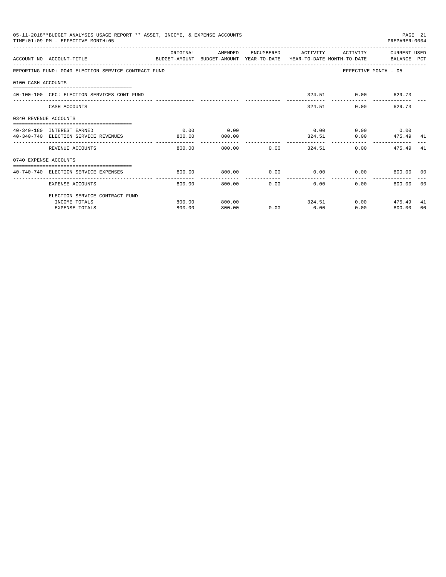|                       | 05-11-2018**BUDGET ANALYSIS USAGE REPORT ** ASSET, INCOME, & EXPENSE ACCOUNTS<br>TIME: 01:09 PM - EFFECTIVE MONTH: 05 |          |               |             |                                      |                    | PREPARER: 0004              | PAGE 21 |
|-----------------------|-----------------------------------------------------------------------------------------------------------------------|----------|---------------|-------------|--------------------------------------|--------------------|-----------------------------|---------|
|                       | ACCOUNT NO ACCOUNT-TITLE                                                                                              | ORIGINAL | AMENDED       |             | ENCUMBERED ACTIVITY                  | ACTIVITY           | CURRENT USED                |         |
|                       | BUDGET-AMOUNT BUDGET-AMOUNT YEAR-TO-DATE YEAR-TO-DATE MONTH-TO-DATE   BALANCE PCT                                     |          |               |             |                                      |                    |                             |         |
|                       | REPORTING FUND: 0040 ELECTION SERVICE CONTRACT FUND                                                                   |          |               |             |                                      |                    | EFFECTIVE MONTH - 05        |         |
| 0100 CASH ACCOUNTS    |                                                                                                                       |          |               |             |                                      |                    |                             |         |
|                       | 40-100-100 CFC: ELECTION SERVICES CONT FUND                                                                           |          |               |             |                                      | 324.51 0.00 629.73 |                             |         |
|                       | CASH ACCOUNTS                                                                                                         |          |               |             |                                      | 324.51             | $0.00$ and $0.00$<br>629.73 |         |
| 0340 REVENUE ACCOUNTS |                                                                                                                       |          |               |             |                                      |                    |                             |         |
|                       | 40-340-180 INTEREST EARNED                                                                                            | 0.00     | 0.00          |             | 0.00                                 |                    | $0.00$ 0.00                 |         |
|                       | 40-340-740 ELECTION SERVICE REVENUES                                                                                  | 800.00   | 800.00        |             |                                      | 324.51             | $0.00$ 475.49 41            |         |
|                       | REVENUE ACCOUNTS                                                                                                      | 800.00   |               | 800.00 0.00 |                                      | 324.51             | 0.00<br>475.49              | -41     |
| 0740 EXPENSE ACCOUNTS |                                                                                                                       |          |               |             |                                      |                    |                             |         |
|                       | 40-740-740 ELECTION SERVICE EXPENSES                                                                                  | 800.00   | 800.00        | $0.00$ 0.00 |                                      |                    | 0.00<br>800.00 00           |         |
|                       | EXPENSE ACCOUNTS                                                                                                      | 800.00   | ------------- | 800.00      | ---------------<br>$0.00$ and $0.00$ | 0.00<br>0.00       | 800.00 00                   |         |
|                       | ELECTION SERVICE CONTRACT FUND                                                                                        |          |               |             |                                      |                    |                             |         |
|                       | INCOME TOTALS                                                                                                         | 800.00   | 800.00        |             |                                      | 324.51             | $0.00$ 475.49               | 41      |
|                       | <b>EXPENSE TOTALS</b>                                                                                                 | 800.00   | 800.00        | 0.00        | 0.00                                 | 0.00               | 800.00                      | 00      |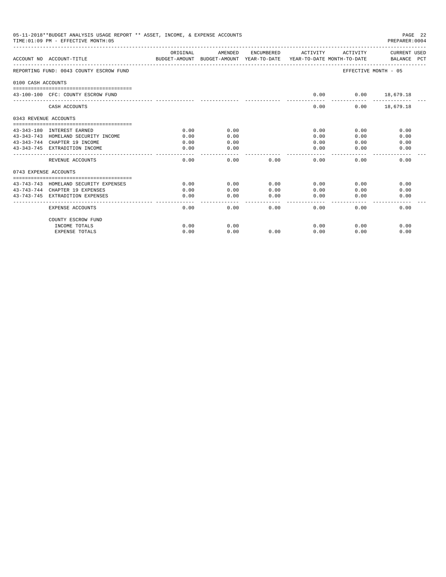|                       | 05-11-2018**BUDGET ANALYSIS USAGE REPORT ** ASSET, INCOME, & EXPENSE ACCOUNTS<br>PAGE 22<br>TIME: 01:09 PM - EFFECTIVE MONTH: 05<br>PREPARER: 0004 |          |           |                        |                       |                      |                             |  |  |  |  |
|-----------------------|----------------------------------------------------------------------------------------------------------------------------------------------------|----------|-----------|------------------------|-----------------------|----------------------|-----------------------------|--|--|--|--|
|                       | ACCOUNT NO ACCOUNT-TITLE<br>BUDGET-AMOUNT BUDGET-AMOUNT YEAR-TO-DATE YEAR-TO-DATE MONTH-TO-DATE                                                    | ORIGINAL | AMENDED   | ENCUMBERED             | ACTIVITY              | ACTIVITY             | CURRENT USED<br>BALANCE PCT |  |  |  |  |
|                       | REPORTING FUND: 0043 COUNTY ESCROW FUND                                                                                                            |          |           |                        |                       | EFFECTIVE MONTH - 05 |                             |  |  |  |  |
| 0100 CASH ACCOUNTS    |                                                                                                                                                    |          |           |                        |                       |                      |                             |  |  |  |  |
|                       | 43-100-100 CFC: COUNTY ESCROW FUND                                                                                                                 |          |           |                        | 0.00                  | $0.00$ 18,679.18     |                             |  |  |  |  |
|                       | CASH ACCOUNTS                                                                                                                                      |          |           |                        | 0.00                  |                      | $0.00$ 18,679.18            |  |  |  |  |
| 0343 REVENUE ACCOUNTS |                                                                                                                                                    |          |           |                        |                       |                      |                             |  |  |  |  |
|                       | 43-343-180 INTEREST EARNED                                                                                                                         | 0.00     | 0.00      |                        | 0.00                  | 0.00                 | 0.00                        |  |  |  |  |
|                       | 43-343-743 HOMELAND SECURITY INCOME                                                                                                                | 0.00     | 0.00      |                        | 0.00                  | 0.00                 | 0.00                        |  |  |  |  |
|                       | 43-343-744 CHAPTER 19 INCOME                                                                                                                       | 0.00     | 0.00      |                        | 0.00                  | 0.00                 | 0.00                        |  |  |  |  |
|                       | 43-343-745 EXTRADITION INCOME                                                                                                                      | 0.00     | 0.00      |                        | 0.00                  | 0.00                 | 0.00                        |  |  |  |  |
|                       | REVENUE ACCOUNTS                                                                                                                                   | 0.00     | 0.00      | 0.00                   | 0.00                  | 0.00                 | 0.00                        |  |  |  |  |
| 0743 EXPENSE ACCOUNTS |                                                                                                                                                    |          |           |                        |                       |                      |                             |  |  |  |  |
|                       | 43-743-743 HOMELAND SECURITY EXPENSES                                                                                                              | 0.00     | 0.00      | 0.00                   | 0.00                  | 0.00                 | 0.00                        |  |  |  |  |
|                       | 43-743-744 CHAPTER 19 EXPENSES                                                                                                                     | 0.00     | 0.00      | 0.00                   | 0.00                  | 0.00                 | 0.00                        |  |  |  |  |
|                       | 43-743-745 EXTRADITION EXPENSES                                                                                                                    | 0.00     | 0.00<br>. | 0.00<br>المامات ماليات | 0.00<br>$\frac{1}{2}$ | 0.00                 | 0.00                        |  |  |  |  |
|                       | EXPENSE ACCOUNTS                                                                                                                                   | 0.00     | 0.00      | 0.00                   | 0.00                  | 0.00                 | 0.00                        |  |  |  |  |
|                       | COUNTY ESCROW FUND                                                                                                                                 |          |           |                        |                       |                      |                             |  |  |  |  |
|                       | INCOME TOTALS                                                                                                                                      | 0.00     | 0.00      |                        | 0.00                  | 0.00                 | 0.00                        |  |  |  |  |
|                       | <b>EXPENSE TOTALS</b>                                                                                                                              | 0.00     | 0.00      | 0.00                   | 0.00                  | 0.00                 | 0.00                        |  |  |  |  |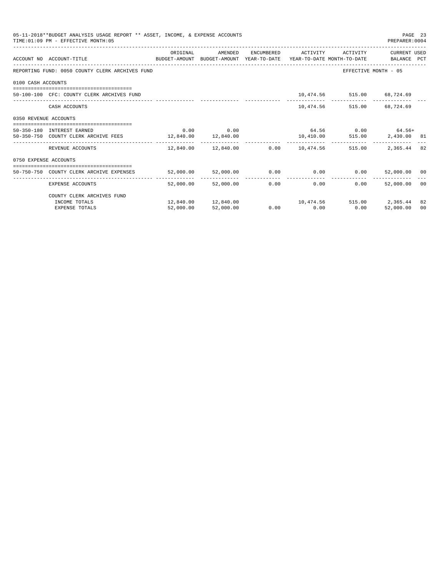|                       | 05-11-2018**BUDGET ANALYSIS USAGE REPORT ** ASSET, INCOME, & EXPENSE ACCOUNTS<br>TIME: 01:09 PM - EFFECTIVE MONTH: 05 |           |                                                         |                   |                              | PAGE 23<br>PREPARER: 0004    |    |
|-----------------------|-----------------------------------------------------------------------------------------------------------------------|-----------|---------------------------------------------------------|-------------------|------------------------------|------------------------------|----|
|                       | ACCOUNT NO ACCOUNT-TITLE COMPUTE SUDGET-AMOUNT BUDGET-AMOUNT YEAR-TO-DATE YEAR-TO-DATE MONTH-TO-DATE BALANCE PCT      | ORIGINAL  | AMENDED                                                 |                   | ENCUMBERED ACTIVITY ACTIVITY | CURRENT USED                 |    |
|                       | REPORTING FUND: 0050 COUNTY CLERK ARCHIVES FUND                                                                       |           |                                                         |                   |                              | EFFECTIVE MONTH - 05         |    |
| 0100 CASH ACCOUNTS    |                                                                                                                       |           |                                                         |                   |                              |                              |    |
|                       | 50-100-100 CFC: COUNTY CLERK ARCHIVES FUND                                                                            |           |                                                         |                   | 10,474.56 515.00 68,724.69   |                              |    |
|                       | CASH ACCOUNTS                                                                                                         |           |                                                         |                   | 10,474.56 515.00 68,724.69   |                              |    |
| 0350 REVENUE ACCOUNTS |                                                                                                                       |           |                                                         |                   |                              |                              |    |
|                       | 50-350-180 INTEREST EARNED                                                                                            |           | $0.00$ 0.00                                             |                   |                              | $64.56$ 0.00 $64.56+$        |    |
|                       | 50-350-750 COUNTY CLERK ARCHIVE FEES 12,840.00 12,840.00                                                              |           |                                                         |                   |                              | 10,410.00 515.00 2,430.00 81 |    |
|                       | REVENUE ACCOUNTS                                                                                                      |           | $12,840.00$ $12,840.00$ $0.00$ $10,474.56$ 515.00       |                   |                              | 2,365.44 82                  |    |
| 0750 EXPENSE ACCOUNTS |                                                                                                                       |           |                                                         |                   |                              |                              |    |
|                       | =====================================<br>50-750-750 COUNTY CLERK ARCHIVE EXPENSES                                     |           | 52,000.00 52,000.00 0.00 0.00 0.00 0.00 52,000.00 00    |                   |                              |                              |    |
|                       | EXPENSE ACCOUNTS                                                                                                      | 52,000.00 | 52,000,00                                               | $0.00$ and $0.00$ | 0.00<br>0.00                 | 52,000.00 00                 |    |
|                       | COUNTY CLERK ARCHIVES FUND                                                                                            |           |                                                         |                   |                              |                              |    |
|                       | INCOME TOTALS                                                                                                         |           | $12,840.00$ $12,840.00$ $10,474.56$ $515.00$ $2,365.44$ |                   |                              |                              | 82 |
|                       | <b>EXPENSE TOTALS</b>                                                                                                 | 52,000.00 | 52,000.00                                               | $0.00$ 0.00       | 0.00                         | 52,000.00                    | 00 |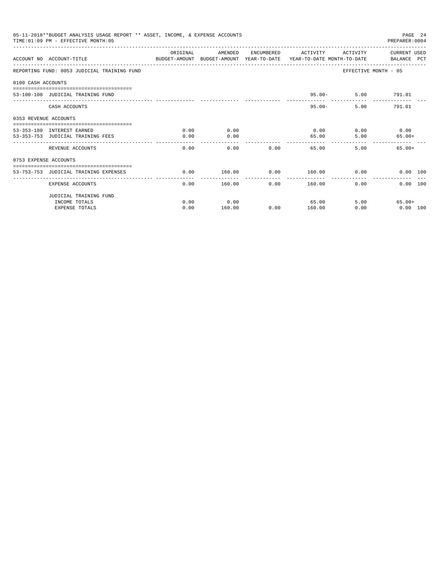|                       | 05-11-2018**BUDGET ANALYSIS USAGE REPORT ** ASSET, INCOME, & EXPENSE ACCOUNTS<br>TIME: 01:09 PM - EFFECTIVE MONTH: 05 |          |         |                   |                          |                        | PAGE 24<br>PREPARER: 0004 |  |
|-----------------------|-----------------------------------------------------------------------------------------------------------------------|----------|---------|-------------------|--------------------------|------------------------|---------------------------|--|
|                       | ACCOUNT NO ACCOUNT-TITLE CONTROL SUDGET-AMOUNT BUDGET-AMOUNT YEAR-TO-DATE YEAR-TO-DATE MONTH-TO-DATE BALANCE PCT      | ORIGINAL | AMENDED |                   | ENCUMBERED ACTIVITY      | ACTIVITY               | CURRENT USED              |  |
|                       | REPORTING FUND: 0053 JUDICIAL TRAINING FUND                                                                           |          |         |                   |                          |                        | EFFECTIVE MONTH - 05      |  |
| 0100 CASH ACCOUNTS    |                                                                                                                       |          |         |                   |                          |                        |                           |  |
|                       | 53-100-100 JUDICIAL TRAINING FUND                                                                                     |          |         |                   | $95.00 -$                |                        | 5.00 791.01               |  |
|                       | CASH ACCOUNTS                                                                                                         |          |         |                   | $95.00 -$                | ______________________ | 5.00<br>791.01            |  |
| 0353 REVENUE ACCOUNTS | ==================================                                                                                    |          |         |                   |                          |                        |                           |  |
|                       | 53-353-180 INTEREST EARNED                                                                                            | 0.00     | 0.00    |                   | 0.00                     |                        | $0.00$ $0.00$             |  |
|                       | 53-353-753 JUDICIAL TRAINING FEES                                                                                     | 0.00     | 0.00    |                   | 65.00                    | 5.00                   | $65.00+$                  |  |
|                       | REVENUE ACCOUNTS                                                                                                      | 0.00     | 0.00    | 0.00              | ---------<br>65.00       | 5.00                   | $65.00+$                  |  |
| 0753 EXPENSE ACCOUNTS |                                                                                                                       |          |         |                   |                          |                        |                           |  |
|                       | 53-753-753 JUDICIAL TRAINING EXPENSES                                                                                 | 0.00     | 160.00  |                   | $0.00$ $160.00$ $0.00$   |                        | 0.00 100                  |  |
|                       | EXPENSE ACCOUNTS                                                                                                      | 0.00     | 160.00  | $0.00$ and $0.00$ | --------------<br>160.00 | $0.00 -$               | 0.00 100                  |  |
|                       | JUDICIAL TRAINING FUND                                                                                                |          |         |                   |                          |                        |                           |  |
|                       | INCOME TOTALS                                                                                                         | 0.00     | 0.00    |                   | 65.00                    |                        | 5.00<br>65.00+            |  |
|                       | <b>EXPENSE TOTALS</b>                                                                                                 | 0.00     | 160.00  | 0.00              | 160.00                   | 0.00                   | $0.00$ 100                |  |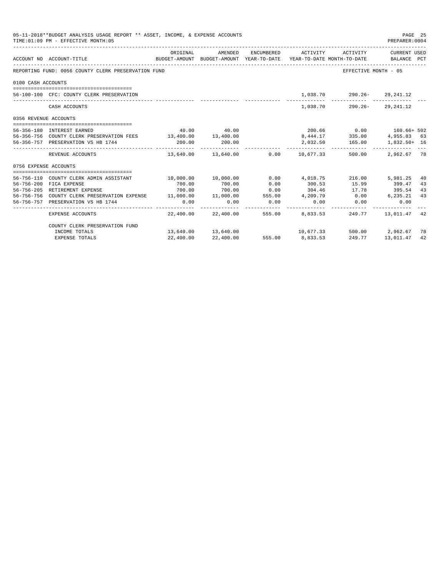|                       | 05-11-2018**BUDGET ANALYSIS USAGE REPORT ** ASSET, INCOME, & EXPENSE ACCOUNTS<br>TIME: 01:09 PM - EFFECTIVE MONTH: 05 |                     |             |                       |                                     |                                                                                 | PAGE 25<br>PREPARER: 0004 |    |
|-----------------------|-----------------------------------------------------------------------------------------------------------------------|---------------------|-------------|-----------------------|-------------------------------------|---------------------------------------------------------------------------------|---------------------------|----|
|                       | ACCOUNT NO ACCOUNT-TITLE                                                                                              | ORIGINAL            | AMENDED     |                       | ENCUMBERED ACTIVITY                 | BUDGET-AMOUNT BUDGET-AMOUNT YEAR-TO-DATE YEAR-TO-DATE MONTH-TO-DATE BALANCE PCT | ACTIVITY CURRENT USED     |    |
|                       | REPORTING FUND: 0056 COUNTY CLERK PRESERVATION FUND                                                                   |                     |             |                       |                                     | EFFECTIVE MONTH - 05                                                            |                           |    |
| 0100 CASH ACCOUNTS    |                                                                                                                       |                     |             |                       |                                     |                                                                                 |                           |    |
|                       |                                                                                                                       |                     |             |                       |                                     |                                                                                 |                           |    |
|                       | 56-100-100 CFC: COUNTY CLERK PRESERVATION                                                                             |                     |             |                       |                                     | 1,038.70 290.26- 29,241.12                                                      |                           |    |
|                       | CASH ACCOUNTS                                                                                                         |                     |             |                       |                                     | 1,038.70 290.26- 29,241.12                                                      |                           |    |
| 0356 REVENUE ACCOUNTS |                                                                                                                       |                     |             |                       |                                     |                                                                                 |                           |    |
|                       | 56-356-180 INTEREST EARNED                                                                                            |                     | 40.00 40.00 |                       |                                     | 200.66 0.00 160.66+ 502                                                         |                           |    |
|                       | 56-356-756 COUNTY CLERK PRESERVATION FEES 13,400.00 13,400.00                                                         |                     |             |                       |                                     | 8,444.17 335.00                                                                 | 4,955.83 63               |    |
|                       | 56-356-757 PRESERVATION VS HB 1744                                                                                    | 200.00              | 200.00      |                       |                                     | 2,032.50   165.00   1,832.50+   16                                              |                           |    |
|                       | REVENUE ACCOUNTS                                                                                                      |                     |             |                       |                                     | $13,640.00$ $13,640.00$ $0.00$ $10,677.33$ $500.00$                             | 2,962.67 78               |    |
| 0756 EXPENSE ACCOUNTS |                                                                                                                       |                     |             |                       |                                     |                                                                                 |                           |    |
|                       |                                                                                                                       |                     |             |                       |                                     |                                                                                 |                           |    |
|                       | 56-756-110 COUNTY CLERK ADMIN ASSISTANT                                                                               | 10,000.00 10,000.00 |             |                       |                                     | $0.00$ $4.018.75$ $216.00$                                                      | 5,981.25                  | 40 |
|                       | 56-756-200 FICA EXPENSE                                                                                               | 700.00              | 700.00      | 0.00                  | 300.53                              | 15.99 399.47                                                                    |                           | 43 |
|                       | 56-756-205 RETIREMENT EXPENSE                                                                                         | 700.00              | 700.00      | 0.00                  |                                     | 304.46 17.78 395.54 43                                                          |                           |    |
|                       | 56-756-756 COUNTY CLERK PRESERVATION EXPENSE 11,000.00 11,000.00 555.00 4,209.79 0.00                                 |                     |             |                       |                                     |                                                                                 | 6, 235. 21 43             |    |
|                       | 56-756-757 PRESERVATION VS HB 1744                                                                                    | 0.00                | 0.00        | 0.00<br>------------- | 0.00                                | 0.00<br>____________                                                            | 0.00                      |    |
|                       | EXPENSE ACCOUNTS                                                                                                      |                     |             |                       | 22,400.00 22,400.00 555.00 8,833.53 |                                                                                 | 249.77 13,011.47 42       |    |
|                       | COUNTY CLERK PRESERVATION FUND                                                                                        |                     |             |                       |                                     |                                                                                 |                           |    |
|                       | INCOME TOTALS                                                                                                         |                     |             |                       |                                     | $13,640.00$ $13,640.00$ $10,677.33$ $500.00$ $2,962.67$ 78                      |                           |    |
|                       | EXPENSE TOTALS                                                                                                        | 22,400.00           | 22,400.00   |                       |                                     | 555.00 8,833.53 249.77 13,011.47 42                                             |                           |    |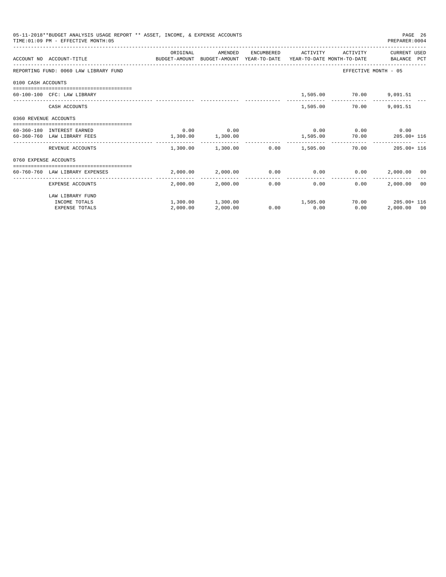|                       | 05-11-2018**BUDGET ANALYSIS USAGE REPORT ** ASSET, INCOME, & EXPENSE ACCOUNTS<br>TIME: 01:09 PM - EFFECTIVE MONTH: 05 |                       |                   |            |                                                             |                             | PAGE 26<br>PREPARER:0004 |                |
|-----------------------|-----------------------------------------------------------------------------------------------------------------------|-----------------------|-------------------|------------|-------------------------------------------------------------|-----------------------------|--------------------------|----------------|
|                       |                                                                                                                       | ORIGINAL              | AMENDED           | ENCUMBERED | ACTIVITY                                                    |                             | ACTIVITY CURRENT USED    |                |
|                       | ACCOUNT NO ACCOUNT-TITLE CONTROL SUDGET-AMOUNT BUDGET-AMOUNT YEAR-TO-DATE YEAR-TO-DATE MONTH-TO-DATE BALANCE PCT      |                       |                   |            |                                                             |                             |                          |                |
|                       | REPORTING FUND: 0060 LAW LIBRARY FUND                                                                                 |                       |                   |            |                                                             | EFFECTIVE MONTH - 05        |                          |                |
| 0100 CASH ACCOUNTS    |                                                                                                                       |                       |                   |            |                                                             |                             |                          |                |
|                       | 60-100-100 CFC: LAW LIBRARY                                                                                           |                       |                   |            |                                                             | 1,505.00 70.00 9,091.51     |                          |                |
|                       | CASH ACCOUNTS                                                                                                         |                       |                   |            | 1,505.00                                                    | 70.00                       | 9,091.51                 |                |
| 0360 REVENUE ACCOUNTS |                                                                                                                       |                       |                   |            |                                                             |                             |                          |                |
|                       | 60-360-180 INTEREST EARNED                                                                                            | 0.00                  | 0.00              |            |                                                             | $0.00$ $0.00$ $0.00$ $0.00$ |                          |                |
|                       | 60-360-760 LAW LIBRARY FEES                                                                                           | $1,300.00$ $1,300.00$ |                   |            |                                                             | 1,505.00 70.00 205.00+ 116  |                          |                |
|                       | REVENUE ACCOUNTS                                                                                                      |                       |                   |            | $1.300.00$ $1.300.00$ $0.00$ $1.505.00$                     | 70.00                       | $205.00 + 116$           |                |
| 0760 EXPENSE ACCOUNTS |                                                                                                                       |                       |                   |            |                                                             |                             |                          |                |
|                       | 60-760-760 LAW LIBRARY EXPENSES                                                                                       |                       |                   |            | $2,000.00$ $2,000.00$ $0.00$ $0.00$ $0.00$ $2,000.00$ $0.0$ |                             |                          |                |
|                       | EXPENSE ACCOUNTS                                                                                                      | --------              | 2,000.00 2,000.00 |            | $0.00$ and $0.00$<br>0.00                                   | 0.00                        | 2,000.00                 | 0 <sup>0</sup> |
|                       | LAW LIBRARY FUND                                                                                                      |                       |                   |            |                                                             |                             |                          |                |
|                       | INCOME TOTALS                                                                                                         |                       |                   |            | $1,300.00$ $1,300.00$ $1,505.00$                            |                             | 70.00 205.00+116         |                |
|                       | <b>EXPENSE TOTALS</b>                                                                                                 | 2,000.00              | 2,000.00          | 0.00       | 0.00                                                        | 0.00                        | 2,000.00 00              |                |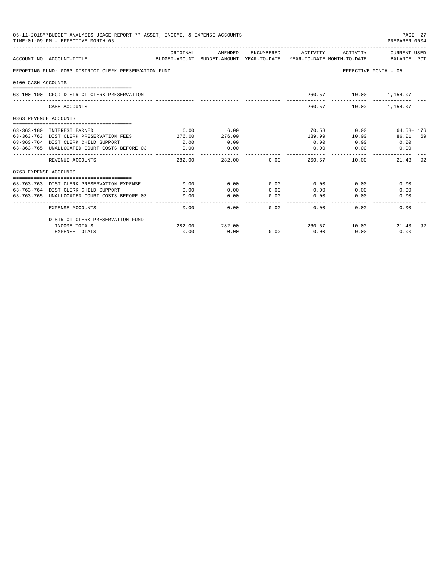|                       | 05-11-2018**BUDGET ANALYSIS USAGE REPORT ** ASSET, INCOME, & EXPENSE ACCOUNTS<br>TIME: 01:09 PM - EFFECTIVE MONTH: 05 |                         |                      |                     |                                         |                       | PAGE 27<br>PREPARER: 0004 |
|-----------------------|-----------------------------------------------------------------------------------------------------------------------|-------------------------|----------------------|---------------------|-----------------------------------------|-----------------------|---------------------------|
|                       |                                                                                                                       | ORIGINAL                | AMENDED              |                     | ENCUMBERED ACTIVITY                     | ACTIVITY              | CURRENT USED              |
|                       | BUDGET-AMOUNT BUDGET-AMOUNT YEAR-TO-DATE YEAR-TO-DATE MONTH-TO-DATE BALANCE PCT<br>ACCOUNT NO ACCOUNT-TITLE           |                         |                      |                     |                                         |                       |                           |
|                       | REPORTING FUND: 0063 DISTRICT CLERK PRESERVATION FUND                                                                 |                         |                      |                     |                                         | EFFECTIVE MONTH - 05  |                           |
| 0100 CASH ACCOUNTS    |                                                                                                                       |                         |                      |                     |                                         |                       |                           |
|                       | 63-100-100 CFC: DISTRICT CLERK PRESERVATION                                                                           |                         |                      |                     |                                         | 260.57 10.00 1,154.07 |                           |
|                       |                                                                                                                       |                         |                      |                     |                                         |                       |                           |
|                       | CASH ACCOUNTS                                                                                                         |                         |                      |                     |                                         | 260.57 10.00 1,154.07 |                           |
| 0363 REVENUE ACCOUNTS |                                                                                                                       |                         |                      |                     |                                         |                       |                           |
|                       |                                                                                                                       |                         |                      |                     |                                         |                       |                           |
|                       | 63-363-180 INTEREST EARNED                                                                                            | 6.00                    | 6.00                 |                     | 70.58                                   | 0.00                  | 64.58+ 176                |
|                       | 63-363-763 DIST CLERK PRESERVATION FEES<br>63-363-764 DIST CLERK CHILD SUPPORT                                        | 276.00<br>0.00          | 276.00<br>0.00       |                     | 189.99<br>0.00                          | 10.00<br>0.00         | 86.01 69<br>0.00          |
|                       | 63-363-765 UNALLOCATED COURT COSTS BEFORE 03                                                                          | 0.00                    | 0.00                 |                     | 0.00                                    | 0.00                  | 0.00                      |
|                       | REVENUE ACCOUNTS                                                                                                      | -------------<br>282.00 | ----------<br>282.00 |                     | --------<br>$0.00$ and $0.00$<br>260.57 | 10.00                 | 21.43<br>92               |
| 0763 EXPENSE ACCOUNTS |                                                                                                                       |                         |                      |                     |                                         |                       |                           |
|                       |                                                                                                                       |                         |                      |                     |                                         |                       |                           |
|                       | 63-763-763 DIST CLERK PRESERVATION EXPENSE                                                                            | 0.00                    | 0.00                 | 0.00                | 0.00                                    | 0.00                  | 0.00                      |
|                       | 63-763-764 DIST CLERK CHILD SUPPORT                                                                                   | 0.00                    | 0.00                 | 0.00                | 0.00                                    | 0.00                  | 0.00                      |
|                       | 63-763-765 UNALLOCATED COURT COSTS BEFORE 03                                                                          | 0.00                    | 0.00                 | 0.00<br>$- - - - -$ | 0.00<br>-------                         | 0.00                  | 0.00                      |
|                       | <b>EXPENSE ACCOUNTS</b>                                                                                               | 0.00                    | 0.00                 | 0.00                | 0.00                                    | 0.00                  | 0.00                      |
|                       | DISTRICT CLERK PRESERVATION FUND                                                                                      |                         |                      |                     |                                         |                       |                           |
|                       | INCOME TOTALS                                                                                                         | 282.00                  | 282.00               |                     |                                         | 260.57 10.00          | 21.43<br>92               |
|                       | <b>EXPENSE TOTALS</b>                                                                                                 | 0.00                    | 0.00                 | 0.00                | 0.00                                    | 0.00                  | 0.00                      |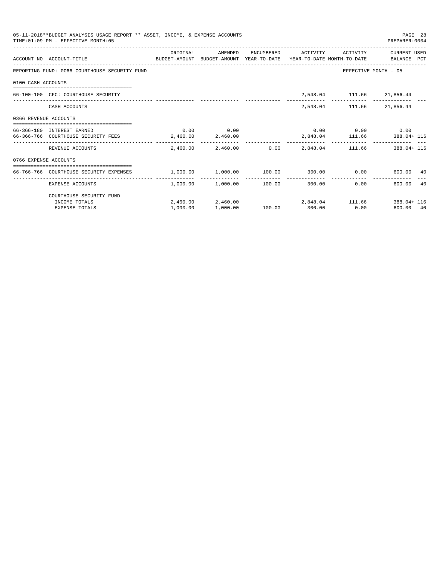|                       | 05-11-2018**BUDGET ANALYSIS USAGE REPORT ** ASSET, INCOME, & EXPENSE ACCOUNTS<br>TIME: 01:09 PM - EFFECTIVE MONTH: 05 |                                                |                                                    |               |                     |                             | PAGE 28<br>PREPARER: 0004                                       |  |
|-----------------------|-----------------------------------------------------------------------------------------------------------------------|------------------------------------------------|----------------------------------------------------|---------------|---------------------|-----------------------------|-----------------------------------------------------------------|--|
|                       | ACCOUNT NO ACCOUNT-TITLE<br>BUDGET-AMOUNT BUDGET-AMOUNT YEAR-TO-DATE YEAR-TO-DATE MONTH-TO-DATE BALANCE PCT           | ORIGINAL                                       | AMENDED                                            |               | ENCUMBERED ACTIVITY | ACTIVITY                    | CURRENT USED                                                    |  |
|                       | REPORTING FUND: 0066 COURTHOUSE SECURITY FUND                                                                         |                                                |                                                    |               |                     |                             | EFFECTIVE MONTH - 05                                            |  |
| 0100 CASH ACCOUNTS    |                                                                                                                       |                                                |                                                    |               |                     |                             |                                                                 |  |
|                       | 66-100-100 CFC: COURTHOUSE SECURITY                                                                                   |                                                |                                                    |               |                     | 2,548.04 111.66 21,856.44   |                                                                 |  |
|                       | CASH ACCOUNTS                                                                                                         |                                                |                                                    |               |                     | 2,548.04 111.66 21,856.44   |                                                                 |  |
| 0366 REVENUE ACCOUNTS |                                                                                                                       |                                                |                                                    |               |                     |                             |                                                                 |  |
|                       | 66-366-180 INTEREST EARNED                                                                                            |                                                | $0.00$ 0.00                                        |               |                     | $0.00$ $0.00$ $0.00$ $0.00$ |                                                                 |  |
|                       | 66-366-766 COURTHOUSE SECURITY FEES                                                                                   | 2,460.00 2,460.00                              |                                                    |               |                     |                             | 2,848.04 111.66 388.04+116                                      |  |
|                       | REVENUE ACCOUNTS                                                                                                      |                                                |                                                    |               |                     |                             | $2,460.00$ $2,460.00$ $0.00$ $2,848.04$ $111.66$ $388.04 + 116$ |  |
| 0766 EXPENSE ACCOUNTS |                                                                                                                       |                                                |                                                    |               |                     |                             |                                                                 |  |
|                       | 66-766-766 COURTHOUSE SECURITY EXPENSES                                                                               | $1,000.00$ $1,000.00$ $100.00$ $300.00$ $0.00$ |                                                    |               |                     |                             | 600.00 40                                                       |  |
|                       | EXPENSE ACCOUNTS                                                                                                      |                                                | ----------------<br>$1.000.00$ $1.000.00$ $100.00$ |               | ----------------    | 300.00                      | 0.00<br>600.00 40                                               |  |
|                       | COURTHOUSE SECURITY FUND                                                                                              |                                                |                                                    |               |                     |                             |                                                                 |  |
|                       | INCOME TOTALS                                                                                                         |                                                |                                                    |               |                     |                             | 2,460.00 2,460.00 2,848.04 111.66 388.04 116                    |  |
|                       | <b>EXPENSE TOTALS</b>                                                                                                 | 1,000.00                                       | 1,000.00                                           | 100.00 300.00 |                     | 0.00                        | 600.00 40                                                       |  |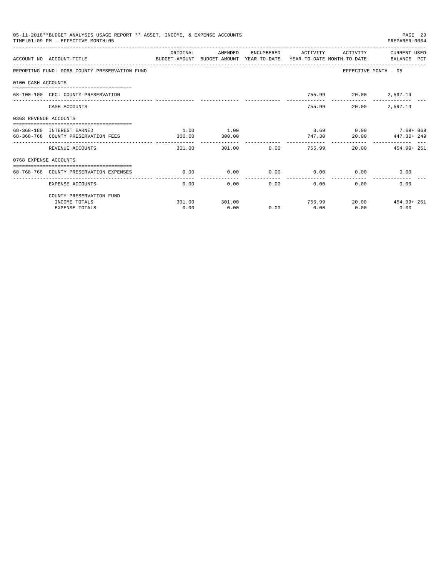|                       | 05-11-2018**BUDGET ANALYSIS USAGE REPORT ** ASSET, INCOME, & EXPENSE ACCOUNTS<br>TIME: 01:09 PM - EFFECTIVE MONTH: 05 |          |         |               |                       |                             | PAGE 29<br>PREPARER: 0004 |
|-----------------------|-----------------------------------------------------------------------------------------------------------------------|----------|---------|---------------|-----------------------|-----------------------------|---------------------------|
|                       | ACCOUNT NO ACCOUNT-TITLE<br>BUDGET-AMOUNT BUDGET-AMOUNT YEAR-TO-DATE YEAR-TO-DATE MONTH-TO-DATE BALANCE PCT           | ORIGINAL | AMENDED |               | ENCUMBERED ACTIVITY   | ACTIVITY                    | CURRENT USED              |
|                       | REPORTING FUND: 0068 COUNTY PRESERVATION FUND                                                                         |          |         |               |                       | EFFECTIVE MONTH - 05        |                           |
| 0100 CASH ACCOUNTS    |                                                                                                                       |          |         |               |                       |                             |                           |
|                       | 68-100-100 CFC: COUNTY PRESERVATION                                                                                   |          |         |               |                       | 755.99 20.00 2,597.14       |                           |
|                       | CASH ACCOUNTS                                                                                                         |          |         |               |                       | 755.99<br>20.00             | 2,597.14                  |
| 0368 REVENUE ACCOUNTS |                                                                                                                       |          |         |               |                       |                             |                           |
|                       | 68-368-180 INTEREST EARNED                                                                                            | 1.00     | 1.00    |               |                       |                             | $8.69$ 0.00 7.69+869      |
|                       | 68-368-768 COUNTY PRESERVATION FEES                                                                                   | 300.00   | 300.00  |               | 747.30                | 20.00                       | 447.30+ 249               |
|                       | REVENUE ACCOUNTS                                                                                                      | 301.00   | 301.00  |               | 0.00<br>755.99        |                             | 20.00 454.99+251          |
| 0768 EXPENSE ACCOUNTS |                                                                                                                       |          |         |               |                       |                             |                           |
|                       | 68-768-768 COUNTY PRESERVATION EXPENSES                                                                               | 0.00     | 0.00    |               |                       | $0.00$ $0.00$ $0.00$ $0.00$ | 0.00                      |
|                       | EXPENSE ACCOUNTS                                                                                                      | 0.00     | 0.00    | ------------- | -------------<br>0.00 | 0.00                        | 0.00<br>0.00              |
|                       | COUNTY PRESERVATION FUND                                                                                              |          |         |               |                       |                             |                           |
|                       | INCOME TOTALS                                                                                                         | 301.00   | 301.00  |               |                       | 755.99                      | 20.00 454.99+251          |
|                       | <b>EXPENSE TOTALS</b>                                                                                                 | 0.00     | 0.00    | 0.00          | 0.00                  | 0.00                        | 0.00                      |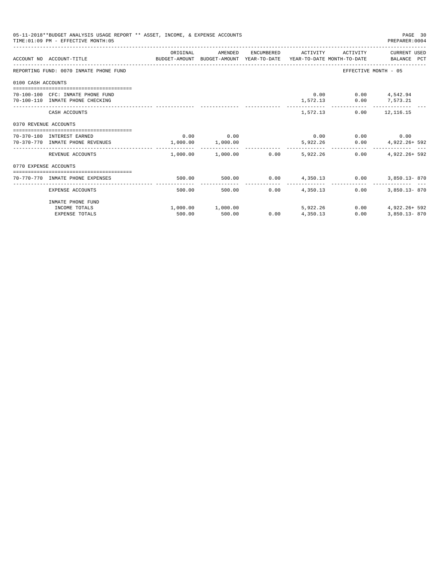| 05-11-2018**BUDGET ANALYSIS USAGE REPORT ** ASSET, INCOME, & EXPENSE ACCOUNTS<br>PAGE 30<br>TIME: 01:09 PM - EFFECTIVE MONTH: 05<br>PREPARER: 0004<br>ORIGINAL<br>ENCUMBERED ACTIVITY<br>AMENDED<br>ACTIVITY CURRENT USED<br>ACCOUNT NO ACCOUNT-TITLE CONTROL SUDGET-AMOUNT BUDGET-AMOUNT YEAR-TO-DATE YEAR-TO-DATE MONTH-TO-DATE BALANCE PCT<br>REPORTING FUND: 0070 INMATE PHONE FUND<br>EFFECTIVE MONTH - 05<br>0100 CASH ACCOUNTS<br>$0.00$ $0.00$ $4.542.94$<br>70-100-100 CFC: INMATE PHONE FUND<br>70-100-110 INMATE PHONE CHECKING<br>1,572.13 0.00 7,573.21<br>1,572.13 0.00 12,116.15<br>CASH ACCOUNTS<br>0370 REVENUE ACCOUNTS<br>$0.00$ 0.00<br>$0.00$ $0.00$ $0.00$ $0.00$<br>70-370-180 INTEREST EARNED<br>1,000.00 1,000.00<br>$5\,,922\,.\,26 \qquad \qquad 0\,.00 \qquad \qquad 4\,,922\,.\,26 + \, \, 592$<br>70-370-770 INMATE PHONE REVENUES<br>$1.000.00$ $1.000.00$ 0.00<br>5,922,26<br>4.922.26+ 592<br>REVENUE ACCOUNTS<br>0.00<br>0770 EXPENSE ACCOUNTS<br>$0.00 \t 4,350.13 \t 0.00$<br>70-770-770 INMATE PHONE EXPENSES<br>500.00<br>500.00<br>3,850.13-870<br>0.00<br>4,350.13<br>$3.850.13 - 870$<br>500.00<br>0.00<br>EXPENSE ACCOUNTS<br>500.00 |        |                       |      |          |      |               |
|--------------------------------------------------------------------------------------------------------------------------------------------------------------------------------------------------------------------------------------------------------------------------------------------------------------------------------------------------------------------------------------------------------------------------------------------------------------------------------------------------------------------------------------------------------------------------------------------------------------------------------------------------------------------------------------------------------------------------------------------------------------------------------------------------------------------------------------------------------------------------------------------------------------------------------------------------------------------------------------------------------------------------------------------------------------------------------------------------------------------------------------------------------------------------------|--------|-----------------------|------|----------|------|---------------|
|                                                                                                                                                                                                                                                                                                                                                                                                                                                                                                                                                                                                                                                                                                                                                                                                                                                                                                                                                                                                                                                                                                                                                                                |        |                       |      |          |      |               |
|                                                                                                                                                                                                                                                                                                                                                                                                                                                                                                                                                                                                                                                                                                                                                                                                                                                                                                                                                                                                                                                                                                                                                                                |        |                       |      |          |      |               |
|                                                                                                                                                                                                                                                                                                                                                                                                                                                                                                                                                                                                                                                                                                                                                                                                                                                                                                                                                                                                                                                                                                                                                                                |        |                       |      |          |      |               |
|                                                                                                                                                                                                                                                                                                                                                                                                                                                                                                                                                                                                                                                                                                                                                                                                                                                                                                                                                                                                                                                                                                                                                                                |        |                       |      |          |      |               |
|                                                                                                                                                                                                                                                                                                                                                                                                                                                                                                                                                                                                                                                                                                                                                                                                                                                                                                                                                                                                                                                                                                                                                                                |        |                       |      |          |      |               |
|                                                                                                                                                                                                                                                                                                                                                                                                                                                                                                                                                                                                                                                                                                                                                                                                                                                                                                                                                                                                                                                                                                                                                                                |        |                       |      |          |      |               |
|                                                                                                                                                                                                                                                                                                                                                                                                                                                                                                                                                                                                                                                                                                                                                                                                                                                                                                                                                                                                                                                                                                                                                                                |        |                       |      |          |      |               |
|                                                                                                                                                                                                                                                                                                                                                                                                                                                                                                                                                                                                                                                                                                                                                                                                                                                                                                                                                                                                                                                                                                                                                                                |        |                       |      |          |      |               |
|                                                                                                                                                                                                                                                                                                                                                                                                                                                                                                                                                                                                                                                                                                                                                                                                                                                                                                                                                                                                                                                                                                                                                                                |        |                       |      |          |      |               |
|                                                                                                                                                                                                                                                                                                                                                                                                                                                                                                                                                                                                                                                                                                                                                                                                                                                                                                                                                                                                                                                                                                                                                                                |        |                       |      |          |      |               |
|                                                                                                                                                                                                                                                                                                                                                                                                                                                                                                                                                                                                                                                                                                                                                                                                                                                                                                                                                                                                                                                                                                                                                                                |        |                       |      |          |      |               |
| INMATE PHONE FUND<br>INCOME TOTALS                                                                                                                                                                                                                                                                                                                                                                                                                                                                                                                                                                                                                                                                                                                                                                                                                                                                                                                                                                                                                                                                                                                                             |        | $1,000.00$ $1,000.00$ |      | 5,922.26 | 0.00 | 4,922.26+ 592 |
| <b>EXPENSE TOTALS</b>                                                                                                                                                                                                                                                                                                                                                                                                                                                                                                                                                                                                                                                                                                                                                                                                                                                                                                                                                                                                                                                                                                                                                          | 500.00 | 500.00                | 0.00 | 4,350.13 | 0.00 | 3,850.13-870  |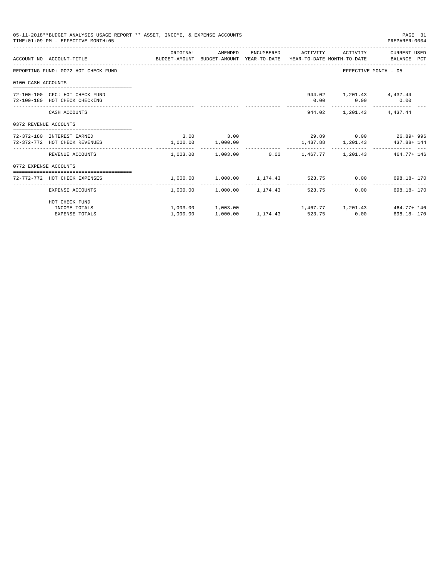| 05-11-2018**BUDGET ANALYSIS USAGE REPORT ** ASSET, INCOME, & EXPENSE ACCOUNTS<br>PAGE 31<br>TIME: 01:09 PM - EFFECTIVE MONTH: 05<br>PREPARER: 0004<br>ORIGINAL<br>AMENDED ENCUMBERED ACTIVITY ACTIVITY CURRENTUSED<br>ACCOUNT NO ACCOUNT-TITLE CONTROL SUDGET-AMOUNT BUDGET-AMOUNT YEAR-TO-DATE YEAR-TO-DATE MONTH-TO-DATE BALANCE PCT<br>REPORTING FUND: 0072 HOT CHECK FUND<br>EFFECTIVE MONTH - 05<br>0100 CASH ACCOUNTS<br>944.02 1,201.43 4,437.44<br>72-100-100 CFC: HOT CHECK FUND<br>$0.00$ $0.00$ $0.00$<br>72-100-180 HOT CHECK CHECKING<br>944.02 1,201.43 4,437.44<br>CASH ACCOUNTS<br>0372 REVENUE ACCOUNTS<br>$3.00$ $3.00$<br>$29.89$ $0.00$ $26.89 + 996$<br>72-372-180 INTEREST EARNED<br>1,000.00 1,000.00<br>1,437.88 1,201.43 437.88+144<br>72-372-772 HOT CHECK REVENUES<br>$1,003.00$ $1,003.00$ $0.00$ $1,467.77$ $1,201.43$ $464.77+146$<br>REVENUE ACCOUNTS<br>0772 EXPENSE ACCOUNTS<br>$1,000.00$ $1,000.00$ $1,174.43$ $523.75$ 0.00 $698.18 - 170$<br>72-772-772 HOT CHECK EXPENSES<br>$1,000.00$ $1,000.00$ $1,174.43$ $523.75$<br>0.00<br>698.18-170<br>EXPENSE ACCOUNTS |  |                                                |  |  |  |                                                          |
|--------------------------------------------------------------------------------------------------------------------------------------------------------------------------------------------------------------------------------------------------------------------------------------------------------------------------------------------------------------------------------------------------------------------------------------------------------------------------------------------------------------------------------------------------------------------------------------------------------------------------------------------------------------------------------------------------------------------------------------------------------------------------------------------------------------------------------------------------------------------------------------------------------------------------------------------------------------------------------------------------------------------------------------------------------------------------------------------------------|--|------------------------------------------------|--|--|--|----------------------------------------------------------|
|                                                                                                                                                                                                                                                                                                                                                                                                                                                                                                                                                                                                                                                                                                                                                                                                                                                                                                                                                                                                                                                                                                        |  |                                                |  |  |  |                                                          |
|                                                                                                                                                                                                                                                                                                                                                                                                                                                                                                                                                                                                                                                                                                                                                                                                                                                                                                                                                                                                                                                                                                        |  |                                                |  |  |  |                                                          |
|                                                                                                                                                                                                                                                                                                                                                                                                                                                                                                                                                                                                                                                                                                                                                                                                                                                                                                                                                                                                                                                                                                        |  |                                                |  |  |  |                                                          |
|                                                                                                                                                                                                                                                                                                                                                                                                                                                                                                                                                                                                                                                                                                                                                                                                                                                                                                                                                                                                                                                                                                        |  |                                                |  |  |  |                                                          |
|                                                                                                                                                                                                                                                                                                                                                                                                                                                                                                                                                                                                                                                                                                                                                                                                                                                                                                                                                                                                                                                                                                        |  |                                                |  |  |  |                                                          |
|                                                                                                                                                                                                                                                                                                                                                                                                                                                                                                                                                                                                                                                                                                                                                                                                                                                                                                                                                                                                                                                                                                        |  |                                                |  |  |  |                                                          |
|                                                                                                                                                                                                                                                                                                                                                                                                                                                                                                                                                                                                                                                                                                                                                                                                                                                                                                                                                                                                                                                                                                        |  |                                                |  |  |  |                                                          |
|                                                                                                                                                                                                                                                                                                                                                                                                                                                                                                                                                                                                                                                                                                                                                                                                                                                                                                                                                                                                                                                                                                        |  |                                                |  |  |  |                                                          |
|                                                                                                                                                                                                                                                                                                                                                                                                                                                                                                                                                                                                                                                                                                                                                                                                                                                                                                                                                                                                                                                                                                        |  |                                                |  |  |  |                                                          |
|                                                                                                                                                                                                                                                                                                                                                                                                                                                                                                                                                                                                                                                                                                                                                                                                                                                                                                                                                                                                                                                                                                        |  |                                                |  |  |  |                                                          |
|                                                                                                                                                                                                                                                                                                                                                                                                                                                                                                                                                                                                                                                                                                                                                                                                                                                                                                                                                                                                                                                                                                        |  |                                                |  |  |  |                                                          |
| HOT CHECK FUND<br>INCOME TOTALS                                                                                                                                                                                                                                                                                                                                                                                                                                                                                                                                                                                                                                                                                                                                                                                                                                                                                                                                                                                                                                                                        |  |                                                |  |  |  | $1,003.00$ $1,003.00$ $1,467.77$ $1,201.43$ $464.77+146$ |
| <b>EXPENSE TOTALS</b>                                                                                                                                                                                                                                                                                                                                                                                                                                                                                                                                                                                                                                                                                                                                                                                                                                                                                                                                                                                                                                                                                  |  | $1,000.00$ $1,000.00$ $1,174.43$ $523.75$ 0.00 |  |  |  | 698.18-170                                               |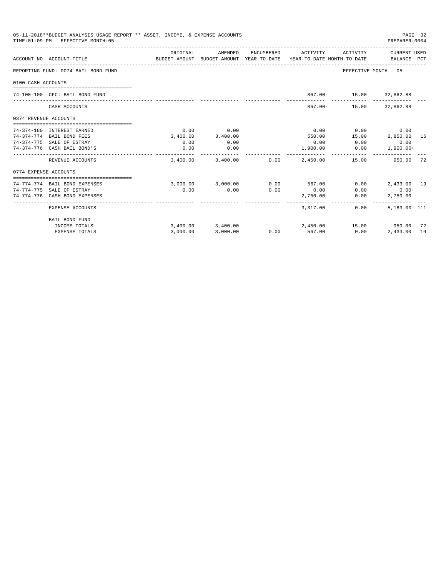|                       | 05-11-2018**BUDGET ANALYSIS USAGE REPORT ** ASSET, INCOME, & EXPENSE ACCOUNTS<br>TIME: 01:09 PM - EFFECTIVE MONTH: 05 |          |                                                     |            |                                        |                         | PAGE 32<br>PREPARER: 0004   |     |
|-----------------------|-----------------------------------------------------------------------------------------------------------------------|----------|-----------------------------------------------------|------------|----------------------------------------|-------------------------|-----------------------------|-----|
|                       | ACCOUNT NO ACCOUNT-TITLE                                                                                              | ORIGINAL | AMENDED<br>BUDGET-AMOUNT BUDGET-AMOUNT YEAR-TO-DATE | ENCUMBERED | ACTIVITY<br>YEAR-TO-DATE MONTH-TO-DATE | ACTIVITY                | CURRENT USED<br>BALANCE PCT |     |
|                       | REPORTING FUND: 0074 BAIL BOND FUND                                                                                   |          |                                                     |            |                                        | EFFECTIVE MONTH - 05    |                             |     |
| 0100 CASH ACCOUNTS    |                                                                                                                       |          |                                                     |            |                                        |                         |                             |     |
|                       |                                                                                                                       |          |                                                     |            |                                        |                         |                             |     |
|                       | 74-100-100 CFC: BAIL BOND FUND                                                                                        |          |                                                     |            |                                        | 867.00- 15.00 32,862.88 |                             |     |
|                       | CASH ACCOUNTS                                                                                                         |          |                                                     |            | $867.00 -$                             |                         | 15.00 32,862.88             |     |
| 0374 REVENUE ACCOUNTS |                                                                                                                       |          |                                                     |            |                                        |                         |                             |     |
|                       | 74-374-180 INTEREST EARNED                                                                                            | 0.00     | 0.00                                                |            | 0.00                                   | 0.00                    | 0.00                        |     |
|                       | 74-374-774 BAIL BOND FEES                                                                                             |          | 3,400.00 3,400.00                                   |            | 550.00                                 | 15.00                   | 2,850.00                    | 16  |
|                       | 74-374-775 SALE OF ESTRAY                                                                                             | 0.00     | 0.00                                                |            | 0.00                                   | 0.00                    | 0.00                        |     |
|                       | 74-374-776 CASH BAIL BOND'S                                                                                           | 0.00     | 0.00                                                |            | 1,900.00                               | 0.00                    | $1,900.00+$                 |     |
|                       | REVENUE ACCOUNTS                                                                                                      | 3,400.00 | 3,400.00                                            | 0.00       | 2,450.00                               | 15.00                   | 950.00                      | -72 |
| 0774 EXPENSE ACCOUNTS |                                                                                                                       |          |                                                     |            |                                        |                         |                             |     |
|                       |                                                                                                                       |          |                                                     |            |                                        |                         |                             |     |
|                       | 74-774-774 BAIL BOND EXPENSES                                                                                         |          | 3,000.00 3,000.00                                   |            | 0.00 567.00                            | 0.00                    | 2,433,00 19                 |     |
|                       | 74-774-775 SALE OF ESTRAY                                                                                             | 0.00     | 0.00                                                | 0.00       | 0.00                                   | 0.00                    | 0.00                        |     |
|                       | 74-774-776 CASH BOND EXPENSES                                                                                         |          |                                                     |            | 2,750.00                               | 0.00<br>-----------     | 2,750.00                    |     |
|                       | <b>EXPENSE ACCOUNTS</b>                                                                                               |          |                                                     |            | 3,317.00                               | $0.00 -$                | 5,183.00 111                |     |
|                       | <b>BAIL BOND FUND</b>                                                                                                 |          |                                                     |            |                                        |                         |                             |     |
|                       | INCOME TOTALS                                                                                                         |          | 3,400.00 3,400.00                                   |            | 2,450.00                               | 15.00 950.00            |                             | 72  |
|                       | <b>EXPENSE TOTALS</b>                                                                                                 | 3.000.00 | 3,000.00                                            | 0.00       | 567.00                                 | 0.00                    | 2,433.00                    | 19  |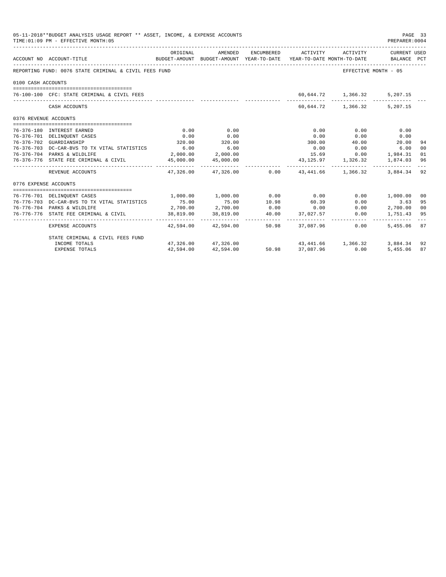| 05-11-2018**BUDGET ANALYSIS USAGE REPORT ** ASSET, INCOME, & EXPENSE ACCOUNTS<br>PAGE 33<br>TIME: 01:09 PM - EFFECTIVE MONTH: 05<br>PREPARER: 0004<br>ENCUMBERED ACTIVITY ACTIVITY |                                                       |           |                       |       |                                                                                 |                                |               |               |  |
|------------------------------------------------------------------------------------------------------------------------------------------------------------------------------------|-------------------------------------------------------|-----------|-----------------------|-------|---------------------------------------------------------------------------------|--------------------------------|---------------|---------------|--|
|                                                                                                                                                                                    | ACCOUNT NO ACCOUNT-TITLE                              | ORIGINAL  | AMENDED               |       | BUDGET-AMOUNT BUDGET-AMOUNT YEAR-TO-DATE YEAR-TO-DATE MONTH-TO-DATE BALANCE PCT |                                | CURRENT USED  |               |  |
|                                                                                                                                                                                    | REPORTING FUND: 0076 STATE CRIMINAL & CIVIL FEES FUND |           |                       |       |                                                                                 | EFFECTIVE MONTH - 05           |               |               |  |
| 0100 CASH ACCOUNTS                                                                                                                                                                 |                                                       |           |                       |       |                                                                                 |                                |               |               |  |
|                                                                                                                                                                                    | 76-100-100 CFC: STATE CRIMINAL & CIVIL FEES           |           |                       |       |                                                                                 | 60,644.72 1,366.32             | 5,207.15      |               |  |
|                                                                                                                                                                                    | CASH ACCOUNTS                                         |           |                       |       |                                                                                 | 60,644.72 1,366.32             | 5,207.15      |               |  |
| 0376 REVENUE ACCOUNTS                                                                                                                                                              |                                                       |           |                       |       |                                                                                 |                                |               |               |  |
|                                                                                                                                                                                    | 76-376-180 INTEREST EARNED                            | 0.00      | 0.00                  |       | 0.00                                                                            | 0.00                           | 0.00          |               |  |
|                                                                                                                                                                                    | 76-376-701 DELINQUENT CASES                           | 0.00      | 0.00                  |       | 0.00                                                                            | 0.00                           | 0.00          |               |  |
|                                                                                                                                                                                    | 76-376-702 GUARDIANSHIP                               | 320.00    | 320.00                |       | 300.00                                                                          | 40.00                          | 20.00         | 94            |  |
|                                                                                                                                                                                    | 76-376-703 DC-CAR-BVS TO TX VITAL STATISTICS          | 6.00      | 6.00                  |       | 0.00                                                                            | 0.00                           | 6.00          | 00            |  |
|                                                                                                                                                                                    | 76-376-704 PARKS & WILDLIFE                           |           | 2,000.00 2,000.00     |       |                                                                                 | 15.69 0.00 1,984.31            |               | 01            |  |
|                                                                                                                                                                                    | 76-376-776 STATE FEE CRIMINAL & CIVIL                 | 45,000.00 | 45,000.00             |       |                                                                                 | 43, 125.97 1, 326.32 1, 874.03 |               | -96           |  |
|                                                                                                                                                                                    | REVENUE ACCOUNTS                                      |           |                       |       | $47,326.00$ $47,326.00$ $0.00$ $43,441.66$ $1,366.32$                           |                                | 3,884.34 92   | $\frac{1}{2}$ |  |
| 0776 EXPENSE ACCOUNTS                                                                                                                                                              |                                                       |           |                       |       |                                                                                 |                                |               |               |  |
|                                                                                                                                                                                    | 76-776-701 DELINQUENT CASES                           |           |                       |       | $1,000.00$ $1,000.00$ $0.00$ $0.00$ $0.00$                                      |                                | 0.00 1,000.00 | 00            |  |
|                                                                                                                                                                                    | 76-776-703 DC-CAR-BVS TO TX VITAL STATISTICS          | 75.00     | 75.00                 |       | 60.39                                                                           | 0.00                           | 3.63          | 95            |  |
|                                                                                                                                                                                    | 76-776-704 PARKS & WILDLIFE                           |           | $2,700.00$ $2,700.00$ | 10.98 |                                                                                 | 0.00                           | 2,700.00 00   |               |  |
|                                                                                                                                                                                    | 76-776-776 STATE FEE CRIMINAL & CIVIL                 | 38,819.00 | 38,819.00             |       | $0.00$ $0.00$<br>$40.00$ $37,027.57$                                            | 0.00                           | 1,751.43 95   |               |  |
|                                                                                                                                                                                    | EXPENSE ACCOUNTS                                      |           | 42,594.00 42,594.00   | 50.98 | 37,087,96                                                                       | 0.00                           | 5,455.06      | 87            |  |
|                                                                                                                                                                                    | STATE CRIMINAL & CIVIL FEES FUND                      |           |                       |       |                                                                                 |                                |               |               |  |
|                                                                                                                                                                                    | INCOME TOTALS                                         |           | 47,326.00 47,326.00   | 5098  |                                                                                 | 43, 441.66 1, 366.32           | 3,884.34      | 92            |  |
|                                                                                                                                                                                    | <b>EXPENSE TOTALS</b>                                 | 42,594.00 | 42,594.00             |       | 50.98 37,087.96                                                                 | 0.00                           | 5,455.06      | 87            |  |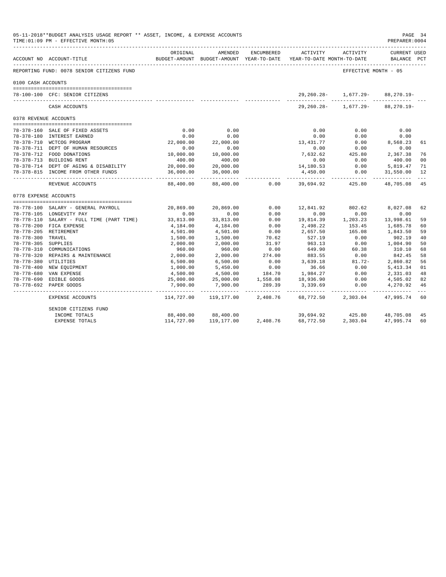|                       | 05-11-2018**BUDGET ANALYSIS USAGE REPORT ** ASSET, INCOME, & EXPENSE ACCOUNTS<br>TIME: 01:09 PM - EFFECTIVE MONTH: 05 |                         |                |            |                                                                                 |                          | PAGE 34<br>PREPARER: 0004          |    |
|-----------------------|-----------------------------------------------------------------------------------------------------------------------|-------------------------|----------------|------------|---------------------------------------------------------------------------------|--------------------------|------------------------------------|----|
|                       | ----------------------------<br>ACCOUNT NO ACCOUNT-TITLE                                                              | ORIGINAL                | AMENDED        | ENCUMBERED | ACTIVITY<br>BUDGET-AMOUNT BUDGET-AMOUNT YEAR-TO-DATE YEAR-TO-DATE MONTH-TO-DATE | ACTIVITY                 | <b>CURRENT USED</b><br>BALANCE PCT |    |
|                       | REPORTING FUND: 0078 SENIOR CITIZENS FUND                                                                             |                         |                |            |                                                                                 | EFFECTIVE MONTH - 05     |                                    |    |
| 0100 CASH ACCOUNTS    |                                                                                                                       |                         |                |            |                                                                                 |                          |                                    |    |
|                       |                                                                                                                       |                         |                |            |                                                                                 |                          |                                    |    |
|                       | 78-100-100 CFC: SENIOR CITIZENS                                                                                       |                         |                |            | 29,260.28-                                                                      | 1,677.29-<br>            | 88,270.19-                         |    |
|                       | CASH ACCOUNTS                                                                                                         |                         |                |            | 29,260.28-                                                                      | 1,677.29-                | 88,270.19-                         |    |
| 0378 REVENUE ACCOUNTS |                                                                                                                       |                         |                |            |                                                                                 |                          |                                    |    |
|                       |                                                                                                                       |                         |                |            |                                                                                 |                          |                                    |    |
|                       | 78-378-160 SALE OF FIXED ASSETS                                                                                       | 0.00                    | 0.00           |            | 0.00                                                                            | 0.00                     | 0.00                               |    |
|                       | 78-378-180 INTEREST EARNED                                                                                            | 0.00                    | 0.00           |            | 0.00                                                                            | 0.00                     | 0.00                               |    |
|                       | 78-378-710 WCTCOG PROGRAM                                                                                             | 22,000.00               | 22,000.00      |            | 13,431.77                                                                       | 0.00                     | 8,568.23                           | 61 |
|                       | 78-378-711 DEPT OF HUMAN RESOURCES                                                                                    | 0.00                    | 0.00           |            | 0.00                                                                            | 0.00                     | 0.00                               |    |
|                       | 78-378-712 FOOD DONATIONS                                                                                             | 10,000.00               | 10,000.00      |            | 7,632.62                                                                        | 425.80                   | 2,367.38                           | 76 |
|                       | 78-378-713 BUILDING RENT                                                                                              | 400.00                  | 400.00         |            | 0.00                                                                            | 0.00                     | 400.00                             | 00 |
|                       | 78-378-714 DEPT OF AGING & DISABILITY                                                                                 | 20,000.00               | 20,000.00      |            | 14,180.53                                                                       | 0.00                     | 5,819.47                           | 71 |
|                       | 78-378-815 INCOME FROM OTHER FUNDS                                                                                    | 36,000.00<br>__________ | 36,000.00<br>. |            | 4,450.00<br>------------                                                        | 0.00                     | 31,550.00<br>------------          | 12 |
|                       | REVENUE ACCOUNTS                                                                                                      | 88,400.00               | 88,400.00      | 0.00       | 39,694.92                                                                       | -----------<br>425.80    | 48,705.08                          | 45 |
| 0778 EXPENSE ACCOUNTS |                                                                                                                       |                         |                |            |                                                                                 |                          |                                    |    |
|                       |                                                                                                                       |                         |                |            |                                                                                 |                          |                                    |    |
|                       | 78-778-100 SALARY - GENERAL PAYROLL                                                                                   | 20,869.00               | 20,869.00      | 0.00       | 12,841.92                                                                       | 802.62                   | 8,027.08                           | 62 |
|                       | 78-778-105 LONGEVITY PAY                                                                                              | 0.00                    | 0.00           | 0.00       | 0.00                                                                            | 0.00                     | 0.00                               |    |
|                       | 78-778-110 SALARY - FULL TIME (PART TIME)                                                                             | 33,813.00               | 33,813.00      | 0.00       | 19,814.39                                                                       | 1,203.23                 | 13,998.61                          | 59 |
|                       | 78-778-200 FICA EXPENSE                                                                                               | 4,184.00                | 4,184.00       | 0.00       | 2,498.22                                                                        | 153.45                   | 1,685.78                           | 60 |
|                       | 78-778-205 RETIREMENT                                                                                                 | 4,501.00                | 4,501.00       | 0.00       | 2,657.50                                                                        | 165.08                   | 1,843.50                           | 59 |
| 78-778-300 TRAVEL     |                                                                                                                       | 1,500.00                | 1,500.00       | 70.62      | 527.19                                                                          | 0.00                     | 902.19                             | 40 |
| 78-778-305 SUPPLIES   |                                                                                                                       | 2,000.00                | 2,000.00       | 31.97      | 963.13                                                                          | 0.00                     | 1,004.90                           | 50 |
|                       | 78-778-310 COMMUNICATIONS                                                                                             | 960.00                  | 960.00         | 0.00       | 649.90                                                                          | 60.38                    | 310.10                             | 68 |
|                       | 78-778-320 REPAIRS & MAINTENANCE                                                                                      | 2,000.00                | 2,000.00       | 274.00     | 883.55                                                                          | 0.00                     | 842.45                             | 58 |
| 78-778-380 UTILITIES  |                                                                                                                       | 6,500.00                | 6,500.00       | 0.00       | 3,639.18                                                                        | $0.00$<br>81.72-         | 2,860.82                           | 56 |
|                       | 78-778-400 NEW EQUIPMENT                                                                                              | 1,000.00                | 5,450.00       | 0.00       | 36.66                                                                           | 0.00                     | 5, 413.34                          | 01 |
|                       | 78-778-680 VAN EXPENSE                                                                                                | 4,500.00                | 4,500.00       | 184.70     | 1,984.27                                                                        | 0.00                     | 2,331.03                           | 48 |
|                       | 78-778-690 EDIBLE GOODS                                                                                               | 25,000.00               | 25,000.00      | 1,558.08   | 18,936.90                                                                       | 0.00                     | 4,505.02                           | 82 |
|                       | 78-778-692 PAPER GOODS                                                                                                | 7,900.00                | 7,900.00       | 289.39     | 3,339.69                                                                        | 0.00                     | 4,270.92                           | 46 |
|                       | EXPENSE ACCOUNTS                                                                                                      | 114,727.00              | 119,177.00     | 2,408.76   | 68,772.50                                                                       | ------------<br>2,303.04 | 47,995.74                          | 60 |
|                       | SENIOR CITIZENS FUND                                                                                                  |                         |                |            |                                                                                 |                          |                                    |    |
|                       | INCOME TOTALS                                                                                                         | 88,400.00               | 88,400.00      |            | 39,694.92                                                                       | 425.80                   | 48,705.08                          | 45 |
|                       | EXPENSE TOTALS                                                                                                        | 114,727.00              | 119,177.00     | 2,408.76   | 68,772.50                                                                       | 2,303.04                 | 47,995.74                          | 60 |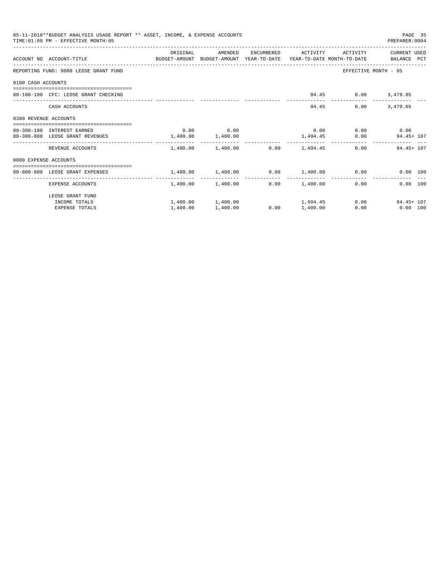|                       | 05-11-2018**BUDGET ANALYSIS USAGE REPORT ** ASSET, INCOME, & EXPENSE ACCOUNTS<br>TIME: 01:09 PM - EFFECTIVE MONTH: 05 |                       |                                         |      |                     |                                                | PAGE 35<br>PREPARER: 0004          |  |
|-----------------------|-----------------------------------------------------------------------------------------------------------------------|-----------------------|-----------------------------------------|------|---------------------|------------------------------------------------|------------------------------------|--|
|                       |                                                                                                                       | ORIGINAL              | AMENDED                                 |      | ENCUMBERED ACTIVITY | ACTIVITY                                       | CURRENT USED                       |  |
|                       | ACCOUNT NO ACCOUNT-TITLE CONTROL SUDGET-AMOUNT BUDGET-AMOUNT YEAR-TO-DATE YEAR-TO-DATE MONTH-TO-DATE BALANCE PCT      |                       |                                         |      |                     |                                                |                                    |  |
|                       | REPORTING FUND: 0080 LEOSE GRANT FUND                                                                                 |                       |                                         |      |                     |                                                | EFFECTIVE MONTH - 05               |  |
| 0100 CASH ACCOUNTS    |                                                                                                                       |                       |                                         |      |                     |                                                |                                    |  |
|                       | 80-100-100 CFC: LEOSE GRANT CHECKING                                                                                  |                       |                                         |      |                     | 94.45 0.00 3,479.85                            |                                    |  |
|                       | CASH ACCOUNTS                                                                                                         |                       |                                         |      |                     | 94.45<br>0.00                                  | 3,479.85                           |  |
| 0380 REVENUE ACCOUNTS |                                                                                                                       |                       |                                         |      |                     |                                                |                                    |  |
|                       | 80-380-180 INTEREST EARNED                                                                                            |                       | $0.00$ 0.00                             |      |                     | $0.00$ $0.00$ $0.00$ $0.00$                    |                                    |  |
|                       | 80-380-800 LEOSE GRANT REVENUES                                                                                       | $1,400.00$ $1,400.00$ |                                         |      |                     |                                                | $1,494.45$ 0.00 94.45 + 107        |  |
|                       | REVENUE ACCOUNTS                                                                                                      |                       | $1,400.00$ $1,400.00$ $0.00$ $1,494.45$ |      |                     |                                                | $0.00$ 94.45+107                   |  |
| 0800 EXPENSE ACCOUNTS |                                                                                                                       |                       |                                         |      |                     |                                                |                                    |  |
|                       | -----------------------------------<br>80-800-800 LEOSE GRANT EXPENSES                                                |                       |                                         |      |                     | $1.400.00$ $1.400.00$ $0.00$ $1.400.00$ $0.00$ | 0.00 100                           |  |
|                       | EXPENSE ACCOUNTS                                                                                                      |                       | 1,400.00 1,400.00                       |      | $0.00$ 1,400.00     | 0.00                                           | 0.00 100                           |  |
|                       | LEOSE GRANT FUND                                                                                                      |                       |                                         |      |                     |                                                |                                    |  |
|                       | INCOME TOTALS                                                                                                         |                       | $1,400.00$ $1,400.00$ $1,494.45$        |      |                     |                                                | $0.00$ and $0.00$<br>$94.45 + 107$ |  |
|                       | <b>EXPENSE TOTALS</b>                                                                                                 | 1,400.00              | 1,400.00                                | 0.00 | 1,400.00            | 0.00                                           | $0.00$ 100                         |  |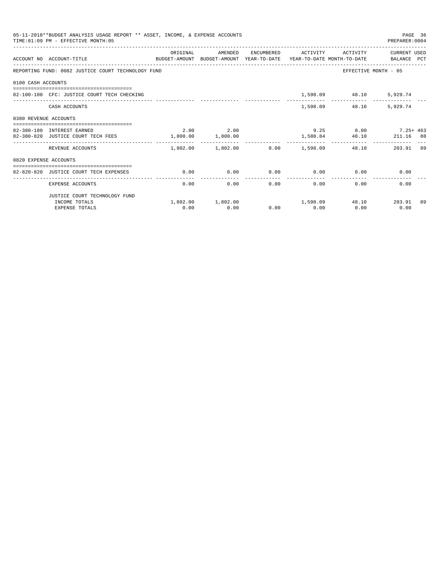| 05-11-2018**BUDGET ANALYSIS USAGE REPORT ** ASSET, INCOME, & EXPENSE ACCOUNTS<br>PAGE 36<br>TIME: 01:09 PM - EFFECTIVE MONTH: 05<br>PREPARER: 0004 |                                                                                                                   |                   |                                                 |               |                   |                             |                                                   |                     |
|----------------------------------------------------------------------------------------------------------------------------------------------------|-------------------------------------------------------------------------------------------------------------------|-------------------|-------------------------------------------------|---------------|-------------------|-----------------------------|---------------------------------------------------|---------------------|
|                                                                                                                                                    | ACCOUNT NO ACCOUNT-TITLE CONTROL PROTECT-AMOUNT BUDGET-AMOUNT YEAR-TO-DATE YEAR-TO-DATE MONTH-TO-DATE BALANCE PCT | ORIGINAL          | AMENDED                                         |               |                   |                             | ENCUMBERED ACTIVITY ACTIVITY CURRENT USED         |                     |
|                                                                                                                                                    | REPORTING FUND: 0082 JUSTICE COURT TECHNOLOGY FUND                                                                |                   |                                                 |               |                   |                             | EFFECTIVE MONTH - 05                              |                     |
| 0100 CASH ACCOUNTS                                                                                                                                 |                                                                                                                   |                   |                                                 |               |                   |                             |                                                   |                     |
|                                                                                                                                                    | 82-100-100 CFC: JUSTICE COURT TECH CHECKING                                                                       |                   |                                                 |               |                   | 1,598.09 48.10 5,929.74     |                                                   |                     |
|                                                                                                                                                    | CASH ACCOUNTS                                                                                                     |                   |                                                 |               |                   | 1,598.09 48.10              | 5,929.74                                          |                     |
| 0380 REVENUE ACCOUNTS                                                                                                                              |                                                                                                                   |                   |                                                 |               |                   |                             |                                                   |                     |
|                                                                                                                                                    |                                                                                                                   |                   |                                                 |               |                   |                             |                                                   |                     |
|                                                                                                                                                    | 82-380-180 INTEREST EARNED                                                                                        |                   | 2.00 2.00                                       |               |                   |                             | $9.25$ 0.00 7.25 + 463                            |                     |
|                                                                                                                                                    | 82-380-820 JUSTICE COURT TECH FEES                                                                                | 1,800.00 1,800.00 |                                                 |               |                   |                             | 1,588.84 48.10 211.16 88                          | $\qquad \qquad - -$ |
|                                                                                                                                                    | REVENUE ACCOUNTS                                                                                                  |                   | $1.802.00$ $1.802.00$ $0.00$ $1.598.09$ $48.10$ |               |                   |                             | 203.91 89                                         |                     |
| 0820 EXPENSE ACCOUNTS                                                                                                                              |                                                                                                                   |                   |                                                 |               |                   |                             |                                                   |                     |
|                                                                                                                                                    |                                                                                                                   |                   |                                                 |               |                   |                             |                                                   |                     |
|                                                                                                                                                    | 82-820-820 JUSTICE COURT TECH EXPENSES                                                                            | 0.00              | 0.00                                            | ------------- |                   | $0.00$ $0.00$ $0.00$ $0.00$ | 0.00                                              |                     |
|                                                                                                                                                    | EXPENSE ACCOUNTS                                                                                                  | 0.00              |                                                 | 0.00          | $0.00$ and $0.00$ | 0.00                        | 0.00<br>0.00                                      |                     |
|                                                                                                                                                    | JUSTICE COURT TECHNOLOGY FUND                                                                                     |                   |                                                 |               |                   |                             |                                                   |                     |
|                                                                                                                                                    | INCOME TOTALS                                                                                                     |                   |                                                 |               |                   |                             | $1,802.00$ $1,802.00$ $1,598.09$ $48.10$ $203.91$ | -89                 |
|                                                                                                                                                    | <b>EXPENSE TOTALS</b>                                                                                             | 0.00              | 0.00                                            |               | $0.00$ 0.00       | 0.00                        | 0.00                                              |                     |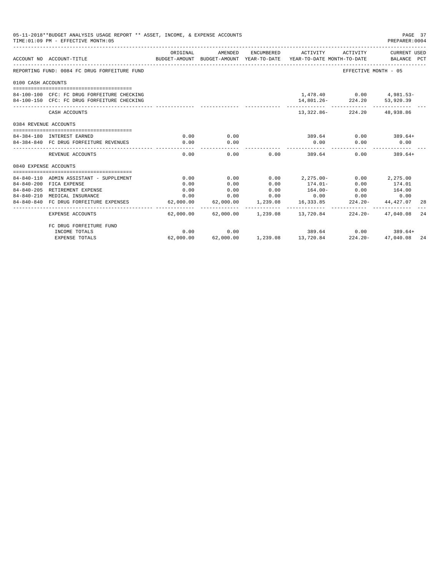|                       | 05-11-2018**BUDGET ANALYSIS USAGE REPORT ** ASSET, INCOME, & EXPENSE ACCOUNTS<br>TIME: 01:09 PM - EFFECTIVE MONTH: 05 |           |                       |                    |                                                     |                                                           | PAGE 37<br>PREPARER: 0004 |    |
|-----------------------|-----------------------------------------------------------------------------------------------------------------------|-----------|-----------------------|--------------------|-----------------------------------------------------|-----------------------------------------------------------|---------------------------|----|
|                       | ACCOUNT NO ACCOUNT-TITLE<br>BUDGET-AMOUNT BUDGET-AMOUNT YEAR-TO-DATE YEAR-TO-DATE MONTH-TO-DATE BALANCE PCT           | ORIGINAL  | AMENDED               |                    | ENCUMBERED ACTIVITY                                 | ACTIVITY                                                  | CURRENT USED              |    |
|                       | REPORTING FUND: 0084 FC DRUG FORFEITURE FUND                                                                          |           |                       |                    |                                                     | EFFECTIVE MONTH - 05                                      |                           |    |
| 0100 CASH ACCOUNTS    |                                                                                                                       |           |                       |                    |                                                     |                                                           |                           |    |
|                       | 84-100-100 CFC: FC DRUG FORFEITURE CHECKING<br>84-100-150 CFC: FC DRUG FORFEITURE CHECKING                            |           |                       |                    |                                                     | $1,478.40$ 0.00 $4,981.53-$<br>14,801.26-224.20 53,920.39 |                           |    |
|                       | CASH ACCOUNTS                                                                                                         |           |                       |                    |                                                     | 13, 322, 86 - 224, 20 48, 938, 86                         |                           |    |
| 0384 REVENUE ACCOUNTS |                                                                                                                       |           |                       |                    |                                                     |                                                           |                           |    |
|                       | 84-384-180 INTEREST EARNED                                                                                            | 0.00      | 0.00                  |                    |                                                     | $389.64$ 0.00 389.64+                                     |                           |    |
|                       | 84-384-840 FC DRUG FORFEITURE REVENUES                                                                                | 0.00      | 0.00<br>------------- |                    | 0.00<br>-------------                               | 0.00                                                      | 0.00                      |    |
|                       | REVENUE ACCOUNTS                                                                                                      | 0.00      | 0.00                  |                    | 0.00<br>389.64                                      |                                                           | $0.00$ 389.64+            |    |
| 0840 EXPENSE ACCOUNTS |                                                                                                                       |           |                       |                    |                                                     |                                                           |                           |    |
|                       | 84-840-110 ADMIN ASSISTANT - SUPPLEMENT                                                                               | 0.00      | 0.00                  | 0.00               | $2, 275.00 -$                                       |                                                           | $0.00$ 2,275.00           |    |
|                       | 84-840-200 FICA EXPENSE                                                                                               | 0.00      | 0.00                  | 0.00               | $174.01-$                                           | 0.00                                                      | 174.01                    |    |
|                       | 84-840-205 RETIREMENT EXPENSE                                                                                         | 0.00      | 0.00                  | 0.00               | $164.00 -$                                          | 0.00                                                      | 164.00                    |    |
|                       | 84-840-210 MEDICAL INSURANCE                                                                                          | 0.00      | 0.00                  | 0.00               |                                                     | $0.00$ 0.00                                               | 0.00                      |    |
|                       | 84-840-840 FC DRUG FORFEITURE EXPENSES                                                                                | 62,000.00 |                       | 62,000.00 1,239.08 | 16,333.85 224.20-                                   |                                                           | 44,427.07                 | 28 |
|                       | <b>EXPENSE ACCOUNTS</b>                                                                                               | --------  | .                     |                    | .<br>$62,000.00$ $62,000.00$ $1,239.08$ $13,720.84$ |                                                           | 224.20 - 47.040.08        | 24 |
|                       | FC DRUG FORFEITURE FUND                                                                                               |           |                       |                    |                                                     |                                                           |                           |    |
|                       | INCOME TOTALS                                                                                                         | 0.00      | 0.00                  |                    | $389.64$ 0.00 $389.64+$                             |                                                           |                           |    |
|                       | <b>EXPENSE TOTALS</b>                                                                                                 | 62,000.00 |                       |                    | $62,000.00$ $1,239.08$ $13,720.84$ $224.20-$        |                                                           | 47,040.08 24              |    |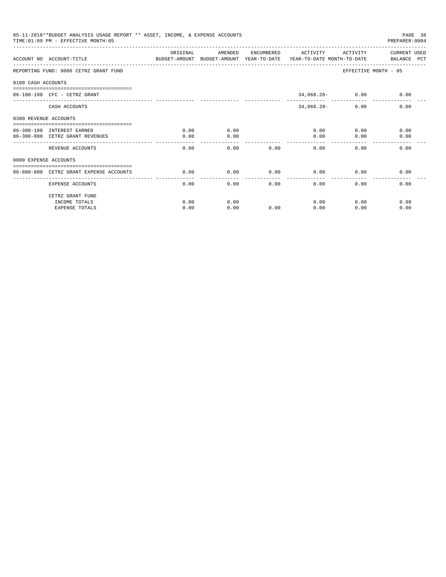|                       | 05-11-2018**BUDGET ANALYSIS USAGE REPORT ** ASSET, INCOME, & EXPENSE ACCOUNTS<br>TIME: 01:09 PM - EFFECTIVE MONTH: 05 |                       |         |      |                     |                    | PAGE 38<br>PREPARER: 0004                                                           |
|-----------------------|-----------------------------------------------------------------------------------------------------------------------|-----------------------|---------|------|---------------------|--------------------|-------------------------------------------------------------------------------------|
|                       |                                                                                                                       | ORIGINAL              | AMENDED |      | ENCUMBERED ACTIVITY |                    | ACTIVITY CURRENT USED                                                               |
|                       | ACCOUNT NO ACCOUNT-TITLE                                                                                              |                       |         |      |                     |                    | BUDGET-AMOUNT BUDGET-AMOUNT YEAR-TO-DATE YEAR-TO-DATE MONTH-TO-DATE     BALANCE PCT |
|                       | REPORTING FUND: 0086 CETRZ GRANT FUND                                                                                 |                       |         |      |                     |                    | EFFECTIVE MONTH - 05                                                                |
| 0100 CASH ACCOUNTS    |                                                                                                                       |                       |         |      |                     |                    |                                                                                     |
|                       | $86 - 100 - 100$ CFC - CETRZ GRANT                                                                                    |                       |         |      |                     | $34,068.28 - 0.00$ | 0.00                                                                                |
|                       | CASH ACCOUNTS                                                                                                         |                       |         |      | $34,068.28-$        | 0.00               | 0.00                                                                                |
| 0380 REVENUE ACCOUNTS |                                                                                                                       |                       |         |      |                     |                    |                                                                                     |
|                       | 86-380-180 INTEREST EARNED                                                                                            | 0.00                  | 0.00    |      | 0.00                |                    | 0.00<br>0.00                                                                        |
|                       | 86-380-800 CETRZ GRANT REVENUES                                                                                       | 0.00                  | 0.00    |      | 0.00                | 0.00               | 0.00                                                                                |
|                       | REVENUE ACCOUNTS                                                                                                      | 0.00                  | 0.00    | 0.00 | 0.00                | 0.00               | 0.00                                                                                |
| 0800 EXPENSE ACCOUNTS |                                                                                                                       |                       |         |      |                     |                    |                                                                                     |
|                       | ==============================<br>86-800-800 CETRZ GRANT EXPENSE ACCOUNTS                                             | 0.00                  | 0.00    | 0.00 | 0.00                | 0.00               | 0.00                                                                                |
|                       | <b>EXPENSE ACCOUNTS</b>                                                                                               | -------------<br>0.00 | 0.00    | 0.00 | -------<br>0.00     | 0.00               | 0.00                                                                                |
|                       | CETRZ GRANT FUND                                                                                                      |                       |         |      |                     |                    |                                                                                     |
|                       | INCOME TOTALS                                                                                                         | 0.00                  | 0.00    |      | 0.00                | 0.00               | 0.00                                                                                |
|                       | <b>EXPENSE TOTALS</b>                                                                                                 | 0.00                  | 0.00    | 0.00 | 0.00                | 0.00               | 0.00                                                                                |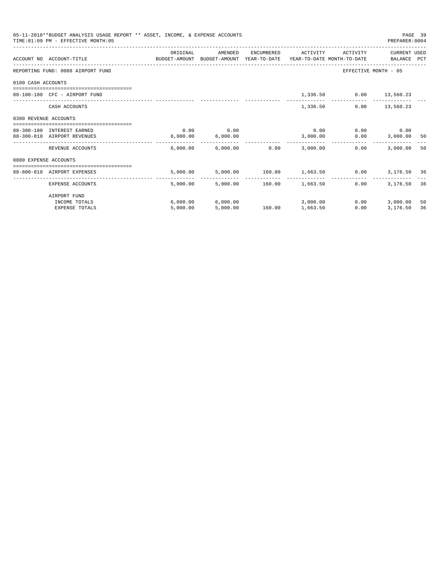| 05-11-2018**BUDGET ANALYSIS USAGE REPORT ** ASSET, INCOME, & EXPENSE ACCOUNTS<br>TIME: 01:09 PM - EFFECTIVE MONTH: 05 |                                                                                                                  |          |                                         |                          |          |                               |                      | PAGE 39<br>PREPARER: 0004 |
|-----------------------------------------------------------------------------------------------------------------------|------------------------------------------------------------------------------------------------------------------|----------|-----------------------------------------|--------------------------|----------|-------------------------------|----------------------|---------------------------|
|                                                                                                                       | ACCOUNT NO ACCOUNT-TITLE CONTROL SUDGET-AMOUNT BUDGET-AMOUNT YEAR-TO-DATE YEAR-TO-DATE MONTH-TO-DATE BALANCE PCT | ORIGINAL | AMENDED                                 | ENCUMBERED               | ACTIVITY | ACTIVITY                      | CURRENT USED         |                           |
|                                                                                                                       | REPORTING FUND: 0088 AIRPORT FUND                                                                                |          |                                         |                          |          |                               | EFFECTIVE MONTH - 05 |                           |
| 0100 CASH ACCOUNTS                                                                                                    |                                                                                                                  |          |                                         |                          |          |                               |                      |                           |
|                                                                                                                       | 88-100-100 CFC - AIRPORT FUND                                                                                    |          |                                         |                          |          | 1,336.50 0.00 13,560.23       |                      |                           |
|                                                                                                                       | CASH ACCOUNTS                                                                                                    |          |                                         |                          | 1,336.50 |                               | $0.00$ 13,560.23     |                           |
| 0380 REVENUE ACCOUNTS                                                                                                 |                                                                                                                  |          |                                         |                          |          |                               |                      |                           |
|                                                                                                                       | 88-380-180 INTEREST EARNED                                                                                       | 0.00     | 0.00                                    |                          | 0.00     |                               | $0.00$ 0.00          |                           |
|                                                                                                                       | 88-380-810 AIRPORT REVENUES                                                                                      | 6,000.00 | 6,000.00                                |                          | 3,000.00 | 0.00                          | 3,000.00             | - 50                      |
|                                                                                                                       | REVENUE ACCOUNTS                                                                                                 |          | $6.000.00$ $6.000.00$ $0.00$ $3.000.00$ |                          |          | 0.00                          | 3,000.00             | -50                       |
| 0800 EXPENSE ACCOUNTS                                                                                                 |                                                                                                                  |          |                                         |                          |          |                               |                      |                           |
|                                                                                                                       | 88-800-810 AIRPORT EXPENSES                                                                                      | 5.000.00 |                                         |                          |          | 5,000.00 160.00 1,663.50 0.00 | 3,176.50 36          |                           |
|                                                                                                                       | EXPENSE ACCOUNTS                                                                                                 | 5,000.00 | .                                       | 5,000.00 160.00 1,663.50 |          | 0.00                          | 3,176.50             | 36                        |
|                                                                                                                       | AIRPORT FUND                                                                                                     |          |                                         |                          |          |                               |                      |                           |
|                                                                                                                       | INCOME TOTALS                                                                                                    |          | $6,000.00$ $6,000.00$                   |                          | 3,000.00 | 0.00                          | 3,000.00             | 50                        |
|                                                                                                                       | <b>EXPENSE TOTALS</b>                                                                                            | 5.000.00 | 5.000.00                                | 160.00                   | 1,663.50 | 0.00                          | 3,176.50             | 36                        |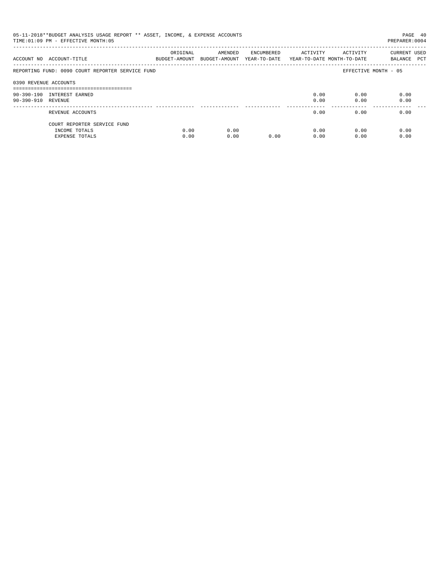| 05-11-2018**BUDGET ANALYSIS USAGE REPORT ** ASSET, INCOME, & EXPENSE ACCOUNTS<br>TIME: 01:09 PM - EFFECTIVE MONTH: 05<br>PREPARER:0004 |                                                  |                           |                                       |            |          |                                        |                             |  |
|----------------------------------------------------------------------------------------------------------------------------------------|--------------------------------------------------|---------------------------|---------------------------------------|------------|----------|----------------------------------------|-----------------------------|--|
|                                                                                                                                        | ACCOUNT NO ACCOUNT-TITLE                         | ORIGINAL<br>BUDGET-AMOUNT | AMENDED<br>BUDGET-AMOUNT YEAR-TO-DATE | ENCUMBERED | ACTIVITY | ACTIVITY<br>YEAR-TO-DATE MONTH-TO-DATE | CURRENT USED<br>BALANCE PCT |  |
|                                                                                                                                        | REPORTING FUND: 0090 COURT REPORTER SERVICE FUND |                           |                                       |            |          |                                        | EFFECTIVE MONTH - 05        |  |
| 0390 REVENUE ACCOUNTS                                                                                                                  |                                                  |                           |                                       |            |          |                                        |                             |  |
|                                                                                                                                        | 90-390-190 INTEREST EARNED                       |                           |                                       |            | 0.00     | 0.00                                   | 0.00                        |  |
| 90-390-910 REVENUE                                                                                                                     |                                                  |                           |                                       |            | 0.00     | 0.00                                   | 0.00                        |  |
|                                                                                                                                        | REVENUE ACCOUNTS                                 |                           |                                       |            | 0.00     | 0.00                                   | 0.00                        |  |
|                                                                                                                                        | COURT REPORTER SERVICE FUND                      |                           |                                       |            |          |                                        |                             |  |
|                                                                                                                                        | INCOME TOTALS                                    | 0.00                      | 0.00                                  |            | 0.00     | 0.00                                   | 0.00                        |  |
|                                                                                                                                        | EXPENSE TOTALS                                   | 0.00                      | 0.00                                  | 0.00       | 0.00     | 0.00                                   | 0.00                        |  |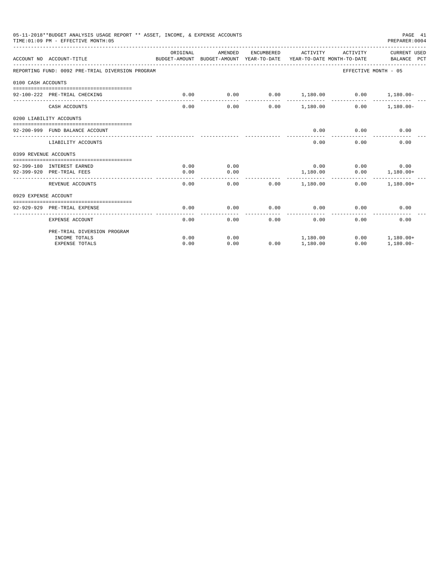| 05-11-2018**BUDGET ANALYSIS USAGE REPORT ** ASSET, INCOME, & EXPENSE ACCOUNTS<br>TIME: 01:09 PM - EFFECTIVE MONTH: 05 |                                                  |                                                                                 |         |            |                      |                               |                                    |
|-----------------------------------------------------------------------------------------------------------------------|--------------------------------------------------|---------------------------------------------------------------------------------|---------|------------|----------------------|-------------------------------|------------------------------------|
|                                                                                                                       | ACCOUNT NO ACCOUNT-TITLE                         | ORIGINAL<br>BUDGET-AMOUNT BUDGET-AMOUNT YEAR-TO-DATE YEAR-TO-DATE MONTH-TO-DATE | AMENDED | ENCUMBERED | ACTIVITY             | ACTIVITY                      | <b>CURRENT USED</b><br>BALANCE PCT |
|                                                                                                                       | REPORTING FUND: 0092 PRE-TRIAL DIVERSION PROGRAM |                                                                                 |         |            |                      | EFFECTIVE MONTH - 05          |                                    |
| 0100 CASH ACCOUNTS                                                                                                    |                                                  |                                                                                 |         |            |                      |                               |                                    |
|                                                                                                                       | 92-100-222 PRE-TRIAL CHECKING                    | 0.00                                                                            | 0.00    |            | $0.00$ 1.180.00 0.00 |                               | $1,180.00 -$                       |
|                                                                                                                       | CASH ACCOUNTS                                    | 0.00                                                                            | 0.00    |            | $0.00$ 1,180.00      | 0.00                          | $1.180.00 -$                       |
|                                                                                                                       | 0200 LIABILITY ACCOUNTS                          |                                                                                 |         |            |                      |                               |                                    |
|                                                                                                                       | 92-200-999 FUND BALANCE ACCOUNT                  |                                                                                 |         |            | 0.00                 | 0.00                          | 0.00                               |
|                                                                                                                       | LIABILITY ACCOUNTS                               |                                                                                 |         |            | 0.00                 | 0.00                          | 0.00                               |
| 0399 REVENUE ACCOUNTS                                                                                                 |                                                  |                                                                                 |         |            |                      |                               |                                    |
|                                                                                                                       | 92-399-180 INTEREST EARNED                       | 0.00                                                                            | 0.00    |            | 0.00                 | 0.00                          | 0.00                               |
|                                                                                                                       | 92-399-920 PRE-TRIAL FEES                        | 0.00                                                                            | 0.00    |            | 1,180.00             | 0.00                          | $1.180.00+$                        |
|                                                                                                                       | REVENUE ACCOUNTS                                 | 0.00                                                                            | 0.00    | 0.00       | 1,180.00             | - - - - - - - - - - -<br>0.00 | $1.180.00+$                        |
| 0929 EXPENSE ACCOUNT                                                                                                  |                                                  |                                                                                 |         |            |                      |                               |                                    |
|                                                                                                                       |                                                  |                                                                                 |         |            |                      |                               |                                    |
|                                                                                                                       | 92-929-929 PRE-TRIAL EXPENSE                     | 0.00<br>$- - - - -$                                                             | 0.00    | 0.00       | 0.00                 | 0.00                          | 0.00                               |
|                                                                                                                       | EXPENSE ACCOUNT                                  | 0.00                                                                            | 0.00    | 0.00       | 0.00                 | 0.00                          | 0.00                               |
|                                                                                                                       | PRE-TRIAL DIVERSION PROGRAM                      |                                                                                 |         |            |                      |                               |                                    |
|                                                                                                                       | INCOME TOTALS                                    | 0.00                                                                            | 0.00    |            | 1,180.00             | 0.00                          | $1,180.00+$                        |
|                                                                                                                       | <b>EXPENSE TOTALS</b>                            | 0.00                                                                            | 0.00    | 0.00       | 1,180.00             | 0.00                          | $1,180.00 -$                       |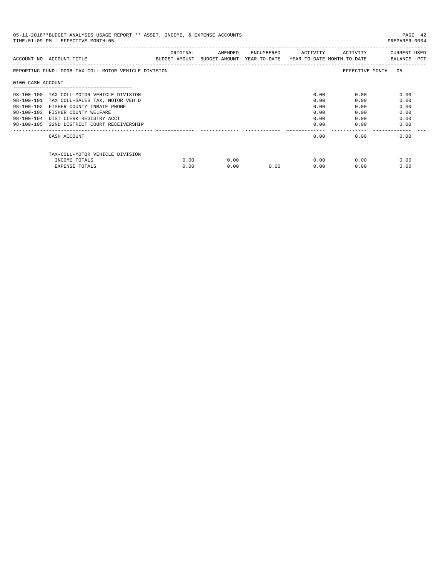| 05-11-2018**BUDGET ANALYSIS USAGE REPORT ** ASSET, INCOME, & EXPENSE ACCOUNTS<br>TIME: 01:09 PM - EFFECTIVE MONTH: 05<br>PREPARER: 0004 |                                                      |          |                                                                                |            |          |          |                             |  |
|-----------------------------------------------------------------------------------------------------------------------------------------|------------------------------------------------------|----------|--------------------------------------------------------------------------------|------------|----------|----------|-----------------------------|--|
|                                                                                                                                         | ACCOUNT NO ACCOUNT-TITLE                             | ORIGINAL | AMENDED<br>BUDGET-AMOUNT BUDGET-AMOUNT YEAR-TO-DATE YEAR-TO-DATE MONTH-TO-DATE | ENCUMBERED | ACTIVITY | ACTIVITY | CURRENT USED<br>BALANCE PCT |  |
|                                                                                                                                         | REPORTING FUND: 0098 TAX-COLL-MOTOR VEHICLE DIVISION |          |                                                                                |            |          |          | EFFECTIVE MONTH - 05        |  |
| 0100 CASH ACCOUNT                                                                                                                       |                                                      |          |                                                                                |            |          |          |                             |  |
|                                                                                                                                         |                                                      |          |                                                                                |            |          |          |                             |  |
|                                                                                                                                         | 98-100-100 TAX COLL-MOTOR VEHICLE DIVISION           |          |                                                                                |            | 0.00     | 0.00     | 0.00                        |  |
| 98-100-101                                                                                                                              | TAX COLL-SALES TAX, MOTOR VEH D                      |          |                                                                                |            | 0.00     | 0.00     | 0.00                        |  |
| $98 - 100 - 102$                                                                                                                        | FISHER COUNTY INMATE PHONE                           |          |                                                                                |            | 0.00     | 0.00     | 0.00                        |  |
| $98 - 100 - 103$                                                                                                                        | FISHER COUNTY WELFARE                                |          |                                                                                |            | 0.00     | 0.00     | 0.00                        |  |
| $98 - 100 - 104$                                                                                                                        | DIST CLERK REGISTRY ACCT                             |          |                                                                                |            | 0.00     | 0.00     | 0.00                        |  |
|                                                                                                                                         | 98-100-105 32ND DISTRICT COURT RECEIVERSHIP          |          |                                                                                |            | 0.00     | 0.00     | 0.00                        |  |
|                                                                                                                                         | CASH ACCOUNT                                         |          |                                                                                |            | 0.00     | 0.00     | 0.00                        |  |
|                                                                                                                                         | TAX-COLL-MOTOR VEHICLE DIVISION                      |          |                                                                                |            |          |          |                             |  |
|                                                                                                                                         | INCOME TOTALS                                        | 0.00     | 0.00                                                                           |            | 0.00     | 0.00     | 0.00                        |  |
|                                                                                                                                         | <b>EXPENSE TOTALS</b>                                | 0.00     | 0.00                                                                           | 0.00       | 0.00     | 0.00     | 0.00                        |  |